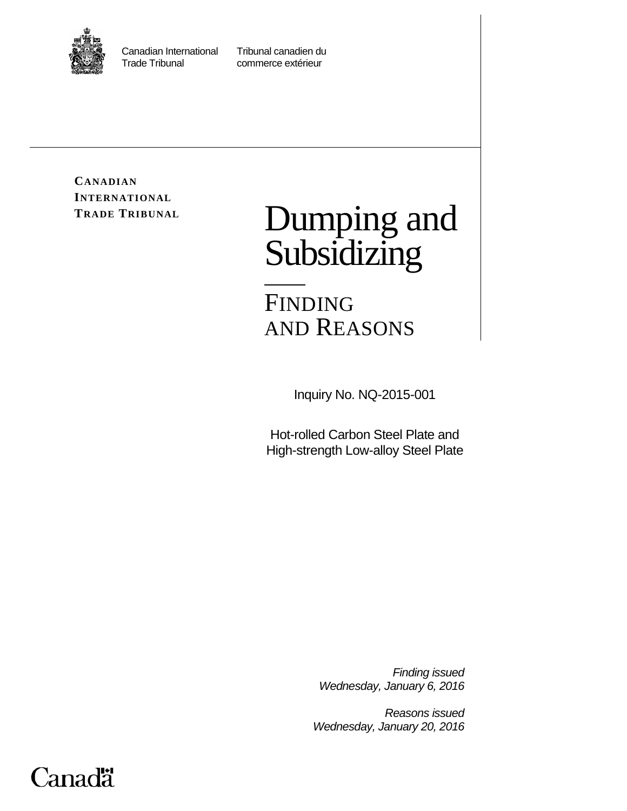

Canadian International Tribunal canadien du

commerce extérieur

**CANADIAN INTERNATIONAL**

# TRADE TRIBUNAL **Dumping and** Subsidizing

FINDING AND REASONS

Inquiry No. NQ-2015-001

Hot-rolled Carbon Steel Plate and High-strength Low-alloy Steel Plate

> *Finding issued Wednesday, January 6, 2016*

*Reasons issued Wednesday, January 20, 2016*

## Canadä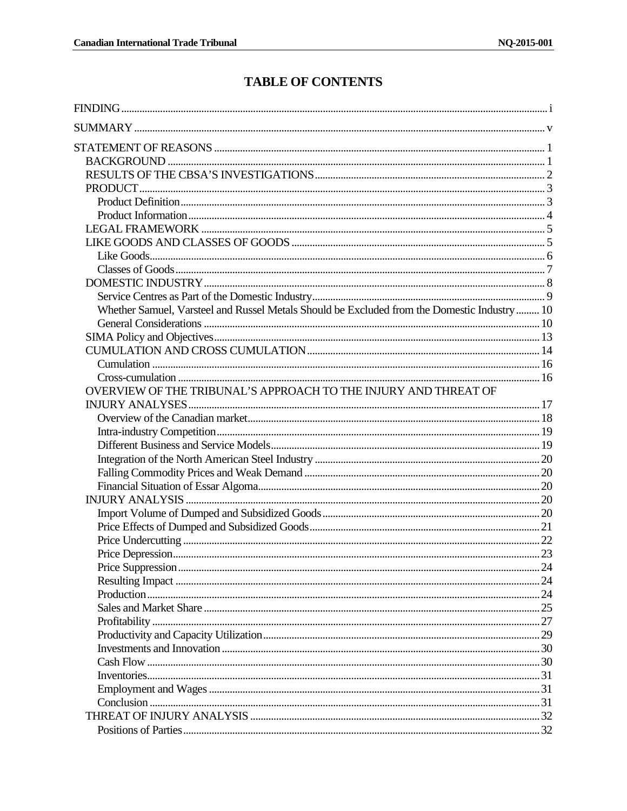## **TABLE OF CONTENTS**

| Whether Samuel, Varsteel and Russel Metals Should be Excluded from the Domestic Industry 10 |  |
|---------------------------------------------------------------------------------------------|--|
|                                                                                             |  |
|                                                                                             |  |
|                                                                                             |  |
|                                                                                             |  |
|                                                                                             |  |
| OVERVIEW OF THE TRIBUNAL'S APPROACH TO THE INJURY AND THREAT OF                             |  |
|                                                                                             |  |
|                                                                                             |  |
|                                                                                             |  |
|                                                                                             |  |
|                                                                                             |  |
|                                                                                             |  |
|                                                                                             |  |
|                                                                                             |  |
|                                                                                             |  |
|                                                                                             |  |
|                                                                                             |  |
|                                                                                             |  |
|                                                                                             |  |
|                                                                                             |  |
|                                                                                             |  |
|                                                                                             |  |
|                                                                                             |  |
|                                                                                             |  |
|                                                                                             |  |
|                                                                                             |  |
|                                                                                             |  |
|                                                                                             |  |
|                                                                                             |  |
|                                                                                             |  |
|                                                                                             |  |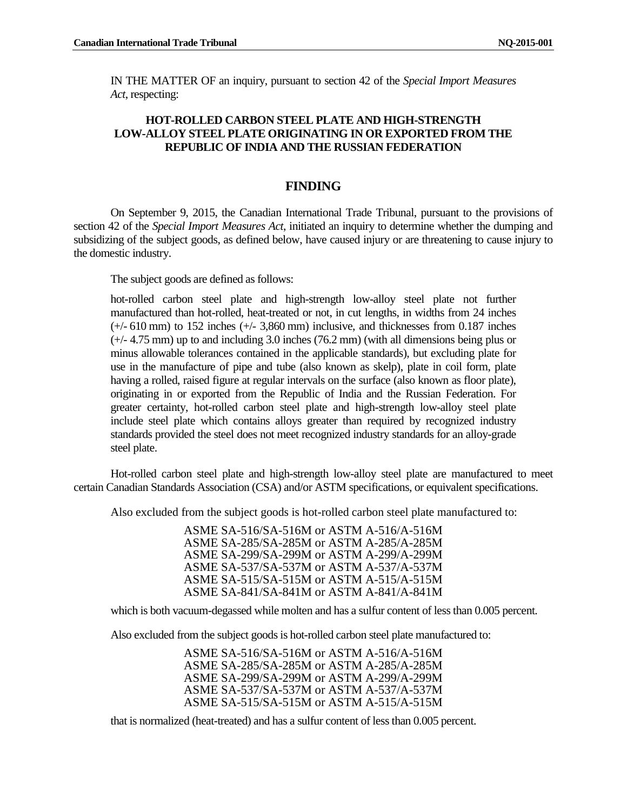IN THE MATTER OF an inquiry, pursuant to section 42 of the *Special Import Measures Act*, respecting:

#### **HOT-ROLLED CARBON STEEL PLATE AND HIGH-STRENGTH LOW-ALLOY STEEL PLATE ORIGINATING IN OR EXPORTED FROM THE REPUBLIC OF INDIA AND THE RUSSIAN FEDERATION**

### **FINDING**

<span id="page-3-0"></span>On September 9, 2015, the Canadian International Trade Tribunal, pursuant to the provisions of section 42 of the *Special Import Measures Act*, initiated an inquiry to determine whether the dumping and subsidizing of the subject goods, as defined below, have caused injury or are threatening to cause injury to the domestic industry.

The subject goods are defined as follows:

hot-rolled carbon steel plate and high-strength low-alloy steel plate not further manufactured than hot-rolled, heat-treated or not, in cut lengths, in widths from 24 inches (+/- 610 mm) to 152 inches (+/- 3,860 mm) inclusive, and thicknesses from 0.187 inches (+/- 4.75 mm) up to and including 3.0 inches (76.2 mm) (with all dimensions being plus or minus allowable tolerances contained in the applicable standards), but excluding plate for use in the manufacture of pipe and tube (also known as skelp), plate in coil form, plate having a rolled, raised figure at regular intervals on the surface (also known as floor plate), originating in or exported from the Republic of India and the Russian Federation. For greater certainty, hot-rolled carbon steel plate and high-strength low-alloy steel plate include steel plate which contains alloys greater than required by recognized industry standards provided the steel does not meet recognized industry standards for an alloy-grade steel plate.

Hot-rolled carbon steel plate and high-strength low-alloy steel plate are manufactured to meet certain Canadian Standards Association (CSA) and/or ASTM specifications, or equivalent specifications.

Also excluded from the subject goods is hot-rolled carbon steel plate manufactured to:

ASME SA-516/SA-516M or ASTM A-516/A-516M ASME SA-285/SA-285M or ASTM A-285/A-285M ASME SA-299/SA-299M or ASTM A-299/A-299M ASME SA-537/SA-537M or ASTM A-537/A-537M ASME SA-515/SA-515M or ASTM A-515/A-515M ASME SA-841/SA-841M or ASTM A-841/A-841M

which is both vacuum-degassed while molten and has a sulfur content of less than 0.005 percent.

Also excluded from the subject goods is hot-rolled carbon steel plate manufactured to:

ASME SA-516/SA-516M or ASTM A-516/A-516M ASME SA-285/SA-285M or ASTM A-285/A-285M ASME SA-299/SA-299M or ASTM A-299/A-299M ASME SA-537/SA-537M or ASTM A-537/A-537M ASME SA-515/SA-515M or ASTM A-515/A-515M

that is normalized (heat-treated) and has a sulfur content of less than 0.005 percent.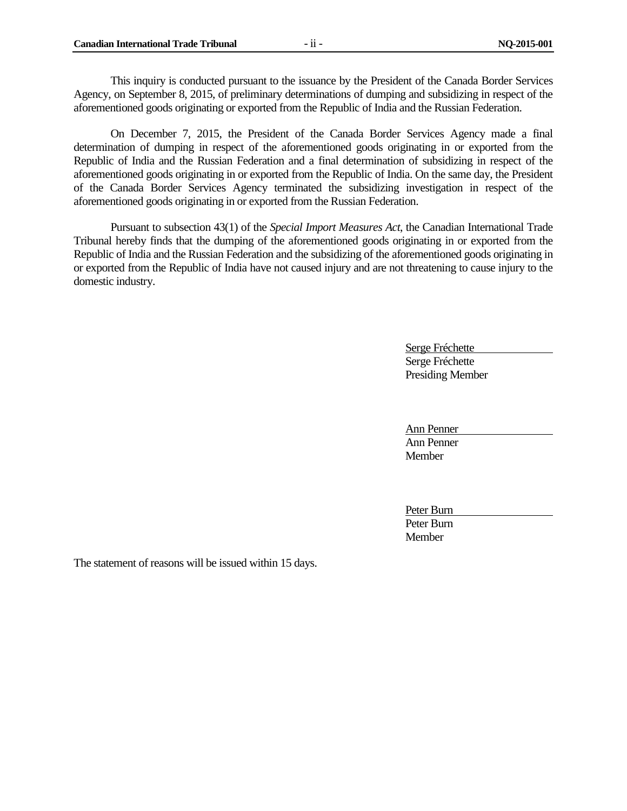This inquiry is conducted pursuant to the issuance by the President of the Canada Border Services Agency, on September 8, 2015, of preliminary determinations of dumping and subsidizing in respect of the aforementioned goods originating or exported from the Republic of India and the Russian Federation.

On December 7, 2015, the President of the Canada Border Services Agency made a final determination of dumping in respect of the aforementioned goods originating in or exported from the Republic of India and the Russian Federation and a final determination of subsidizing in respect of the aforementioned goods originating in or exported from the Republic of India. On the same day, the President of the Canada Border Services Agency terminated the subsidizing investigation in respect of the aforementioned goods originating in or exported from the Russian Federation.

Pursuant to subsection 43(1) of the *Special Import Measures Act*, the Canadian International Trade Tribunal hereby finds that the dumping of the aforementioned goods originating in or exported from the Republic of India and the Russian Federation and the subsidizing of the aforementioned goods originating in or exported from the Republic of India have not caused injury and are not threatening to cause injury to the domestic industry.

> Serge Fréchette Serge Fréchette Presiding Member

Ann Penner Ann Penner Member

Peter Burn Peter Burn **Member** 

The statement of reasons will be issued within 15 days.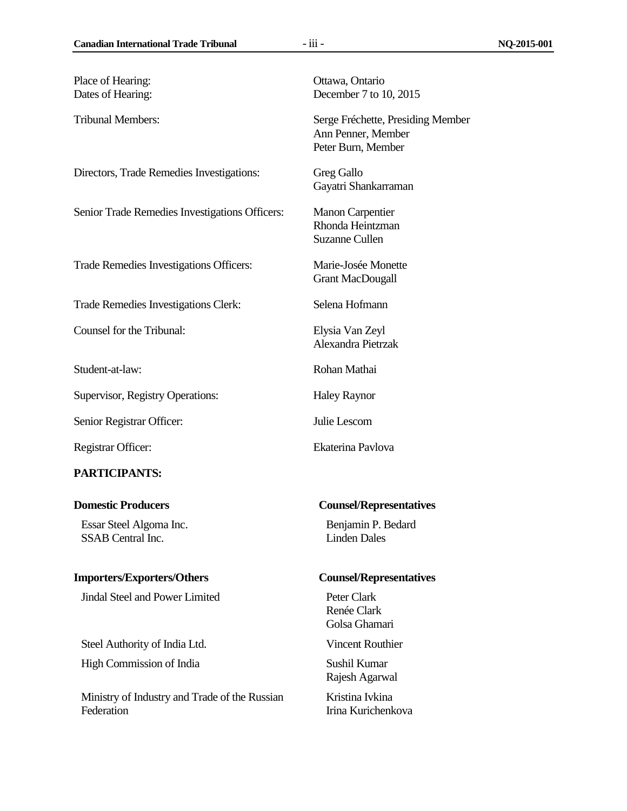Place of Hearing: **Ottawa, Ontario** 

Directors, Trade Remedies Investigations: Greg Gallo

Senior Trade Remedies Investigations Officers: Manon Carpentier

Trade Remedies Investigations Officers: Marie-Josée Monette

Trade Remedies Investigations Clerk: Selena Hofmann

Counsel for the Tribunal: Elysia Van Zeyl

Student-at-law: Rohan Mathai

Supervisor, Registry Operations: Haley Raynor

Senior Registrar Officer: Julie Lescom

#### **PARTICIPANTS:**

Essar Steel Algoma Inc. SSAB Central Inc.

#### **Importers/Exporters/Others Counsel/Representatives**

**Jindal Steel and Power Limited Peter Clark** 

Steel Authority of India Ltd. Vincent Routhier High Commission of India Sushil Kumar

Ministry of Industry and Trade of the Russian Federation

Dates of Hearing: December 7 to 10, 2015

Tribunal Members: Serge Fréchette, Presiding Member Ann Penner, Member Peter Burn, Member

Gayatri Shankarraman

Rhonda Heintzman Suzanne Cullen

Grant MacDougall

Alexandra Pietrzak

Registrar Officer: Ekaterina Pavlova

#### **Domestic Producers Counsel/Representatives**

Benjamin P. Bedard Linden Dales

Renée Clark Golsa Ghamari

Rajesh Agarwal

Kristina Ivkina Irina Kurichenkova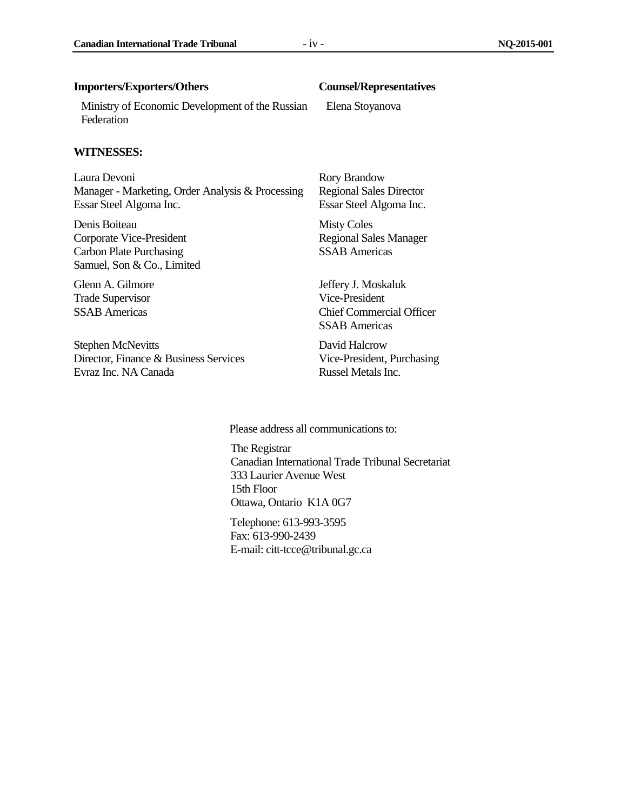#### **Importers/Exporters/Others Counsel/Representatives**

Ministry of Economic Development of the Russian Federation

#### **WITNESSES:**

Laura Devoni Manager - Marketing, Order Analysis & Processing Essar Steel Algoma Inc.

Denis Boiteau Corporate Vice-President Carbon Plate Purchasing Samuel, Son & Co., Limited

Glenn A. Gilmore Trade Supervisor SSAB Americas

Stephen McNevitts Director, Finance & Business Services Evraz Inc. NA Canada

Elena Stoyanova

Rory Brandow Regional Sales Director Essar Steel Algoma Inc.

Misty Coles Regional Sales Manager SSAB Americas

Jeffery J. Moskaluk Vice-President Chief Commercial Officer SSAB Americas

David Halcrow Vice-President, Purchasing Russel Metals Inc.

Please address all communications to:

The Registrar Canadian International Trade Tribunal Secretariat 333 Laurier Avenue West 15th Floor Ottawa, Ontario K1A 0G7

Telephone: 613-993-3595 Fax: 613-990-2439 E-mail: citt-tcce@tribunal.gc.ca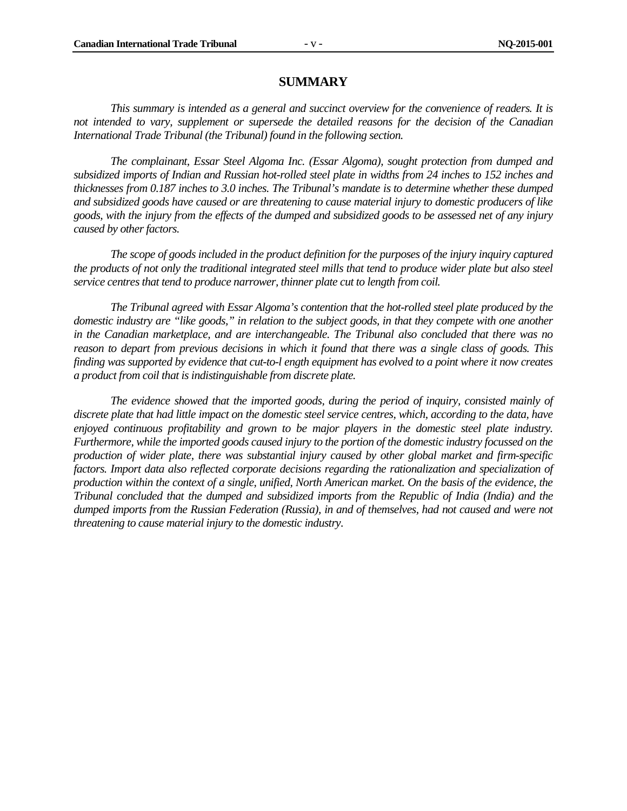#### **SUMMARY**

<span id="page-7-0"></span>*This summary is intended as a general and succinct overview for the convenience of readers. It is not intended to vary, supplement or supersede the detailed reasons for the decision of the Canadian International Trade Tribunal (the Tribunal) found in the following section.*

*The complainant, Essar Steel Algoma Inc. (Essar Algoma), sought protection from dumped and subsidized imports of Indian and Russian hot-rolled steel plate in widths from 24 inches to 152 inches and thicknesses from 0.187 inches to 3.0 inches. The Tribunal's mandate is to determine whether these dumped and subsidized goods have caused or are threatening to cause material injury to domestic producers of like goods, with the injury from the effects of the dumped and subsidized goods to be assessed net of any injury caused by other factors.*

*The scope of goods included in the product definition for the purposes of the injury inquiry captured the products of not only the traditional integrated steel mills that tend to produce wider plate but also steel service centres that tend to produce narrower, thinner plate cut to length from coil.*

*The Tribunal agreed with Essar Algoma's contention that the hot-rolled steel plate produced by the domestic industry are "like goods," in relation to the subject goods, in that they compete with one another in the Canadian marketplace, and are interchangeable. The Tribunal also concluded that there was no reason to depart from previous decisions in which it found that there was a single class of goods. This finding was supported by evidence that cut-to-l ength equipment has evolved to a point where it now creates a product from coil that is indistinguishable from discrete plate.*

*The evidence showed that the imported goods, during the period of inquiry, consisted mainly of discrete plate that had little impact on the domestic steel service centres, which, according to the data, have enjoyed continuous profitability and grown to be major players in the domestic steel plate industry. Furthermore, while the imported goods caused injury to the portion of the domestic industry focussed on the production of wider plate, there was substantial injury caused by other global market and firm-specific factors. Import data also reflected corporate decisions regarding the rationalization and specialization of production within the context of a single, unified, North American market. On the basis of the evidence, the Tribunal concluded that the dumped and subsidized imports from the Republic of India (India) and the dumped imports from the Russian Federation (Russia), in and of themselves, had not caused and were not threatening to cause material injury to the domestic industry.*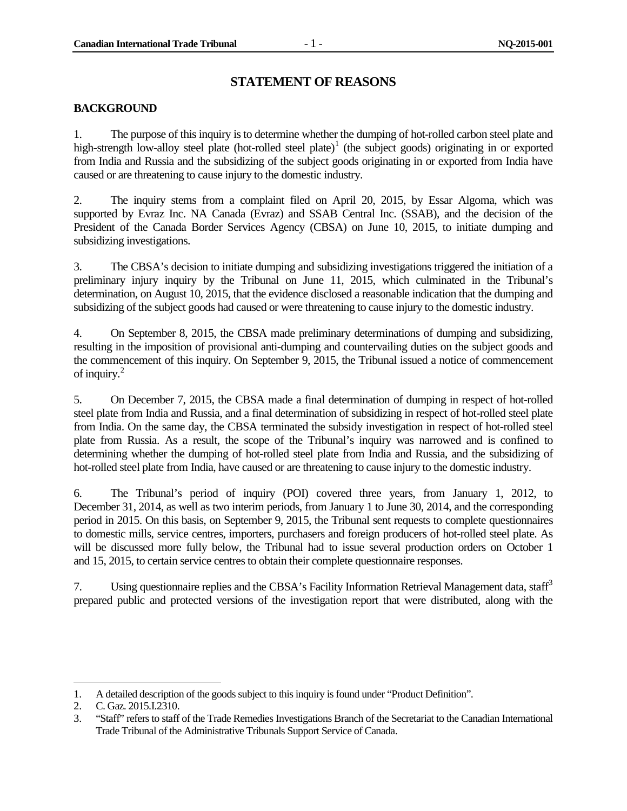#### **STATEMENT OF REASONS**

#### <span id="page-8-1"></span><span id="page-8-0"></span>**BACKGROUND**

1. The purpose of this inquiry is to determine whether the dumping of hot-rolled carbon steel plate and high-strength low-alloy steel plate (hot-rolled steel plate)<sup>[1](#page-8-2)</sup> (the subject goods) originating in or exported from India and Russia and the subsidizing of the subject goods originating in or exported from India have caused or are threatening to cause injury to the domestic industry.

2. The inquiry stems from a complaint filed on April 20, 2015, by Essar Algoma, which was supported by Evraz Inc. NA Canada (Evraz) and SSAB Central Inc. (SSAB), and the decision of the President of the Canada Border Services Agency (CBSA) on June 10, 2015, to initiate dumping and subsidizing investigations.

3. The CBSA's decision to initiate dumping and subsidizing investigations triggered the initiation of a preliminary injury inquiry by the Tribunal on June 11, 2015, which culminated in the Tribunal's determination, on August 10, 2015, that the evidence disclosed a reasonable indication that the dumping and subsidizing of the subject goods had caused or were threatening to cause injury to the domestic industry.

4. On September 8, 2015, the CBSA made preliminary determinations of dumping and subsidizing, resulting in the imposition of provisional anti-dumping and countervailing duties on the subject goods and the commencement of this inquiry. On September 9, 2015, the Tribunal issued a notice of commencement of inquiry.[2](#page-8-3)

5. On December 7, 2015, the CBSA made a final determination of dumping in respect of hot-rolled steel plate from India and Russia, and a final determination of subsidizing in respect of hot-rolled steel plate from India. On the same day, the CBSA terminated the subsidy investigation in respect of hot-rolled steel plate from Russia. As a result, the scope of the Tribunal's inquiry was narrowed and is confined to determining whether the dumping of hot-rolled steel plate from India and Russia, and the subsidizing of hot-rolled steel plate from India, have caused or are threatening to cause injury to the domestic industry.

6. The Tribunal's period of inquiry (POI) covered three years, from January 1, 2012, to December 31, 2014, as well as two interim periods, from January 1 to June 30, 2014, and the corresponding period in 2015. On this basis, on September 9, 2015, the Tribunal sent requests to complete questionnaires to domestic mills, service centres, importers, purchasers and foreign producers of hot-rolled steel plate. As will be discussed more fully below, the Tribunal had to issue several production orders on October 1 and 15, 2015, to certain service centres to obtain their complete questionnaire responses.

7. Using questionnaire replies and the CBSA's Facility Information Retrieval Management data, staff<sup>[3](#page-8-4)</sup> prepared public and protected versions of the investigation report that were distributed, along with the

 $\ddot{\phantom{a}}$ 

<span id="page-8-2"></span><sup>1.</sup> A detailed description of the goods subject to this inquiry is found under "Product Definition".

<span id="page-8-3"></span><sup>2.</sup> C. Gaz. 2015.I.2310.

<span id="page-8-4"></span><sup>3.</sup> "Staff" refers to staff of the Trade Remedies Investigations Branch of the Secretariat to the Canadian International Trade Tribunal of the Administrative Tribunals Support Service of Canada.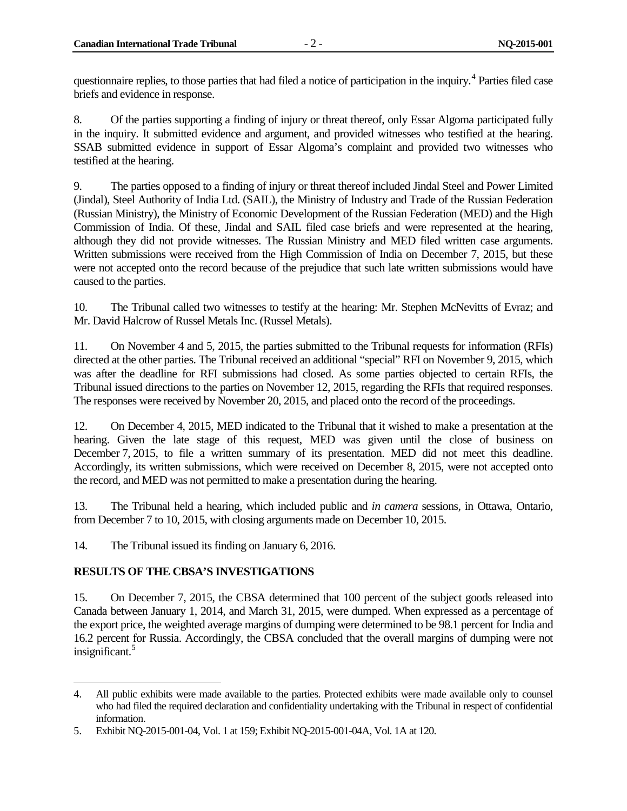questionnaire replies, to those parties that had filed a notice of participation in the inquiry.<sup>[4](#page-9-1)</sup> Parties filed case briefs and evidence in response.

8. Of the parties supporting a finding of injury or threat thereof, only Essar Algoma participated fully in the inquiry. It submitted evidence and argument, and provided witnesses who testified at the hearing. SSAB submitted evidence in support of Essar Algoma's complaint and provided two witnesses who testified at the hearing.

9. The parties opposed to a finding of injury or threat thereof included Jindal Steel and Power Limited (Jindal), Steel Authority of India Ltd. (SAIL), the Ministry of Industry and Trade of the Russian Federation (Russian Ministry), the Ministry of Economic Development of the Russian Federation (MED) and the High Commission of India. Of these, Jindal and SAIL filed case briefs and were represented at the hearing, although they did not provide witnesses. The Russian Ministry and MED filed written case arguments. Written submissions were received from the High Commission of India on December 7, 2015, but these were not accepted onto the record because of the prejudice that such late written submissions would have caused to the parties.

10. The Tribunal called two witnesses to testify at the hearing: Mr. Stephen McNevitts of Evraz; and Mr. David Halcrow of Russel Metals Inc. (Russel Metals).

11. On November 4 and 5, 2015, the parties submitted to the Tribunal requests for information (RFIs) directed at the other parties. The Tribunal received an additional "special" RFI on November 9, 2015, which was after the deadline for RFI submissions had closed. As some parties objected to certain RFIs, the Tribunal issued directions to the parties on November 12, 2015, regarding the RFIs that required responses. The responses were received by November 20, 2015, and placed onto the record of the proceedings.

12. On December 4, 2015, MED indicated to the Tribunal that it wished to make a presentation at the hearing. Given the late stage of this request, MED was given until the close of business on December 7, 2015, to file a written summary of its presentation. MED did not meet this deadline. Accordingly, its written submissions, which were received on December 8, 2015, were not accepted onto the record, and MED was not permitted to make a presentation during the hearing.

13. The Tribunal held a hearing, which included public and *in camera* sessions, in Ottawa, Ontario, from December 7 to 10, 2015, with closing arguments made on December 10, 2015.

14. The Tribunal issued its finding on January 6, 2016.

#### <span id="page-9-0"></span>**RESULTS OF THE CBSA'S INVESTIGATIONS**

15. On December 7, 2015, the CBSA determined that 100 percent of the subject goods released into Canada between January 1, 2014, and March 31, 2015, were dumped. When expressed as a percentage of the export price, the weighted average margins of dumping were determined to be 98.1 percent for India and 16.2 percent for Russia. Accordingly, the CBSA concluded that the overall margins of dumping were not insignificant.<sup>[5](#page-9-2)</sup>

<span id="page-9-1"></span><sup>4.</sup> All public exhibits were made available to the parties. Protected exhibits were made available only to counsel who had filed the required declaration and confidentiality undertaking with the Tribunal in respect of confidential information.  $\ddot{\phantom{a}}$ 

<span id="page-9-2"></span><sup>5.</sup> Exhibit NQ-2015-001-04, Vol. 1 at 159; Exhibit NQ-2015-001-04A, Vol. 1A at 120.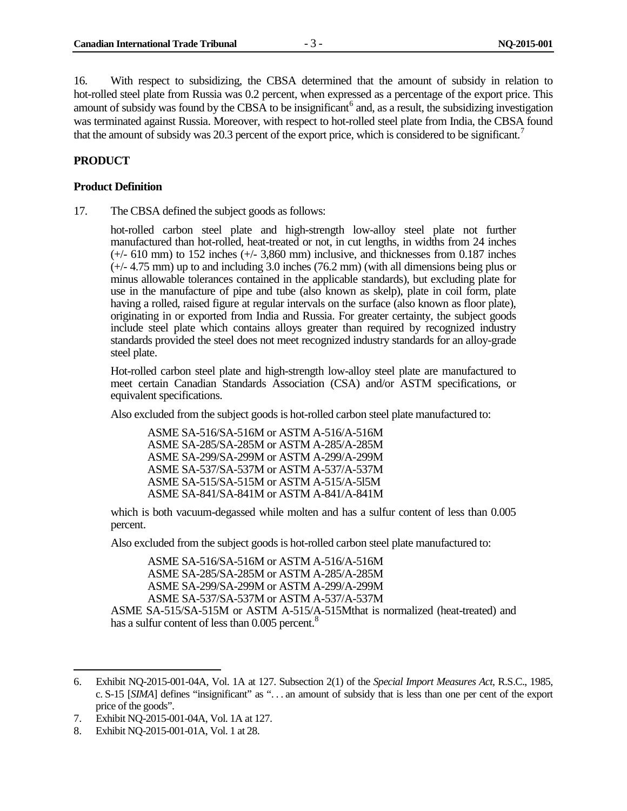16. With respect to subsidizing, the CBSA determined that the amount of subsidy in relation to hot-rolled steel plate from Russia was 0.2 percent, when expressed as a percentage of the export price. This amount of subsidy was found by the CBSA to be insignificant<sup>[6](#page-10-2)</sup> and, as a result, the subsidizing investigation was terminated against Russia. Moreover, with respect to hot-rolled steel plate from India, the CBSA found that the amount of subsidy was 20.3 percent of the export price, which is considered to be significant.<sup>[7](#page-10-3)</sup>

#### <span id="page-10-0"></span>**PRODUCT**

#### <span id="page-10-1"></span>**Product Definition**

17. The CBSA defined the subject goods as follows:

hot-rolled carbon steel plate and high-strength low-alloy steel plate not further manufactured than hot-rolled, heat-treated or not, in cut lengths, in widths from 24 inches  $(+/- 610$  mm) to 152 inches  $(+/- 3,860$  mm) inclusive, and thicknesses from 0.187 inches  $(+/- 4.75$  mm) up to and including 3.0 inches (76.2 mm) (with all dimensions being plus or minus allowable tolerances contained in the applicable standards), but excluding plate for use in the manufacture of pipe and tube (also known as skelp), plate in coil form, plate having a rolled, raised figure at regular intervals on the surface (also known as floor plate), originating in or exported from India and Russia. For greater certainty, the subject goods include steel plate which contains alloys greater than required by recognized industry standards provided the steel does not meet recognized industry standards for an alloy-grade steel plate.

Hot-rolled carbon steel plate and high-strength low-alloy steel plate are manufactured to meet certain Canadian Standards Association (CSA) and/or ASTM specifications, or equivalent specifications.

Also excluded from the subject goods is hot-rolled carbon steel plate manufactured to:

ASME SA-516/SA-516M or ASTM A-516/A-516M ASME SA-285/SA-285M or ASTM A-285/A-285M ASME SA-299/SA-299M or ASTM A-299/A-299M ASME SA-537/SA-537M or ASTM A-537/A-537M ASME SA-515/SA-515M or ASTM A-515/A-5l5M ASME SA-841/SA-841M or ASTM A-841/A-841M

which is both vacuum-degassed while molten and has a sulfur content of less than 0.005 percent.

Also excluded from the subject goods is hot-rolled carbon steel plate manufactured to:

ASME SA-516/SA-516M or ASTM A-516/A-516M ASME SA-285/SA-285M or ASTM A-285/A-285M ASME SA-299/SA-299M or ASTM A-299/A-299M ASME SA-537/SA-537M or ASTM A-537/A-537M

ASME SA-515/SA-515M or ASTM A-515/A-515Mthat is normalized (heat-treated) and has a sulfur content of less than 0.005 percent.<sup>8</sup>

 $\ddot{\phantom{a}}$ 

<span id="page-10-2"></span><sup>6.</sup> Exhibit NQ-2015-001-04A, Vol. 1A at 127. Subsection 2(1) of the *Special Import Measures Act*, R.S.C., 1985, c. S-15 [*SIMA*] defines "insignificant" as ". . . an amount of subsidy that is less than one per cent of the export price of the goods".

<span id="page-10-3"></span><sup>7.</sup> Exhibit NQ-2015-001-04A, Vol. 1A at 127.

<span id="page-10-4"></span><sup>8.</sup> Exhibit NQ-2015-001-01A, Vol. 1 at 28.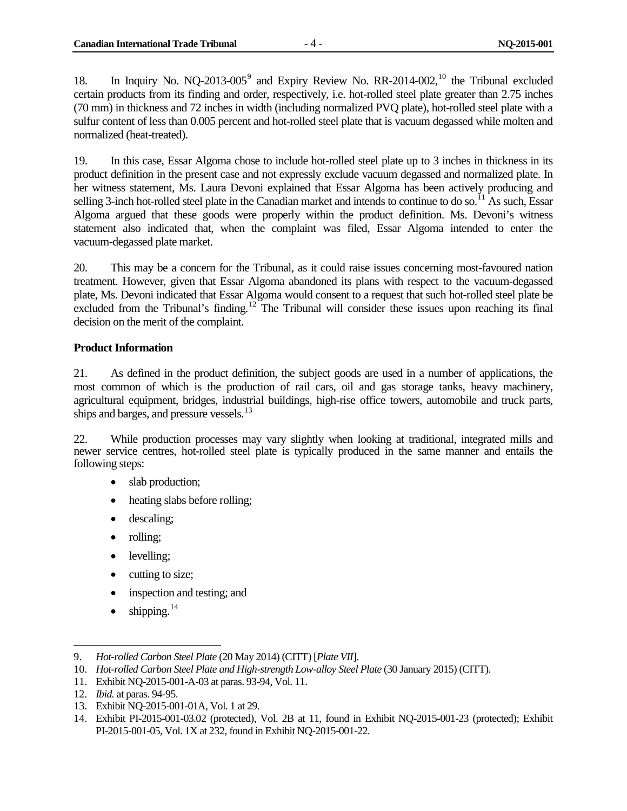18. In Inquiry No. NQ-2013-005<sup>[9](#page-11-1)</sup> and Expiry Review No. RR-2014-002,<sup>[10](#page-11-2)</sup> the Tribunal excluded certain products from its finding and order, respectively, i.e. hot-rolled steel plate greater than 2.75 inches (70 mm) in thickness and 72 inches in width (including normalized PVQ plate), hot-rolled steel plate with a sulfur content of less than 0.005 percent and hot-rolled steel plate that is vacuum degassed while molten and normalized (heat-treated).

19. In this case, Essar Algoma chose to include hot-rolled steel plate up to 3 inches in thickness in its product definition in the present case and not expressly exclude vacuum degassed and normalized plate. In her witness statement, Ms. Laura Devoni explained that Essar Algoma has been actively producing and selling 3-inch hot-rolled steel plate in the Canadian market and intends to continue to do so.<sup>[11](#page-11-3)</sup> As such, Essar Algoma argued that these goods were properly within the product definition. Ms. Devoni's witness statement also indicated that, when the complaint was filed, Essar Algoma intended to enter the vacuum-degassed plate market.

20. This may be a concern for the Tribunal, as it could raise issues concerning most-favoured nation treatment. However, given that Essar Algoma abandoned its plans with respect to the vacuum-degassed plate, Ms. Devoni indicated that Essar Algoma would consent to a request that such hot-rolled steel plate be excluded from the Tribunal's finding.<sup>[12](#page-11-4)</sup> The Tribunal will consider these issues upon reaching its final decision on the merit of the complaint.

#### <span id="page-11-0"></span>**Product Information**

21. As defined in the product definition, the subject goods are used in a number of applications, the most common of which is the production of rail cars, oil and gas storage tanks, heavy machinery, agricultural equipment, bridges, industrial buildings, high-rise office towers, automobile and truck parts, ships and barges, and pressure vessels.<sup>[13](#page-11-5)</sup>

22. While production processes may vary slightly when looking at traditional, integrated mills and newer service centres, hot-rolled steel plate is typically produced in the same manner and entails the following steps:

- slab production;
- heating slabs before rolling;
- descaling;
- rolling;
- levelling;
- cutting to size;
- inspection and testing; and
- $\bullet$  shipping.<sup>[14](#page-11-6)</sup>

<span id="page-11-1"></span><sup>9.</sup> *Hot-rolled Carbon Steel Plate* (20 May 2014) (CITT) [*Plate VII*].

<span id="page-11-2"></span><sup>10.</sup> *Hot-rolled Carbon Steel Plate and High-strength Low-alloy Steel Plate* (30 January 2015) (CITT).

<span id="page-11-3"></span><sup>11.</sup> Exhibit NQ-2015-001-A-03 at paras. 93-94, Vol. 11.

<span id="page-11-4"></span><sup>12.</sup> *Ibid.* at paras. 94-95.

<span id="page-11-5"></span><sup>13.</sup> Exhibit NQ-2015-001-01A, Vol. 1 at 29.

<span id="page-11-6"></span><sup>14.</sup> Exhibit PI-2015-001-03.02 (protected), Vol. 2B at 11, found in Exhibit NQ-2015-001-23 (protected); Exhibit PI-2015-001-05, Vol. 1X at 232, found in Exhibit NQ-2015-001-22.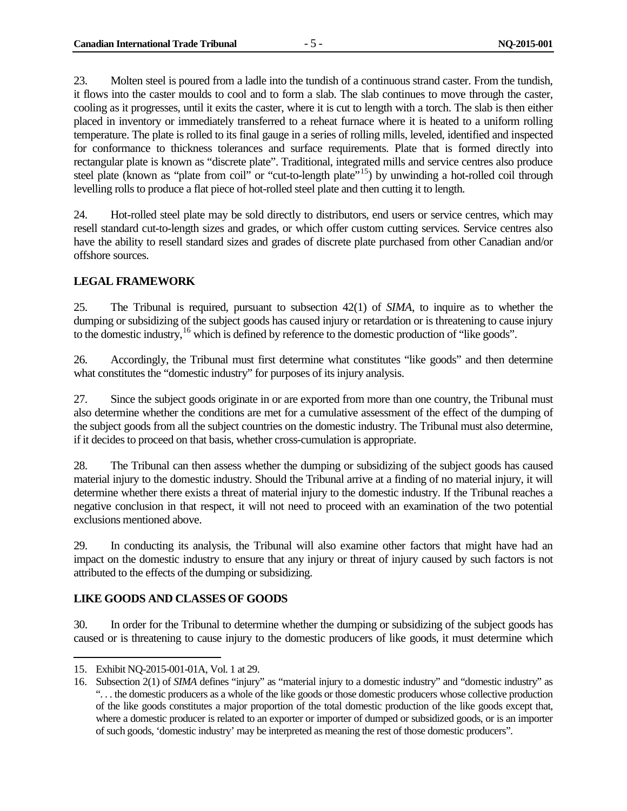23. Molten steel is poured from a ladle into the tundish of a continuous strand caster. From the tundish, it flows into the caster moulds to cool and to form a slab. The slab continues to move through the caster, cooling as it progresses, until it exits the caster, where it is cut to length with a torch. The slab is then either placed in inventory or immediately transferred to a reheat furnace where it is heated to a uniform rolling temperature. The plate is rolled to its final gauge in a series of rolling mills, leveled, identified and inspected for conformance to thickness tolerances and surface requirements. Plate that is formed directly into rectangular plate is known as "discrete plate". Traditional, integrated mills and service centres also produce steel plate (known as "plate from coil" or "cut-to-length plate"<sup>15</sup>) by unwinding a hot-rolled coil through levelling rolls to produce a flat piece of hot-rolled steel plate and then cutting it to length.

24. Hot-rolled steel plate may be sold directly to distributors, end users or service centres, which may resell standard cut-to-length sizes and grades, or which offer custom cutting services. Service centres also have the ability to resell standard sizes and grades of discrete plate purchased from other Canadian and/or offshore sources.

#### <span id="page-12-0"></span>**LEGAL FRAMEWORK**

25. The Tribunal is required, pursuant to subsection 42(1) of *SIMA*, to inquire as to whether the dumping or subsidizing of the subject goods has caused injury or retardation or is threatening to cause injury to the domestic industry,<sup>[16](#page-12-3)</sup> which is defined by reference to the domestic production of "like goods".

26. Accordingly, the Tribunal must first determine what constitutes "like goods" and then determine what constitutes the "domestic industry" for purposes of its injury analysis.

27. Since the subject goods originate in or are exported from more than one country, the Tribunal must also determine whether the conditions are met for a cumulative assessment of the effect of the dumping of the subject goods from all the subject countries on the domestic industry. The Tribunal must also determine, if it decides to proceed on that basis, whether cross-cumulation is appropriate.

28. The Tribunal can then assess whether the dumping or subsidizing of the subject goods has caused material injury to the domestic industry. Should the Tribunal arrive at a finding of no material injury, it will determine whether there exists a threat of material injury to the domestic industry. If the Tribunal reaches a negative conclusion in that respect, it will not need to proceed with an examination of the two potential exclusions mentioned above.

29. In conducting its analysis, the Tribunal will also examine other factors that might have had an impact on the domestic industry to ensure that any injury or threat of injury caused by such factors is not attributed to the effects of the dumping or subsidizing.

#### <span id="page-12-1"></span>**LIKE GOODS AND CLASSES OF GOODS**

30. In order for the Tribunal to determine whether the dumping or subsidizing of the subject goods has caused or is threatening to cause injury to the domestic producers of like goods, it must determine which

<span id="page-12-2"></span><sup>15.</sup> Exhibit NQ-2015-001-01A, Vol. 1 at 29.  $\overline{a}$ 

<span id="page-12-3"></span><sup>16.</sup> Subsection 2(1) of *SIMA* defines "injury" as "material injury to a domestic industry" and "domestic industry" as ". . . the domestic producers as a whole of the like goods or those domestic producers whose collective production of the like goods constitutes a major proportion of the total domestic production of the like goods except that, where a domestic producer is related to an exporter or importer of dumped or subsidized goods, or is an importer of such goods, 'domestic industry' may be interpreted as meaning the rest of those domestic producers".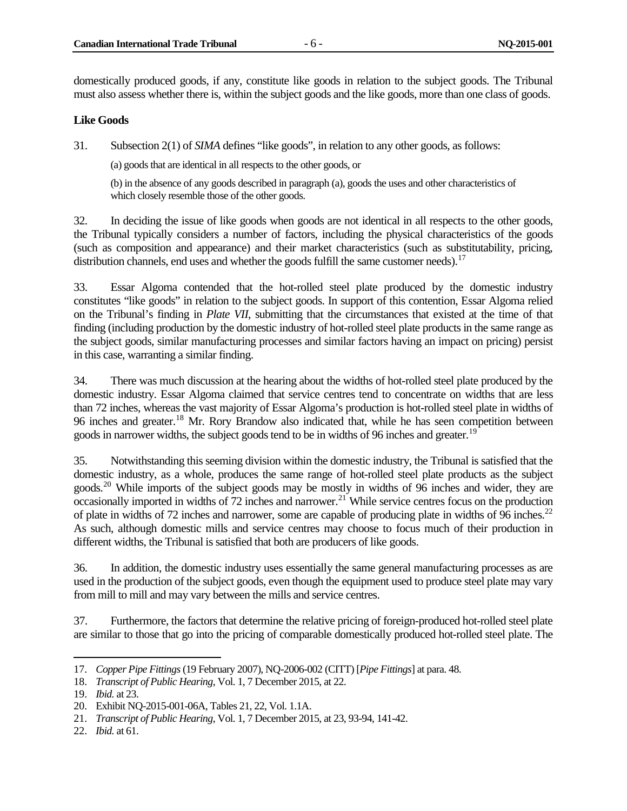domestically produced goods, if any, constitute like goods in relation to the subject goods. The Tribunal must also assess whether there is, within the subject goods and the like goods, more than one class of goods.

#### <span id="page-13-0"></span>**Like Goods**

31. Subsection 2(1) of *SIMA* defines "like goods", in relation to any other goods, as follows:

(a) goods that are identical in all respects to the other goods, or

(b) in the absence of any goods described in paragraph (a), goods the uses and other characteristics of which closely resemble those of the other goods.

32. In deciding the issue of like goods when goods are not identical in all respects to the other goods, the Tribunal typically considers a number of factors, including the physical characteristics of the goods (such as composition and appearance) and their market characteristics (such as substitutability, pricing, distribution channels, end uses and whether the goods fulfill the same customer needs).<sup>[17](#page-13-1)</sup>

33. Essar Algoma contended that the hot-rolled steel plate produced by the domestic industry constitutes "like goods" in relation to the subject goods. In support of this contention, Essar Algoma relied on the Tribunal's finding in *Plate VII*, submitting that the circumstances that existed at the time of that finding (including production by the domestic industry of hot-rolled steel plate products in the same range as the subject goods, similar manufacturing processes and similar factors having an impact on pricing) persist in this case, warranting a similar finding.

34. There was much discussion at the hearing about the widths of hot-rolled steel plate produced by the domestic industry. Essar Algoma claimed that service centres tend to concentrate on widths that are less than 72 inches, whereas the vast majority of Essar Algoma's production is hot-rolled steel plate in widths of 96 inches and greater.<sup>[18](#page-13-2)</sup> Mr. Rory Brandow also indicated that, while he has seen competition between goods in narrower widths, the subject goods tend to be in widths of 96 inches and greater.<sup>[19](#page-13-3)</sup>

35. Notwithstanding this seeming division within the domestic industry, the Tribunal is satisfied that the domestic industry, as a whole, produces the same range of hot-rolled steel plate products as the subject goods.<sup>[20](#page-13-4)</sup> While imports of the subject goods may be mostly in widths of 96 inches and wider, they are occasionally imported in widths of 72 inches and narrower.<sup>[21](#page-13-5)</sup> While service centres focus on the production of plate in widths of 72 inches and narrower, some are capable of producing plate in widths of 96 inches.<sup>[22](#page-13-6)</sup> As such, although domestic mills and service centres may choose to focus much of their production in different widths, the Tribunal is satisfied that both are producers of like goods.

36. In addition, the domestic industry uses essentially the same general manufacturing processes as are used in the production of the subject goods, even though the equipment used to produce steel plate may vary from mill to mill and may vary between the mills and service centres.

37. Furthermore, the factors that determine the relative pricing of foreign-produced hot-rolled steel plate are similar to those that go into the pricing of comparable domestically produced hot-rolled steel plate. The

<span id="page-13-1"></span><sup>17.</sup> *Copper Pipe Fittings*(19 February 2007), NQ-2006-002 (CITT) [*Pipe Fittings*] at para. 48.

<span id="page-13-2"></span><sup>18.</sup> *Transcript of Public Hearing*, Vol. 1, 7 December 2015, at 22.

<span id="page-13-3"></span><sup>19.</sup> *Ibid.* at 23.

<span id="page-13-4"></span><sup>20.</sup> Exhibit NQ-2015-001-06A, Tables 21, 22, Vol. 1.1A.

<span id="page-13-5"></span><sup>21.</sup> *Transcript of Public Hearing*, Vol. 1, 7 December 2015, at 23, 93-94, 141-42.

<span id="page-13-6"></span><sup>22.</sup> *Ibid.* at 61.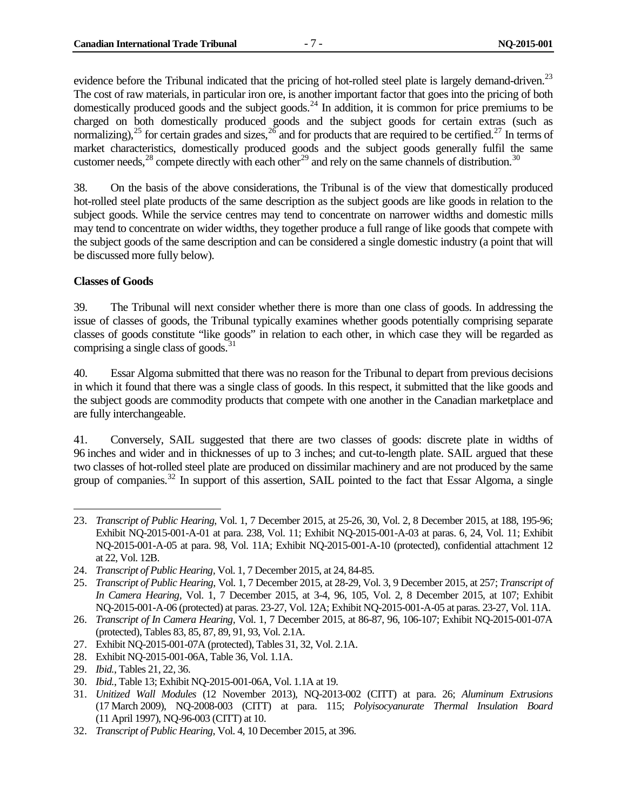evidence before the Tribunal indicated that the pricing of hot-rolled steel plate is largely demand-driven.<sup>[23](#page-14-1)</sup> The cost of raw materials, in particular iron ore, is another important factor that goes into the pricing of both domestically produced goods and the subject goods.<sup>[24](#page-14-2)</sup> In addition, it is common for price premiums to be charged on both domestically produced goods and the subject goods for certain extras (such as normalizing),  $25$  for certain grades and sizes,  $26$  and for products that are required to be certified.  $27$  In terms of market characteristics, domestically produced goods and the subject goods generally fulfil the same customer needs,<sup>[28](#page-14-6)</sup> compete directly with each other<sup>[29](#page-14-7)</sup> and rely on the same channels of distribution.<sup>[30](#page-14-8)</sup>

38. On the basis of the above considerations, the Tribunal is of the view that domestically produced hot-rolled steel plate products of the same description as the subject goods are like goods in relation to the subject goods. While the service centres may tend to concentrate on narrower widths and domestic mills may tend to concentrate on wider widths, they together produce a full range of like goods that compete with the subject goods of the same description and can be considered a single domestic industry (a point that will be discussed more fully below).

#### <span id="page-14-0"></span>**Classes of Goods**

 $\overline{a}$ 

39. The Tribunal will next consider whether there is more than one class of goods. In addressing the issue of classes of goods, the Tribunal typically examines whether goods potentially comprising separate classes of goods constitute "like goods" in relation to each other, in which case they will be regarded as comprising a single class of goods.<sup>[31](#page-14-9)</sup>

40. Essar Algoma submitted that there was no reason for the Tribunal to depart from previous decisions in which it found that there was a single class of goods. In this respect, it submitted that the like goods and the subject goods are commodity products that compete with one another in the Canadian marketplace and are fully interchangeable.

41. Conversely, SAIL suggested that there are two classes of goods: discrete plate in widths of 96 inches and wider and in thicknesses of up to 3 inches; and cut-to-length plate. SAIL argued that these two classes of hot-rolled steel plate are produced on dissimilar machinery and are not produced by the same group of companies.<sup>[32](#page-14-10)</sup> In support of this assertion, SAIL pointed to the fact that Essar Algoma, a single

<span id="page-14-6"></span>28. Exhibit NQ-2015-001-06A, Table 36, Vol. 1.1A.

<span id="page-14-1"></span><sup>23.</sup> *Transcript of Public Hearing*, Vol. 1, 7 December 2015, at 25-26, 30, Vol. 2, 8 December 2015, at 188, 195-96; Exhibit NQ-2015-001-A-01 at para. 238, Vol. 11; Exhibit NQ-2015-001-A-03 at paras. 6, 24, Vol. 11; Exhibit NQ-2015-001-A-05 at para. 98, Vol. 11A; Exhibit NQ-2015-001-A-10 (protected), confidential attachment 12 at 22, Vol. 12B.

<span id="page-14-2"></span><sup>24.</sup> *Transcript of Public Hearing,* Vol. 1, 7 December 2015, at 24, 84-85.

<span id="page-14-3"></span><sup>25.</sup> *Transcript of Public Hearing*, Vol. 1, 7 December 2015, at 28-29, Vol. 3, 9 December 2015, at 257; *Transcript of In Camera Hearing,* Vol. 1, 7 December 2015, at 3-4, 96, 105, Vol. 2, 8 December 2015, at 107; Exhibit NQ-2015-001-A-06 (protected) at paras. 23-27, Vol. 12A; Exhibit NQ-2015-001-A-05 at paras. 23-27, Vol. 11A.

<span id="page-14-4"></span><sup>26.</sup> *Transcript of In Camera Hearing,* Vol. 1, 7 December 2015, at 86-87, 96, 106-107; Exhibit NQ-2015-001-07A (protected), Tables 83, 85, 87, 89, 91, 93, Vol. 2.1A.

<span id="page-14-5"></span><sup>27.</sup> Exhibit NQ-2015-001-07A (protected), Tables 31, 32, Vol. 2.1A.

<span id="page-14-7"></span><sup>29.</sup> *Ibid.*, Tables 21, 22, 36.

<span id="page-14-8"></span><sup>30.</sup> *Ibid.*, Table 13; Exhibit NQ-2015-001-06A, Vol. 1.1A at 19.

<span id="page-14-9"></span><sup>31.</sup> *Unitized Wall Modules* (12 November 2013), NQ-2013-002 (CITT) at para. 26; *Aluminum Extrusions* (17 March 2009), NQ-2008-003 (CITT) at para. 115; *Polyisocyanurate Thermal Insulation Board* (11 April 1997), NQ-96-003 (CITT) at 10.

<span id="page-14-10"></span><sup>32.</sup> *Transcript of Public Hearing*, Vol. 4, 10 December 2015, at 396.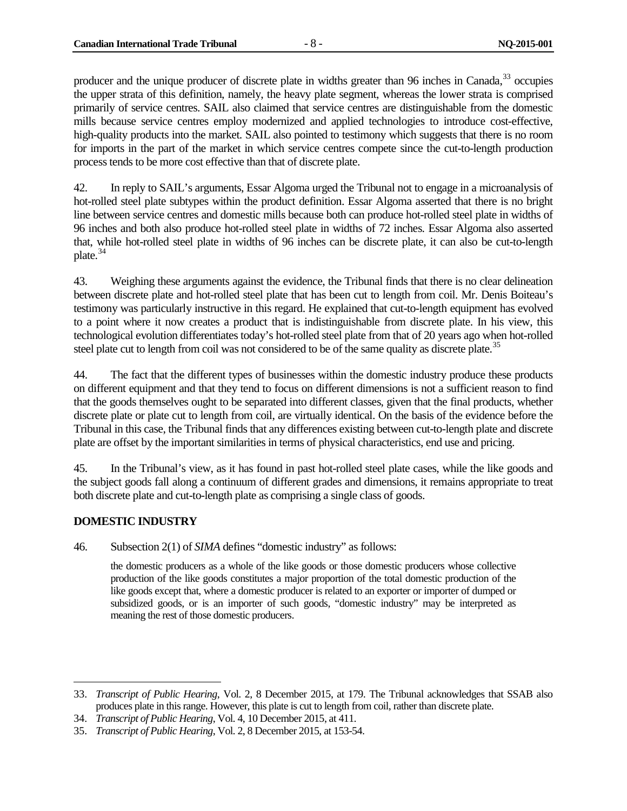producer and the unique producer of discrete plate in widths greater than 96 inches in Canada, <sup>[33](#page-15-1)</sup> occupies the upper strata of this definition, namely, the heavy plate segment, whereas the lower strata is comprised primarily of service centres. SAIL also claimed that service centres are distinguishable from the domestic mills because service centres employ modernized and applied technologies to introduce cost-effective, high-quality products into the market. SAIL also pointed to testimony which suggests that there is no room for imports in the part of the market in which service centres compete since the cut-to-length production process tends to be more cost effective than that of discrete plate.

42. In reply to SAIL's arguments, Essar Algoma urged the Tribunal not to engage in a microanalysis of hot-rolled steel plate subtypes within the product definition. Essar Algoma asserted that there is no bright line between service centres and domestic mills because both can produce hot-rolled steel plate in widths of 96 inches and both also produce hot-rolled steel plate in widths of 72 inches. Essar Algoma also asserted that, while hot-rolled steel plate in widths of 96 inches can be discrete plate, it can also be cut-to-length plate.[34](#page-15-2)

43. Weighing these arguments against the evidence, the Tribunal finds that there is no clear delineation between discrete plate and hot-rolled steel plate that has been cut to length from coil. Mr. Denis Boiteau's testimony was particularly instructive in this regard. He explained that cut-to-length equipment has evolved to a point where it now creates a product that is indistinguishable from discrete plate. In his view, this technological evolution differentiates today's hot-rolled steel plate from that of 20 years ago when hot-rolled steel plate cut to length from coil was not considered to be of the same quality as discrete plate.<sup>[35](#page-15-3)</sup>

44. The fact that the different types of businesses within the domestic industry produce these products on different equipment and that they tend to focus on different dimensions is not a sufficient reason to find that the goods themselves ought to be separated into different classes, given that the final products, whether discrete plate or plate cut to length from coil, are virtually identical. On the basis of the evidence before the Tribunal in this case, the Tribunal finds that any differences existing between cut-to-length plate and discrete plate are offset by the important similarities in terms of physical characteristics, end use and pricing.

45. In the Tribunal's view, as it has found in past hot-rolled steel plate cases, while the like goods and the subject goods fall along a continuum of different grades and dimensions, it remains appropriate to treat both discrete plate and cut-to-length plate as comprising a single class of goods.

#### <span id="page-15-0"></span>**DOMESTIC INDUSTRY**

46. Subsection 2(1) of *SIMA* defines "domestic industry" as follows:

the domestic producers as a whole of the like goods or those domestic producers whose collective production of the like goods constitutes a major proportion of the total domestic production of the like goods except that, where a domestic producer is related to an exporter or importer of dumped or subsidized goods, or is an importer of such goods, "domestic industry" may be interpreted as meaning the rest of those domestic producers.

<span id="page-15-1"></span><sup>33.</sup> *Transcript of Public Hearing*, Vol. 2, 8 December 2015, at 179. The Tribunal acknowledges that SSAB also produces plate in this range. However, this plate is cut to length from coil, rather than discrete plate.  $\ddot{\phantom{a}}$ 

<span id="page-15-2"></span><sup>34.</sup> *Transcript of Public Hearing*, Vol. 4, 10 December 2015, at 411.

<span id="page-15-3"></span><sup>35.</sup> *Transcript of Public Hearing*, Vol. 2, 8 December 2015, at 153-54.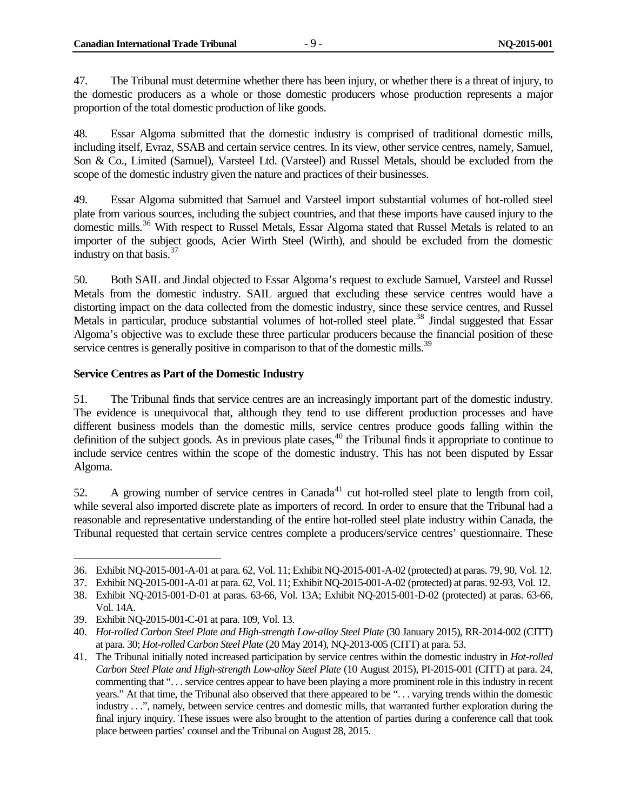47. The Tribunal must determine whether there has been injury, or whether there is a threat of injury, to the domestic producers as a whole or those domestic producers whose production represents a major proportion of the total domestic production of like goods.

48. Essar Algoma submitted that the domestic industry is comprised of traditional domestic mills, including itself, Evraz, SSAB and certain service centres. In its view, other service centres, namely, Samuel, Son & Co., Limited (Samuel), Varsteel Ltd. (Varsteel) and Russel Metals, should be excluded from the scope of the domestic industry given the nature and practices of their businesses.

49. Essar Algoma submitted that Samuel and Varsteel import substantial volumes of hot-rolled steel plate from various sources, including the subject countries, and that these imports have caused injury to the domestic mills.<sup>[36](#page-16-1)</sup> With respect to Russel Metals, Essar Algoma stated that Russel Metals is related to an importer of the subject goods, Acier Wirth Steel (Wirth), and should be excluded from the domestic industry on that basis.<sup>[37](#page-16-2)</sup>

50. Both SAIL and Jindal objected to Essar Algoma's request to exclude Samuel, Varsteel and Russel Metals from the domestic industry. SAIL argued that excluding these service centres would have a distorting impact on the data collected from the domestic industry, since these service centres, and Russel Metals in particular, produce substantial volumes of hot-rolled steel plate.<sup>[38](#page-16-3)</sup> Jindal suggested that Essar Algoma's objective was to exclude these three particular producers because the financial position of these service centres is generally positive in comparison to that of the domestic mills.<sup>[39](#page-16-4)</sup>

#### <span id="page-16-0"></span>**Service Centres as Part of the Domestic Industry**

51. The Tribunal finds that service centres are an increasingly important part of the domestic industry. The evidence is unequivocal that, although they tend to use different production processes and have different business models than the domestic mills, service centres produce goods falling within the definition of the subject goods. As in previous plate cases,  $40$  the Tribunal finds it appropriate to continue to include service centres within the scope of the domestic industry. This has not been disputed by Essar Algoma.

52. A growing number of service centres in  $Canada^{41}$  $Canada^{41}$  $Canada^{41}$  cut hot-rolled steel plate to length from coil, while several also imported discrete plate as importers of record. In order to ensure that the Tribunal had a reasonable and representative understanding of the entire hot-rolled steel plate industry within Canada, the Tribunal requested that certain service centres complete a producers/service centres' questionnaire. These

<sup>36.</sup> Exhibit NQ-2015-001-A-01 at para. 62, Vol. 11; Exhibit NQ-2015-001-A-02 (protected) at paras. 79, 90, Vol. 12.  $\overline{a}$ 

<span id="page-16-2"></span><span id="page-16-1"></span><sup>37.</sup> Exhibit NQ-2015-001-A-01 at para. 62, Vol. 11; Exhibit NQ-2015-001-A-02 (protected) at paras. 92-93, Vol. 12.

<span id="page-16-3"></span><sup>38.</sup> Exhibit NQ-2015-001-D-01 at paras. 63-66, Vol. 13A; Exhibit NQ-2015-001-D-02 (protected) at paras. 63-66, Vol. 14A.

<span id="page-16-4"></span><sup>39.</sup> Exhibit NQ-2015-001-C-01 at para. 109, Vol. 13.

<span id="page-16-5"></span><sup>40.</sup> *Hot-rolled Carbon Steel Plate and High-strength Low-alloy Steel Plate* (30 January 2015), RR-2014-002 (CITT) at para. 30; *Hot-rolled Carbon Steel Plate* (20 May 2014), NQ-2013-005 (CITT) at para. 53.

<span id="page-16-6"></span><sup>41.</sup> The Tribunal initially noted increased participation by service centres within the domestic industry in *Hot-rolled Carbon Steel Plate and High-strength Low-alloy Steel Plate* (10 August 2015), PI-2015-001 (CITT) at para. 24, commenting that ". . .service centres appear to have been playing a more prominent role in this industry in recent years." At that time, the Tribunal also observed that there appeared to be ". . . varying trends within the domestic industry . . .", namely, between service centres and domestic mills, that warranted further exploration during the final injury inquiry. These issues were also brought to the attention of parties during a conference call that took place between parties' counsel and the Tribunal on August 28, 2015.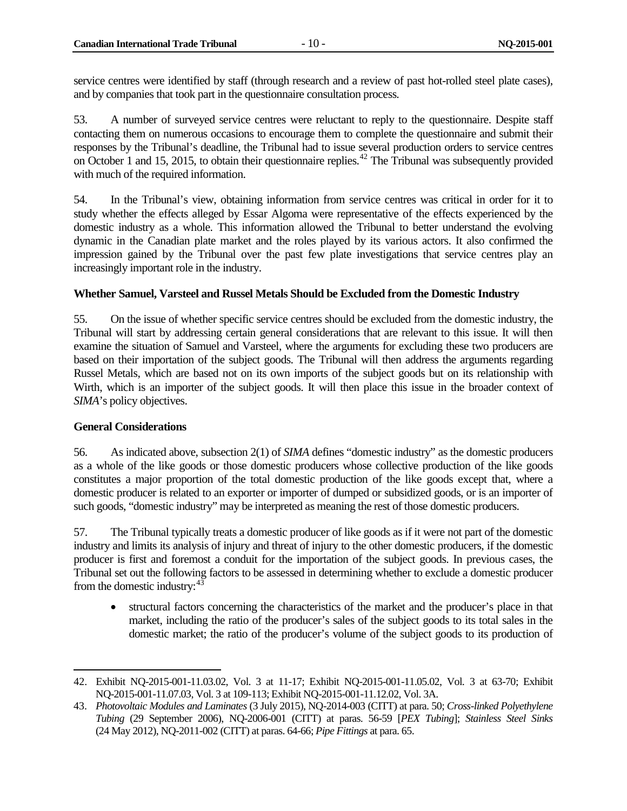service centres were identified by staff (through research and a review of past hot-rolled steel plate cases), and by companies that took part in the questionnaire consultation process.

53. A number of surveyed service centres were reluctant to reply to the questionnaire. Despite staff contacting them on numerous occasions to encourage them to complete the questionnaire and submit their responses by the Tribunal's deadline, the Tribunal had to issue several production orders to service centres on October 1 and 15, 2015, to obtain their questionnaire replies.<sup>[42](#page-17-2)</sup> The Tribunal was subsequently provided with much of the required information.

54. In the Tribunal's view, obtaining information from service centres was critical in order for it to study whether the effects alleged by Essar Algoma were representative of the effects experienced by the domestic industry as a whole. This information allowed the Tribunal to better understand the evolving dynamic in the Canadian plate market and the roles played by its various actors. It also confirmed the impression gained by the Tribunal over the past few plate investigations that service centres play an increasingly important role in the industry.

#### <span id="page-17-0"></span>**Whether Samuel, Varsteel and Russel Metals Should be Excluded from the Domestic Industry**

55. On the issue of whether specific service centres should be excluded from the domestic industry, the Tribunal will start by addressing certain general considerations that are relevant to this issue. It will then examine the situation of Samuel and Varsteel, where the arguments for excluding these two producers are based on their importation of the subject goods. The Tribunal will then address the arguments regarding Russel Metals, which are based not on its own imports of the subject goods but on its relationship with Wirth, which is an importer of the subject goods. It will then place this issue in the broader context of *SIMA*'s policy objectives.

#### <span id="page-17-1"></span>**General Considerations**

56. As indicated above, subsection 2(1) of *SIMA* defines "domestic industry" as the domestic producers as a whole of the like goods or those domestic producers whose collective production of the like goods constitutes a major proportion of the total domestic production of the like goods except that, where a domestic producer is related to an exporter or importer of dumped or subsidized goods, or is an importer of such goods, "domestic industry" may be interpreted as meaning the rest of those domestic producers.

57. The Tribunal typically treats a domestic producer of like goods as if it were not part of the domestic industry and limits its analysis of injury and threat of injury to the other domestic producers, if the domestic producer is first and foremost a conduit for the importation of the subject goods. In previous cases, the Tribunal set out the following factors to be assessed in determining whether to exclude a domestic producer from the domestic industry:  $43$ 

• structural factors concerning the characteristics of the market and the producer's place in that market, including the ratio of the producer's sales of the subject goods to its total sales in the domestic market; the ratio of the producer's volume of the subject goods to its production of

<span id="page-17-2"></span><sup>42.</sup> Exhibit NQ-2015-001-11.03.02, Vol. 3 at 11-17; Exhibit NQ-2015-001-11.05.02, Vol. 3 at 63-70; Exhibit NQ-2015-001-11.07.03, Vol. 3 at 109-113; Exhibit NQ-2015-001-11.12.02, Vol. 3A.  $\ddot{\phantom{a}}$ 

<span id="page-17-3"></span><sup>43.</sup> *Photovoltaic Modules and Laminates* (3 July 2015), NQ-2014-003 (CITT) at para. 50; *Cross-linked Polyethylene Tubing* (29 September 2006), NQ-2006-001 (CITT) at paras. 56-59 [*PEX Tubing*]; *Stainless Steel Sinks*  (24 May 2012), NQ-2011-002 (CITT) at paras. 64-66; *Pipe Fittings* at para. 65.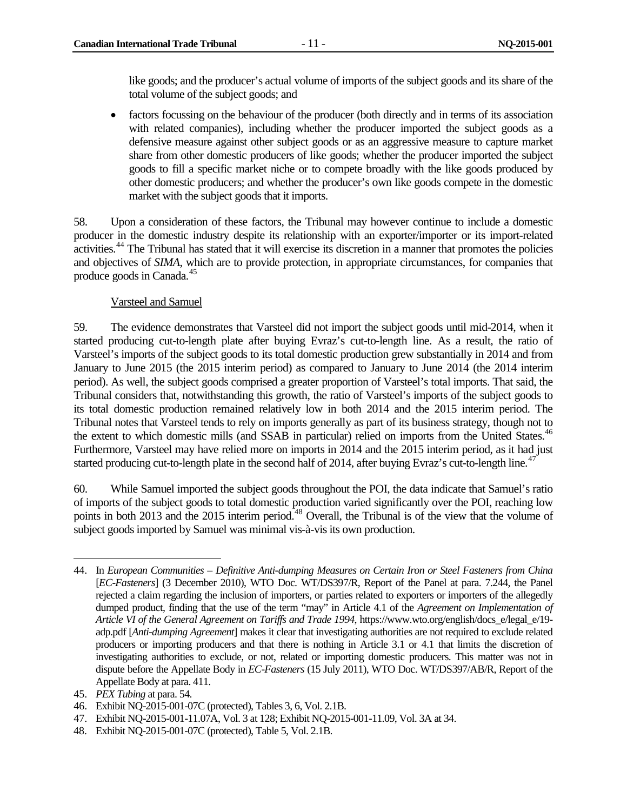like goods; and the producer's actual volume of imports of the subject goods and its share of the total volume of the subject goods; and

• factors focussing on the behaviour of the producer (both directly and in terms of its association with related companies), including whether the producer imported the subject goods as a defensive measure against other subject goods or as an aggressive measure to capture market share from other domestic producers of like goods; whether the producer imported the subject goods to fill a specific market niche or to compete broadly with the like goods produced by other domestic producers; and whether the producer's own like goods compete in the domestic market with the subject goods that it imports.

58. Upon a consideration of these factors, the Tribunal may however continue to include a domestic producer in the domestic industry despite its relationship with an exporter/importer or its import-related activities.<sup>[44](#page-18-0)</sup> The Tribunal has stated that it will exercise its discretion in a manner that promotes the policies and objectives of *SIMA*, which are to provide protection, in appropriate circumstances, for companies that produce goods in Canada.[45](#page-18-1)

#### Varsteel and Samuel

59. The evidence demonstrates that Varsteel did not import the subject goods until mid-2014, when it started producing cut-to-length plate after buying Evraz's cut-to-length line. As a result, the ratio of Varsteel's imports of the subject goods to its total domestic production grew substantially in 2014 and from January to June 2015 (the 2015 interim period) as compared to January to June 2014 (the 2014 interim period). As well, the subject goods comprised a greater proportion of Varsteel's total imports. That said, the Tribunal considers that, notwithstanding this growth, the ratio of Varsteel's imports of the subject goods to its total domestic production remained relatively low in both 2014 and the 2015 interim period. The Tribunal notes that Varsteel tends to rely on imports generally as part of its business strategy, though not to the extent to which domestic mills (and SSAB in particular) relied on imports from the United States.<sup>46</sup> Furthermore, Varsteel may have relied more on imports in 2014 and the 2015 interim period, as it had just started producing cut-to-length plate in the second half of 2014, after buying Evraz's cut-to-length line.<sup>[47](#page-18-3)</sup>

60. While Samuel imported the subject goods throughout the POI, the data indicate that Samuel's ratio of imports of the subject goods to total domestic production varied significantly over the POI, reaching low points in both 2013 and the 2015 interim period.<sup>[48](#page-18-4)</sup> Overall, the Tribunal is of the view that the volume of subject goods imported by Samuel was minimal vis-à-vis its own production.

<span id="page-18-0"></span><sup>44.</sup> In *European Communities – Definitive Anti-dumping Measures on Certain Iron or Steel Fasteners from China* [*EC-Fasteners*] (3 December 2010), WTO Doc. WT/DS397/R, Report of the Panel at para. 7.244, the Panel rejected a claim regarding the inclusion of importers, or parties related to exporters or importers of the allegedly dumped product, finding that the use of the term "may" in Article 4.1 of the *Agreement on Implementation of Article VI of the General Agreement on Tariffs and Trade 1994*, https://www.wto.org/english/docs\_e/legal\_e/19 adp.pdf [*Anti-dumping Agreement*] makes it clear that investigating authorities are not required to exclude related producers or importing producers and that there is nothing in Article 3.1 or 4.1 that limits the discretion of investigating authorities to exclude, or not, related or importing domestic producers. This matter was not in dispute before the Appellate Body in *EC-Fasteners* (15 July 2011), WTO Doc. WT/DS397/AB/R, Report of the Appellate Body at para. 411.  $\overline{a}$ 

<span id="page-18-1"></span><sup>45.</sup> *PEX Tubing* at para. 54.

<span id="page-18-2"></span><sup>46.</sup> Exhibit NQ-2015-001-07C (protected), Tables 3, 6, Vol. 2.1B.

<span id="page-18-3"></span><sup>47.</sup> Exhibit NQ-2015-001-11.07A, Vol. 3 at 128; Exhibit NQ-2015-001-11.09, Vol. 3A at 34.

<span id="page-18-4"></span><sup>48.</sup> Exhibit NQ-2015-001-07C (protected), Table 5, Vol. 2.1B.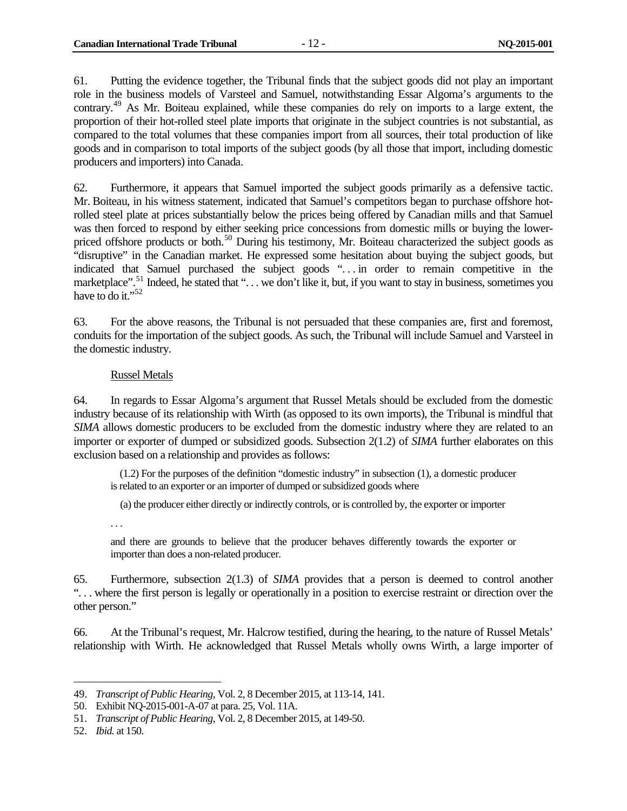61. Putting the evidence together, the Tribunal finds that the subject goods did not play an important role in the business models of Varsteel and Samuel, notwithstanding Essar Algoma's arguments to the contrary.[49](#page-19-0) As Mr. Boiteau explained, while these companies do rely on imports to a large extent, the proportion of their hot-rolled steel plate imports that originate in the subject countries is not substantial, as compared to the total volumes that these companies import from all sources, their total production of like goods and in comparison to total imports of the subject goods (by all those that import, including domestic producers and importers) into Canada.

62. Furthermore, it appears that Samuel imported the subject goods primarily as a defensive tactic. Mr. Boiteau, in his witness statement, indicated that Samuel's competitors began to purchase offshore hotrolled steel plate at prices substantially below the prices being offered by Canadian mills and that Samuel was then forced to respond by either seeking price concessions from domestic mills or buying the lower-priced offshore products or both.<sup>[50](#page-19-1)</sup> During his testimony, Mr. Boiteau characterized the subject goods as "disruptive" in the Canadian market. He expressed some hesitation about buying the subject goods, but indicated that Samuel purchased the subject goods "... in order to remain competitive in the marketplace".<sup>[51](#page-19-2)</sup> Indeed, he stated that "... we don't like it, but, if you want to stay in business, sometimes you have to do it."<sup>[52](#page-19-3)</sup>

63. For the above reasons, the Tribunal is not persuaded that these companies are, first and foremost, conduits for the importation of the subject goods. As such, the Tribunal will include Samuel and Varsteel in the domestic industry.

#### Russel Metals

64. In regards to Essar Algoma's argument that Russel Metals should be excluded from the domestic industry because of its relationship with Wirth (as opposed to its own imports), the Tribunal is mindful that *SIMA* allows domestic producers to be excluded from the domestic industry where they are related to an importer or exporter of dumped or subsidized goods. Subsection 2(1.2) of *SIMA* further elaborates on this exclusion based on a relationship and provides as follows:

(1.2) For the purposes of the definition "domestic industry" in subsection (1), a domestic producer is related to an exporter or an importer of dumped or subsidized goods where

(a) the producer either directly or indirectly controls, or is controlled by, the exporter or importer

. . .

and there are grounds to believe that the producer behaves differently towards the exporter or importer than does a non-related producer.

65. Furthermore, subsection 2(1.3) of *SIMA* provides that a person is deemed to control another ". . . where the first person is legally or operationally in a position to exercise restraint or direction over the other person."

66. At the Tribunal's request, Mr. Halcrow testified, during the hearing, to the nature of Russel Metals' relationship with Wirth. He acknowledged that Russel Metals wholly owns Wirth, a large importer of

<span id="page-19-1"></span><span id="page-19-0"></span><sup>49.</sup> *Transcript of Public Hearing*, Vol. 2, 8 December 2015, at 113-14, 141.  $\ddot{\phantom{a}}$ 

<span id="page-19-2"></span><sup>50.</sup> Exhibit NQ-2015-001-A-07 at para. 25, Vol. 11A.

<sup>51.</sup> *Transcript of Public Hearing*, Vol. 2, 8 December 2015, at 149-50.

<span id="page-19-3"></span><sup>52.</sup> *Ibid.* at 150.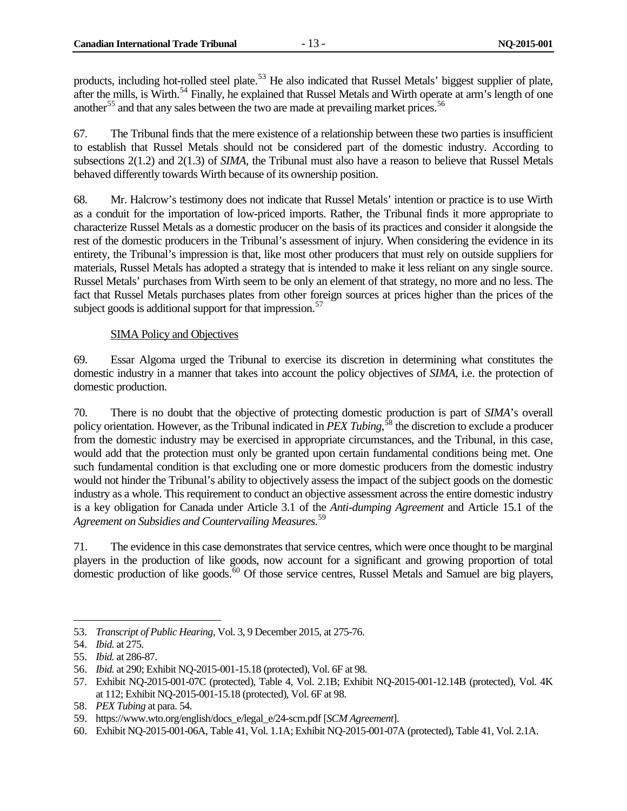products, including hot-rolled steel plate.<sup>[53](#page-20-1)</sup> He also indicated that Russel Metals' biggest supplier of plate, after the mills, is Wirth.<sup>[54](#page-20-2)</sup> Finally, he explained that Russel Metals and Wirth operate at arm's length of one another<sup>[55](#page-20-3)</sup> and that any sales between the two are made at prevailing market prices.<sup>[56](#page-20-4)</sup>

67. The Tribunal finds that the mere existence of a relationship between these two parties is insufficient to establish that Russel Metals should not be considered part of the domestic industry. According to subsections 2(1.2) and 2(1.3) of *SIMA*, the Tribunal must also have a reason to believe that Russel Metals behaved differently towards Wirth because of its ownership position.

68. Mr. Halcrow's testimony does not indicate that Russel Metals' intention or practice is to use Wirth as a conduit for the importation of low-priced imports. Rather, the Tribunal finds it more appropriate to characterize Russel Metals as a domestic producer on the basis of its practices and consider it alongside the rest of the domestic producers in the Tribunal's assessment of injury. When considering the evidence in its entirety, the Tribunal's impression is that, like most other producers that must rely on outside suppliers for materials, Russel Metals has adopted a strategy that is intended to make it less reliant on any single source. Russel Metals' purchases from Wirth seem to be only an element of that strategy, no more and no less. The fact that Russel Metals purchases plates from other foreign sources at prices higher than the prices of the subject goods is additional support for that impression.<sup>[57](#page-20-5)</sup>

#### SIMA Policy and Objectives

<span id="page-20-0"></span>69. Essar Algoma urged the Tribunal to exercise its discretion in determining what constitutes the domestic industry in a manner that takes into account the policy objectives of *SIMA*, i.e. the protection of domestic production.

70. There is no doubt that the objective of protecting domestic production is part of *SIMA*'s overall policy orientation. However, as the Tribunal indicated in *PEX Tubing*, [58](#page-20-6) the discretion to exclude a producer from the domestic industry may be exercised in appropriate circumstances, and the Tribunal, in this case, would add that the protection must only be granted upon certain fundamental conditions being met. One such fundamental condition is that excluding one or more domestic producers from the domestic industry would not hinder the Tribunal's ability to objectively assess the impact of the subject goods on the domestic industry as a whole. This requirement to conduct an objective assessment across the entire domestic industry is a key obligation for Canada under Article 3.1 of the *Anti-dumping Agreement* and Article 15.1 of the *Agreement on Subsidies and Countervailing Measures*. [59](#page-20-7)

71. The evidence in this case demonstrates that service centres, which were once thought to be marginal players in the production of like goods, now account for a significant and growing proportion of total domestic production of like goods.<sup>[60](#page-20-8)</sup> Of those service centres, Russel Metals and Samuel are big players,

<span id="page-20-1"></span><sup>53.</sup> *Transcript of Public Hearing*, Vol. 3, 9 December 2015, at 275-76.  $\overline{a}$ 

<span id="page-20-2"></span><sup>54.</sup> *Ibid.* at 275.

<span id="page-20-3"></span><sup>55.</sup> *Ibid.* at 286-87.

<span id="page-20-4"></span><sup>56.</sup> *Ibid.* at 290; Exhibit NQ-2015-001-15.18 (protected), Vol. 6F at 98.

<span id="page-20-5"></span><sup>57.</sup> Exhibit NQ-2015-001-07C (protected), Table 4, Vol. 2.1B; Exhibit NQ-2015-001-12.14B (protected), Vol. 4K at 112; Exhibit NQ-2015-001-15.18 (protected), Vol. 6F at 98.

<span id="page-20-6"></span><sup>58.</sup> *PEX Tubing* at para. 54.

<span id="page-20-7"></span><sup>59.</sup> https://www.wto.org/english/docs\_e/legal\_e/24-scm.pdf [*SCM Agreement*].

<span id="page-20-8"></span><sup>60.</sup> Exhibit NQ-2015-001-06A, Table 41, Vol. 1.1A; Exhibit NQ-2015-001-07A (protected), Table 41, Vol. 2.1A.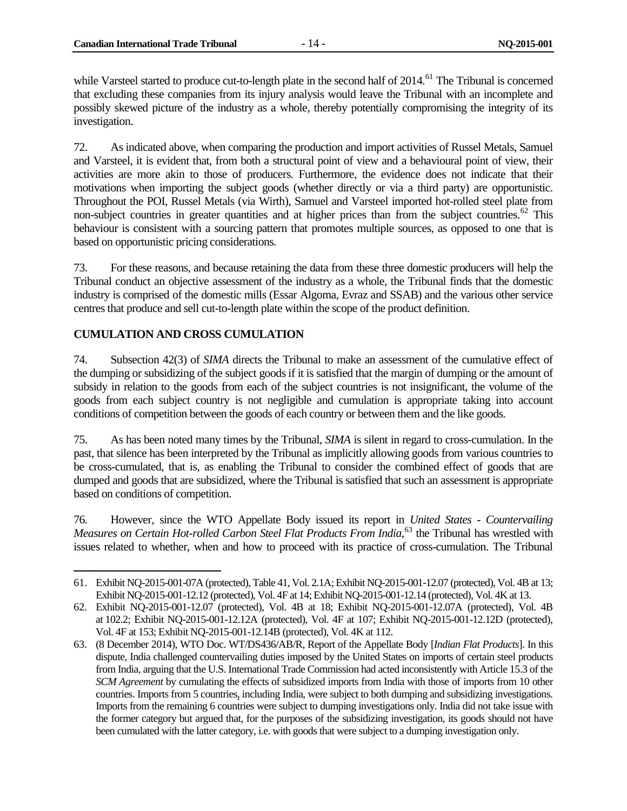while Varsteel started to produce cut-to-length plate in the second half of 2014.<sup>[61](#page-21-1)</sup> The Tribunal is concerned that excluding these companies from its injury analysis would leave the Tribunal with an incomplete and possibly skewed picture of the industry as a whole, thereby potentially compromising the integrity of its investigation.

72. As indicated above, when comparing the production and import activities of Russel Metals, Samuel and Varsteel, it is evident that, from both a structural point of view and a behavioural point of view, their activities are more akin to those of producers. Furthermore, the evidence does not indicate that their motivations when importing the subject goods (whether directly or via a third party) are opportunistic. Throughout the POI, Russel Metals (via Wirth), Samuel and Varsteel imported hot-rolled steel plate from non-subject countries in greater quantities and at higher prices than from the subject countries.<sup>[62](#page-21-2)</sup> This behaviour is consistent with a sourcing pattern that promotes multiple sources, as opposed to one that is based on opportunistic pricing considerations.

73. For these reasons, and because retaining the data from these three domestic producers will help the Tribunal conduct an objective assessment of the industry as a whole, the Tribunal finds that the domestic industry is comprised of the domestic mills (Essar Algoma, Evraz and SSAB) and the various other service centres that produce and sell cut-to-length plate within the scope of the product definition.

#### <span id="page-21-0"></span>**CUMULATION AND CROSS CUMULATION**

74. Subsection 42(3) of *SIMA* directs the Tribunal to make an assessment of the cumulative effect of the dumping or subsidizing of the subject goods if it is satisfied that the margin of dumping or the amount of subsidy in relation to the goods from each of the subject countries is not insignificant, the volume of the goods from each subject country is not negligible and cumulation is appropriate taking into account conditions of competition between the goods of each country or between them and the like goods.

75. As has been noted many times by the Tribunal, *SIMA* is silent in regard to cross-cumulation. In the past, that silence has been interpreted by the Tribunal as implicitly allowing goods from various countries to be cross-cumulated, that is, as enabling the Tribunal to consider the combined effect of goods that are dumped and goods that are subsidized, where the Tribunal is satisfied that such an assessment is appropriate based on conditions of competition.

76. However, since the WTO Appellate Body issued its report in *United States - Countervailing*  Measures on Certain Hot-rolled Carbon Steel Flat Products From India,<sup>[63](#page-21-3)</sup> the Tribunal has wrestled with issues related to whether, when and how to proceed with its practice of cross-cumulation. The Tribunal

<span id="page-21-1"></span><sup>61.</sup> Exhibit NQ-2015-001-07A (protected), Table 41, Vol. 2.1A; Exhibit NQ-2015-001-12.07 (protected), Vol. 4B at 13; Exhibit NQ-2015-001-12.12 (protected), Vol. 4F at 14; Exhibit NQ-2015-001-12.14 (protected), Vol. 4K at 13.  $\overline{a}$ 

<span id="page-21-2"></span><sup>62.</sup> Exhibit NQ-2015-001-12.07 (protected), Vol. 4B at 18; Exhibit NQ-2015-001-12.07A (protected), Vol. 4B at 102.2; Exhibit NQ-2015-001-12.12A (protected), Vol. 4F at 107; Exhibit NQ-2015-001-12.12D (protected), Vol. 4F at 153; Exhibit NQ-2015-001-12.14B (protected), Vol. 4K at 112.

<span id="page-21-3"></span><sup>63.</sup> (8 December 2014), WTO Doc. WT/DS436/AB/R, Report of the Appellate Body [*Indian Flat Products*]. In this dispute, India challenged countervailing duties imposed by the United States on imports of certain steel products from India, arguing that the U.S. International Trade Commission had acted inconsistently with Article 15.3 of the *SCM Agreement* by cumulating the effects of subsidized imports from India with those of imports from 10 other countries. Imports from 5 countries, including India, were subject to both dumping and subsidizing investigations. Imports from the remaining 6 countries were subject to dumping investigations only. India did not take issue with the former category but argued that, for the purposes of the subsidizing investigation, its goods should not have been cumulated with the latter category, i.e. with goods that were subject to a dumping investigation only.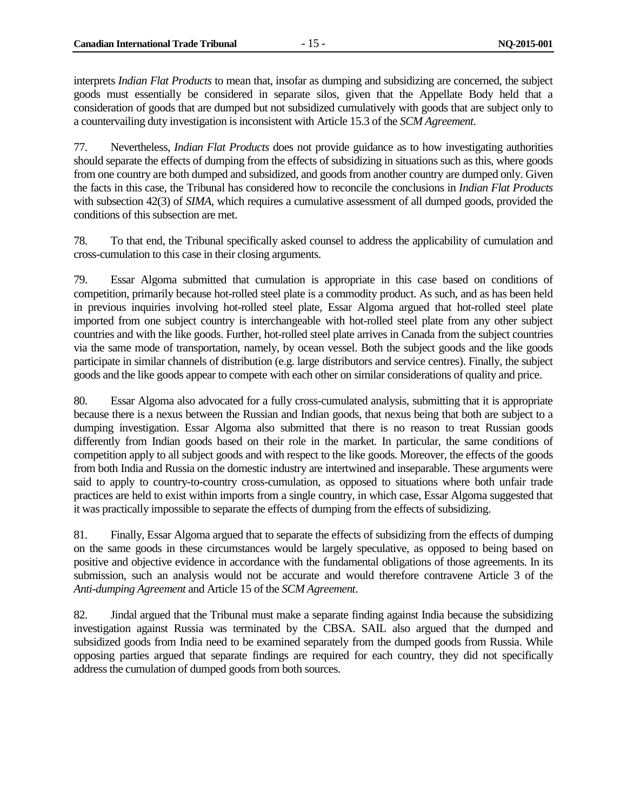interprets *Indian Flat Products* to mean that, insofar as dumping and subsidizing are concerned, the subject goods must essentially be considered in separate silos, given that the Appellate Body held that a consideration of goods that are dumped but not subsidized cumulatively with goods that are subject only to a countervailing duty investigation is inconsistent with Article 15.3 of the *SCM Agreement*.

77. Nevertheless, *Indian Flat Products* does not provide guidance as to how investigating authorities should separate the effects of dumping from the effects of subsidizing in situations such as this, where goods from one country are both dumped and subsidized, and goods from another country are dumped only. Given the facts in this case, the Tribunal has considered how to reconcile the conclusions in *Indian Flat Products* with subsection 42(3) of *SIMA*, which requires a cumulative assessment of all dumped goods, provided the conditions of this subsection are met.

78. To that end, the Tribunal specifically asked counsel to address the applicability of cumulation and cross-cumulation to this case in their closing arguments.

79. Essar Algoma submitted that cumulation is appropriate in this case based on conditions of competition, primarily because hot-rolled steel plate is a commodity product. As such, and as has been held in previous inquiries involving hot-rolled steel plate, Essar Algoma argued that hot-rolled steel plate imported from one subject country is interchangeable with hot-rolled steel plate from any other subject countries and with the like goods. Further, hot-rolled steel plate arrives in Canada from the subject countries via the same mode of transportation, namely, by ocean vessel. Both the subject goods and the like goods participate in similar channels of distribution (e.g. large distributors and service centres). Finally, the subject goods and the like goods appear to compete with each other on similar considerations of quality and price.

80. Essar Algoma also advocated for a fully cross-cumulated analysis, submitting that it is appropriate because there is a nexus between the Russian and Indian goods, that nexus being that both are subject to a dumping investigation. Essar Algoma also submitted that there is no reason to treat Russian goods differently from Indian goods based on their role in the market. In particular, the same conditions of competition apply to all subject goods and with respect to the like goods. Moreover, the effects of the goods from both India and Russia on the domestic industry are intertwined and inseparable. These arguments were said to apply to country-to-country cross-cumulation, as opposed to situations where both unfair trade practices are held to exist within imports from a single country, in which case, Essar Algoma suggested that it was practically impossible to separate the effects of dumping from the effects of subsidizing.

81. Finally, Essar Algoma argued that to separate the effects of subsidizing from the effects of dumping on the same goods in these circumstances would be largely speculative, as opposed to being based on positive and objective evidence in accordance with the fundamental obligations of those agreements. In its submission, such an analysis would not be accurate and would therefore contravene Article 3 of the *Anti-dumping Agreement* and Article 15 of the *SCM Agreement*.

82. Jindal argued that the Tribunal must make a separate finding against India because the subsidizing investigation against Russia was terminated by the CBSA. SAIL also argued that the dumped and subsidized goods from India need to be examined separately from the dumped goods from Russia. While opposing parties argued that separate findings are required for each country, they did not specifically address the cumulation of dumped goods from both sources.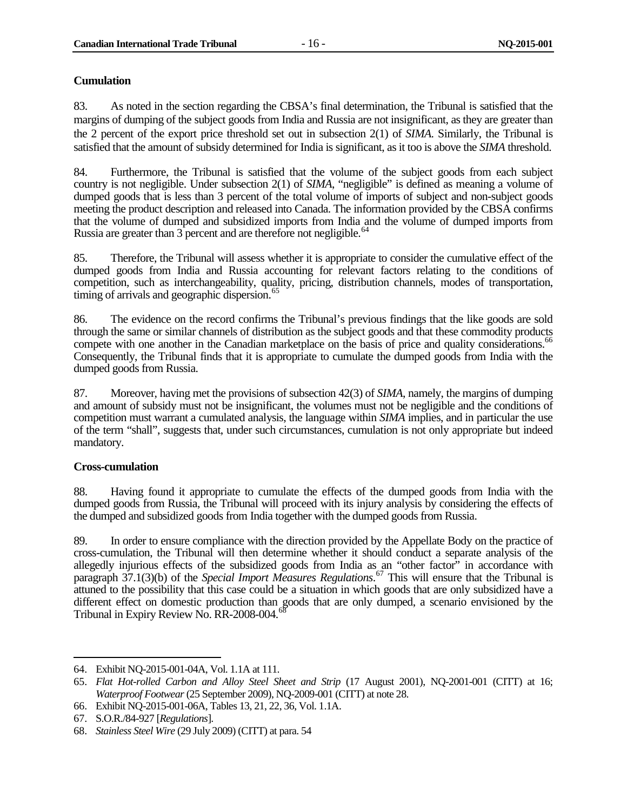#### <span id="page-23-0"></span>**Cumulation**

83. As noted in the section regarding the CBSA's final determination, the Tribunal is satisfied that the margins of dumping of the subject goods from India and Russia are not insignificant, as they are greater than the 2 percent of the export price threshold set out in subsection 2(1) of *SIMA*. Similarly, the Tribunal is satisfied that the amount of subsidy determined for India is significant, as it too is above the *SIMA* threshold.

84. Furthermore, the Tribunal is satisfied that the volume of the subject goods from each subject country is not negligible. Under subsection 2(1) of *SIMA*, "negligible" is defined as meaning a volume of dumped goods that is less than 3 percent of the total volume of imports of subject and non-subject goods meeting the product description and released into Canada. The information provided by the CBSA confirms that the volume of dumped and subsidized imports from India and the volume of dumped imports from Russia are greater than 3 percent and are therefore not negligible.<sup>[64](#page-23-2)</sup>

85. Therefore, the Tribunal will assess whether it is appropriate to consider the cumulative effect of the dumped goods from India and Russia accounting for relevant factors relating to the conditions of competition, such as interchangeability, quality, pricing, distribution channels, modes of transportation, timing of arrivals and geographic dispersion.<sup>[65](#page-23-3)</sup>

86. The evidence on the record confirms the Tribunal's previous findings that the like goods are sold through the same or similar channels of distribution as the subject goods and that these commodity products compete with one another in the Canadian marketplace on the basis of price and quality considerations.<sup>66</sup> Consequently, the Tribunal finds that it is appropriate to cumulate the dumped goods from India with the dumped goods from Russia.

87. Moreover, having met the provisions of subsection 42(3) of *SIMA*, namely, the margins of dumping and amount of subsidy must not be insignificant, the volumes must not be negligible and the conditions of competition must warrant a cumulated analysis, the language within *SIMA* implies, and in particular the use of the term "shall", suggests that, under such circumstances, cumulation is not only appropriate but indeed mandatory.

#### <span id="page-23-1"></span>**Cross-cumulation**

 $\overline{a}$ 

88. Having found it appropriate to cumulate the effects of the dumped goods from India with the dumped goods from Russia, the Tribunal will proceed with its injury analysis by considering the effects of the dumped and subsidized goods from India together with the dumped goods from Russia.

89. In order to ensure compliance with the direction provided by the Appellate Body on the practice of cross-cumulation, the Tribunal will then determine whether it should conduct a separate analysis of the allegedly injurious effects of the subsidized goods from India as an "other factor" in accordance with paragraph 37.1(3)(b) of the *Special Import Measures Regulations*. [67](#page-23-5) This will ensure that the Tribunal is attuned to the possibility that this case could be a situation in which goods that are only subsidized have a different effect on domestic production than goods that are only dumped, a scenario envisioned by the Tribunal in Expiry Review No. RR-2008-004.<sup>[68](#page-23-6)</sup>

<span id="page-23-2"></span><sup>64.</sup> Exhibit NQ-2015-001-04A, Vol. 1.1A at 111.

<span id="page-23-3"></span><sup>65.</sup> *Flat Hot-rolled Carbon and Alloy Steel Sheet and Strip* (17 August 2001), NQ-2001-001 (CITT) at 16; *Waterproof Footwear*(25 September 2009), NQ-2009-001 (CITT) at note 28.

<span id="page-23-4"></span><sup>66.</sup> Exhibit NQ-2015-001-06A, Tables 13, 21, 22, 36, Vol. 1.1A.

<span id="page-23-5"></span><sup>67.</sup> S.O.R./84-927 [*Regulations*].

<span id="page-23-6"></span><sup>68.</sup> *Stainless Steel Wire* (29 July 2009) (CITT) at para. 54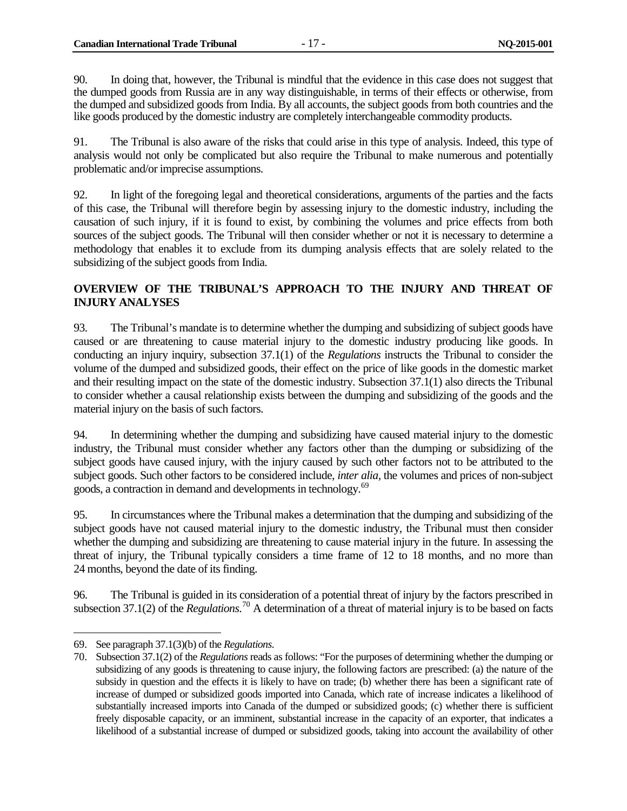90. In doing that, however, the Tribunal is mindful that the evidence in this case does not suggest that the dumped goods from Russia are in any way distinguishable, in terms of their effects or otherwise, from the dumped and subsidized goods from India. By all accounts, the subject goods from both countries and the like goods produced by the domestic industry are completely interchangeable commodity products.

91. The Tribunal is also aware of the risks that could arise in this type of analysis. Indeed, this type of analysis would not only be complicated but also require the Tribunal to make numerous and potentially problematic and/or imprecise assumptions.

92. In light of the foregoing legal and theoretical considerations, arguments of the parties and the facts of this case, the Tribunal will therefore begin by assessing injury to the domestic industry, including the causation of such injury, if it is found to exist, by combining the volumes and price effects from both sources of the subject goods. The Tribunal will then consider whether or not it is necessary to determine a methodology that enables it to exclude from its dumping analysis effects that are solely related to the subsidizing of the subject goods from India.

## <span id="page-24-0"></span>**OVERVIEW OF THE TRIBUNAL'S APPROACH TO THE INJURY AND THREAT OF INJURY ANALYSES**

93. The Tribunal's mandate is to determine whether the dumping and subsidizing of subject goods have caused or are threatening to cause material injury to the domestic industry producing like goods. In conducting an injury inquiry, subsection 37.1(1) of the *Regulations* instructs the Tribunal to consider the volume of the dumped and subsidized goods, their effect on the price of like goods in the domestic market and their resulting impact on the state of the domestic industry. Subsection 37.1(1) also directs the Tribunal to consider whether a causal relationship exists between the dumping and subsidizing of the goods and the material injury on the basis of such factors.

94. In determining whether the dumping and subsidizing have caused material injury to the domestic industry, the Tribunal must consider whether any factors other than the dumping or subsidizing of the subject goods have caused injury, with the injury caused by such other factors not to be attributed to the subject goods. Such other factors to be considered include, *inter alia,* the volumes and prices of non-subject goods, a contraction in demand and developments in technology.<sup>[69](#page-24-1)</sup>

95. In circumstances where the Tribunal makes a determination that the dumping and subsidizing of the subject goods have not caused material injury to the domestic industry, the Tribunal must then consider whether the dumping and subsidizing are threatening to cause material injury in the future. In assessing the threat of injury, the Tribunal typically considers a time frame of 12 to 18 months, and no more than 24 months, beyond the date of its finding.

96. The Tribunal is guided in its consideration of a potential threat of injury by the factors prescribed in subsection  $37.1(2)$  of the *Regulations*.<sup>[70](#page-24-2)</sup> A determination of a threat of material injury is to be based on facts

<span id="page-24-1"></span><sup>69.</sup> See paragraph 37.1(3)(b) of the *Regulations*.

<span id="page-24-2"></span><sup>70.</sup> Subsection 37.1(2) of the *Regulations* reads as follows: "For the purposes of determining whether the dumping or subsidizing of any goods is threatening to cause injury, the following factors are prescribed: (a) the nature of the subsidy in question and the effects it is likely to have on trade; (b) whether there has been a significant rate of increase of dumped or subsidized goods imported into Canada, which rate of increase indicates a likelihood of substantially increased imports into Canada of the dumped or subsidized goods; (c) whether there is sufficient freely disposable capacity, or an imminent, substantial increase in the capacity of an exporter, that indicates a likelihood of a substantial increase of dumped or subsidized goods, taking into account the availability of other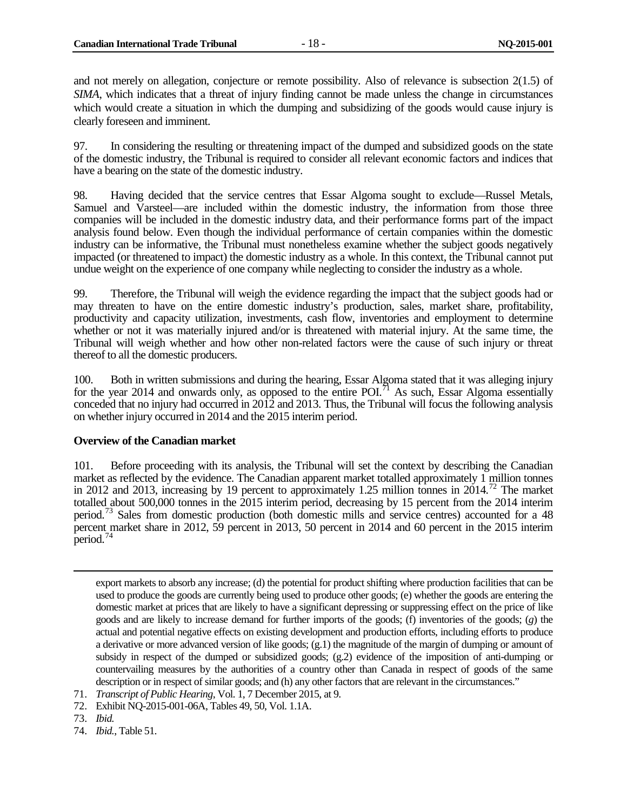and not merely on allegation, conjecture or remote possibility. Also of relevance is subsection 2(1.5) of *SIMA*, which indicates that a threat of injury finding cannot be made unless the change in circumstances which would create a situation in which the dumping and subsidizing of the goods would cause injury is clearly foreseen and imminent.

97. In considering the resulting or threatening impact of the dumped and subsidized goods on the state of the domestic industry, the Tribunal is required to consider all relevant economic factors and indices that have a bearing on the state of the domestic industry.

98. Having decided that the service centres that Essar Algoma sought to exclude—Russel Metals, Samuel and Varsteel—are included within the domestic industry, the information from those three companies will be included in the domestic industry data, and their performance forms part of the impact analysis found below. Even though the individual performance of certain companies within the domestic industry can be informative, the Tribunal must nonetheless examine whether the subject goods negatively impacted (or threatened to impact) the domestic industry as a whole. In this context, the Tribunal cannot put undue weight on the experience of one company while neglecting to consider the industry as a whole.

99. Therefore, the Tribunal will weigh the evidence regarding the impact that the subject goods had or may threaten to have on the entire domestic industry's production, sales, market share, profitability, productivity and capacity utilization, investments, cash flow, inventories and employment to determine whether or not it was materially injured and/or is threatened with material injury. At the same time, the Tribunal will weigh whether and how other non-related factors were the cause of such injury or threat thereof to all the domestic producers.

100. Both in written submissions and during the hearing, Essar Algoma stated that it was alleging injury for the year 2014 and onwards only, as opposed to the entire POI.<sup>[71](#page-25-1)</sup> As such, Essar Algoma essentially conceded that no injury had occurred in 2012 and 2013. Thus, the Tribunal will focus the following analysis on whether injury occurred in 2014 and the 2015 interim period.

#### <span id="page-25-0"></span>**Overview of the Canadian market**

101. Before proceeding with its analysis, the Tribunal will set the context by describing the Canadian market as reflected by the evidence. The Canadian apparent market totalled approximately 1 million tonnes in 2012 and 2013, increasing by 19 percent to approximately 1.25 million tonnes in  $2014$ <sup>[72](#page-25-2)</sup>. The market totalled about 500,000 tonnes in the 2015 interim period, decreasing by 15 percent from the 2014 interim period.[73](#page-25-3) Sales from domestic production (both domestic mills and service centres) accounted for a 48 percent market share in 2012, 59 percent in 2013, 50 percent in 2014 and 60 percent in the 2015 interim period.[74](#page-25-4)

- <span id="page-25-1"></span>71. *Transcript of Public Hearing*, Vol. 1, 7 December 2015, at 9.
- <span id="page-25-2"></span>72. Exhibit NQ-2015-001-06A, Tables 49, 50, Vol. 1.1A.
- <span id="page-25-3"></span>73. *Ibid.*

 $\overline{a}$ 

<span id="page-25-4"></span>74. *Ibid.*, Table 51.

export markets to absorb any increase; (d) the potential for product shifting where production facilities that can be used to produce the goods are currently being used to produce other goods; (e) whether the goods are entering the domestic market at prices that are likely to have a significant depressing or suppressing effect on the price of like goods and are likely to increase demand for further imports of the goods; (f) inventories of the goods; (*g*) the actual and potential negative effects on existing development and production efforts, including efforts to produce a derivative or more advanced version of like goods; (g.1) the magnitude of the margin of dumping or amount of subsidy in respect of the dumped or subsidized goods; (g.2) evidence of the imposition of anti-dumping or countervailing measures by the authorities of a country other than Canada in respect of goods of the same description or in respect of similar goods; and (h) any other factors that are relevant in the circumstances."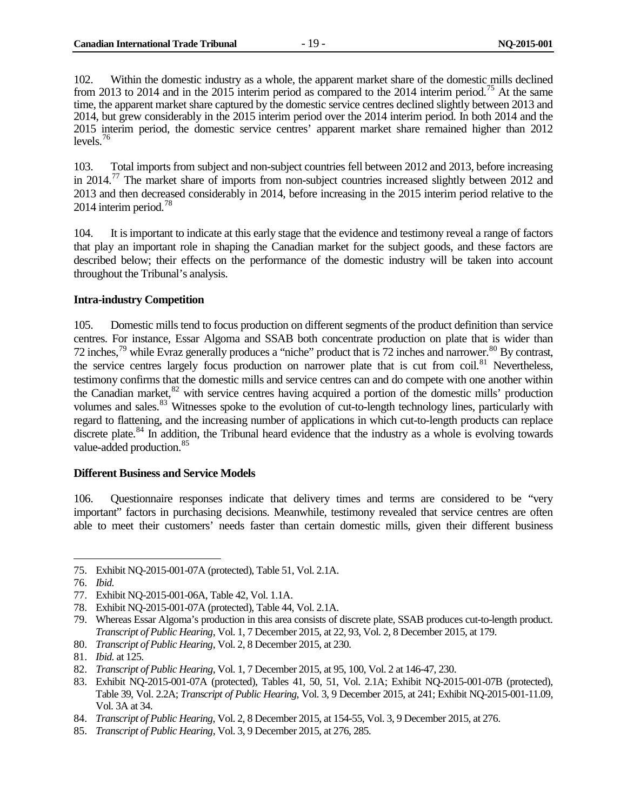102. Within the domestic industry as a whole, the apparent market share of the domestic mills declined from 2013 to 2014 and in the 2015 interim period as compared to the 2014 interim period.<sup>[75](#page-26-2)</sup> At the same time, the apparent market share captured by the domestic service centres declined slightly between 2013 and 2014, but grew considerably in the 2015 interim period over the 2014 interim period. In both 2014 and the 2015 interim period, the domestic service centres' apparent market share remained higher than 2012 levels.<sup>[76](#page-26-3)</sup>

103. Total imports from subject and non-subject countries fell between 2012 and 2013, before increasing in 2014.<sup>[77](#page-26-4)</sup> The market share of imports from non-subject countries increased slightly between 2012 and 2013 and then decreased considerably in 2014, before increasing in the 2015 interim period relative to the 2014 interim period.<sup>[78](#page-26-5)</sup>

104. It is important to indicate at this early stage that the evidence and testimony reveal a range of factors that play an important role in shaping the Canadian market for the subject goods, and these factors are described below; their effects on the performance of the domestic industry will be taken into account throughout the Tribunal's analysis.

#### <span id="page-26-0"></span>**Intra-industry Competition**

105. Domestic mills tend to focus production on different segments of the product definition than service centres. For instance, Essar Algoma and SSAB both concentrate production on plate that is wider than 72 inches,[79](#page-26-6) while Evraz generally produces a "niche" product that is 72 inches and narrower.[80](#page-26-7) By contrast, the service centres largely focus production on narrower plate that is cut from coil.<sup>[81](#page-26-8)</sup> Nevertheless, testimony confirms that the domestic mills and service centres can and do compete with one another within the Canadian market, $82$  with service centres having acquired a portion of the domestic mills' production volumes and sales.<sup>[83](#page-26-10)</sup> Witnesses spoke to the evolution of cut-to-length technology lines, particularly with regard to flattening, and the increasing number of applications in which cut-to-length products can replace discrete plate.<sup>[84](#page-26-11)</sup> In addition, the Tribunal heard evidence that the industry as a whole is evolving towards value-added production.<sup>[85](#page-26-12)</sup>

#### <span id="page-26-1"></span>**Different Business and Service Models**

106. Questionnaire responses indicate that delivery times and terms are considered to be "very important" factors in purchasing decisions. Meanwhile, testimony revealed that service centres are often able to meet their customers' needs faster than certain domestic mills, given their different business

<span id="page-26-2"></span><sup>75.</sup> Exhibit NQ-2015-001-07A (protected), Table 51, Vol. 2.1A.  $\overline{a}$ 

<span id="page-26-3"></span><sup>76.</sup> *Ibid.*

<span id="page-26-4"></span><sup>77.</sup> Exhibit NQ-2015-001-06A, Table 42, Vol. 1.1A.

<span id="page-26-5"></span><sup>78.</sup> Exhibit NQ-2015-001-07A (protected), Table 44, Vol. 2.1A.

<span id="page-26-6"></span><sup>79.</sup> Whereas Essar Algoma's production in this area consists of discrete plate, SSAB produces cut-to-length product. *Transcript of Public Hearing*, Vol. 1, 7 December 2015, at 22, 93, Vol. 2, 8 December 2015, at 179.

<span id="page-26-7"></span><sup>80.</sup> *Transcript of Public Hearing*, Vol. 2, 8 December 2015, at 230.

<span id="page-26-8"></span><sup>81.</sup> *Ibid.* at 125.

<span id="page-26-9"></span><sup>82.</sup> *Transcript of Public Hearing*, Vol. 1, 7 December 2015, at 95, 100, Vol. 2 at 146-47, 230.

<span id="page-26-10"></span><sup>83.</sup> Exhibit NQ-2015-001-07A (protected), Tables 41, 50, 51, Vol. 2.1A; Exhibit NQ-2015-001-07B (protected), Table 39, Vol. 2.2A; *Transcript of Public Hearing*, Vol. 3, 9 December 2015, at 241; Exhibit NQ-2015-001-11.09, Vol. 3A at 34.

<span id="page-26-11"></span><sup>84.</sup> *Transcript of Public Hearing*, Vol. 2, 8 December 2015, at 154-55, Vol. 3, 9 December 2015, at 276.

<span id="page-26-12"></span><sup>85.</sup> *Transcript of Public Hearing*, Vol. 3, 9 December 2015, at 276, 285.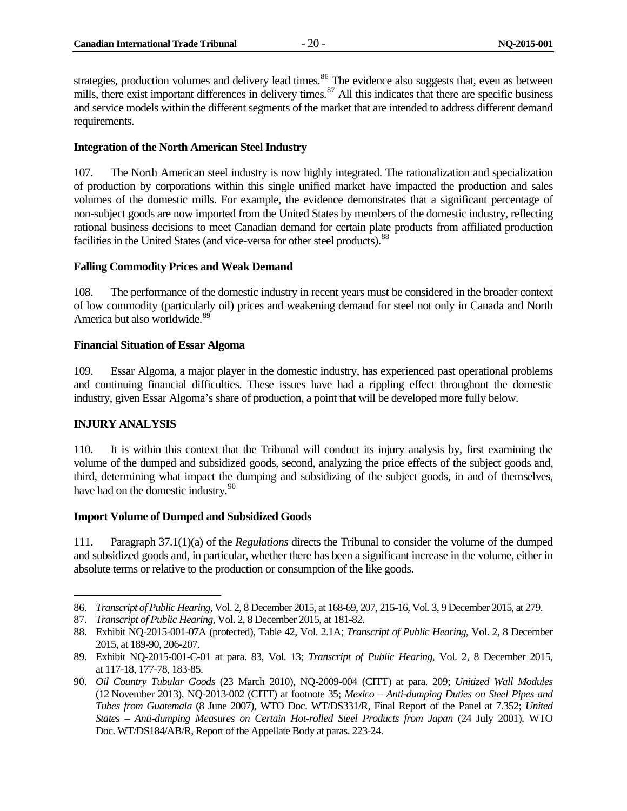strategies, production volumes and delivery lead times.<sup>[86](#page-27-5)</sup> The evidence also suggests that, even as between mills, there exist important differences in delivery times.<sup>[87](#page-27-6)</sup> All this indicates that there are specific business and service models within the different segments of the market that are intended to address different demand requirements.

#### <span id="page-27-0"></span>**Integration of the North American Steel Industry**

107. The North American steel industry is now highly integrated. The rationalization and specialization of production by corporations within this single unified market have impacted the production and sales volumes of the domestic mills. For example, the evidence demonstrates that a significant percentage of non-subject goods are now imported from the United States by members of the domestic industry, reflecting rational business decisions to meet Canadian demand for certain plate products from affiliated production facilities in the United States (and vice-versa for other steel products).<sup>[88](#page-27-7)</sup>

#### <span id="page-27-1"></span>**Falling Commodity Prices and Weak Demand**

108. The performance of the domestic industry in recent years must be considered in the broader context of low commodity (particularly oil) prices and weakening demand for steel not only in Canada and North America but also worldwide.<sup>[89](#page-27-8)</sup>

#### <span id="page-27-2"></span>**Financial Situation of Essar Algoma**

109. Essar Algoma, a major player in the domestic industry, has experienced past operational problems and continuing financial difficulties. These issues have had a rippling effect throughout the domestic industry, given Essar Algoma's share of production, a point that will be developed more fully below.

#### <span id="page-27-3"></span>**INJURY ANALYSIS**

 $\overline{a}$ 

110. It is within this context that the Tribunal will conduct its injury analysis by, first examining the volume of the dumped and subsidized goods, second, analyzing the price effects of the subject goods and, third, determining what impact the dumping and subsidizing of the subject goods, in and of themselves, have had on the domestic industry.<sup>[90](#page-27-9)</sup>

#### <span id="page-27-4"></span>**Import Volume of Dumped and Subsidized Goods**

111. Paragraph 37.1(1)(a) of the *Regulations* directs the Tribunal to consider the volume of the dumped and subsidized goods and, in particular, whether there has been a significant increase in the volume, either in absolute terms or relative to the production or consumption of the like goods.

<span id="page-27-5"></span><sup>86.</sup> *Transcript of Public Hearing*, Vol. 2, 8 December 2015, at 168-69, 207, 215-16, Vol. 3, 9 December 2015, at 279.

<span id="page-27-6"></span><sup>87.</sup> *Transcript of Public Hearing*, Vol. 2, 8 December 2015, at 181-82.

<span id="page-27-7"></span><sup>88.</sup> Exhibit NQ-2015-001-07A (protected), Table 42, Vol. 2.1A; *Transcript of Public Hearing*, Vol. 2, 8 December 2015, at 189-90, 206-207.

<span id="page-27-8"></span><sup>89.</sup> Exhibit NQ-2015-001-C-01 at para. 83, Vol. 13; *Transcript of Public Hearing*, Vol. 2, 8 December 2015, at 117-18, 177-78, 183-85.

<span id="page-27-9"></span><sup>90.</sup> *Oil Country Tubular Goods* (23 March 2010), NQ-2009-004 (CITT) at para. 209; *Unitized Wall Modules* (12 November 2013), NQ-2013-002 (CITT) at footnote 35; *Mexico – Anti-dumping Duties on Steel Pipes and Tubes from Guatemala* (8 June 2007), WTO Doc. WT/DS331/R, Final Report of the Panel at 7.352; *United States – Anti-dumping Measures on Certain Hot-rolled Steel Products from Japan* (24 July 2001), WTO Doc. WT/DS184/AB/R, Report of the Appellate Body at paras. 223-24.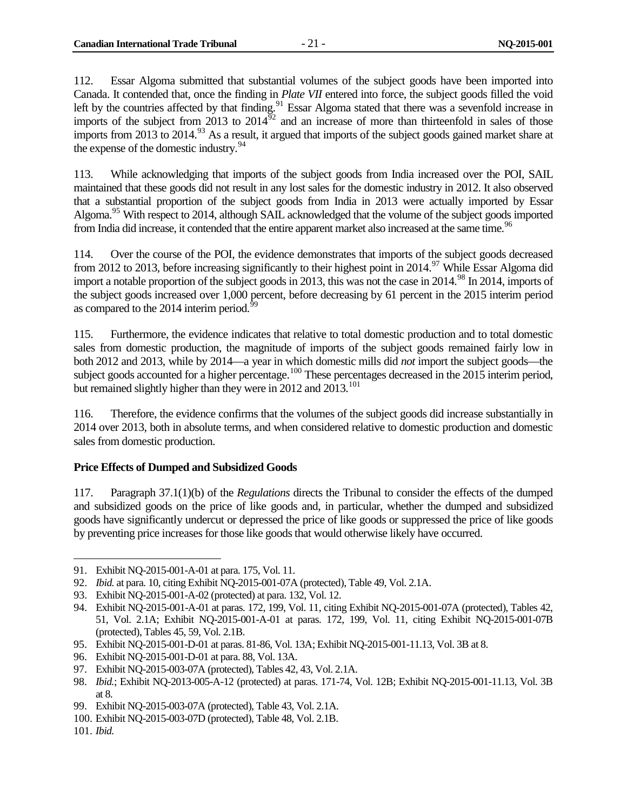112. Essar Algoma submitted that substantial volumes of the subject goods have been imported into Canada. It contended that, once the finding in *Plate VII* entered into force, the subject goods filled the void left by the countries affected by that finding.<sup>[91](#page-28-1)</sup> Essar Algoma stated that there was a sevenfold increase in imports of the subject from 2013 to  $2014^{92}$  $2014^{92}$  $2014^{92}$  and an increase of more than thirteenfold in sales of those imports from 2013 to 2014.<sup>[93](#page-28-3)</sup> As a result, it argued that imports of the subject goods gained market share at the expense of the domestic industry.  $94$ 

113. While acknowledging that imports of the subject goods from India increased over the POI, SAIL maintained that these goods did not result in any lost sales for the domestic industry in 2012. It also observed that a substantial proportion of the subject goods from India in 2013 were actually imported by Essar Algoma.<sup>[95](#page-28-5)</sup> With respect to 2014, although SAIL acknowledged that the volume of the subject goods imported from India did increase, it contended that the entire apparent market also increased at the same time.<sup>[96](#page-28-6)</sup>

114. Over the course of the POI, the evidence demonstrates that imports of the subject goods decreased from 2012 to 2013, before increasing significantly to their highest point in 2014.<sup>[97](#page-28-7)</sup> While Essar Algoma did import a notable proportion of the subject goods in 2013, this was not the case in 2014.<sup>[98](#page-28-8)</sup> In 2014, imports of the subject goods increased over 1,000 percent, before decreasing by 61 percent in the 2015 interim period as compared to the 2014 interim period.<sup>[99](#page-28-9)</sup>

115. Furthermore, the evidence indicates that relative to total domestic production and to total domestic sales from domestic production, the magnitude of imports of the subject goods remained fairly low in both 2012 and 2013, while by 2014—a year in which domestic mills did *not* import the subject goods—the subject goods accounted for a higher percentage.<sup>[100](#page-28-10)</sup> These percentages decreased in the 2015 interim period, but remained slightly higher than they were in 2012 and 2013.<sup>[101](#page-28-11)</sup>

116. Therefore, the evidence confirms that the volumes of the subject goods did increase substantially in 2014 over 2013, both in absolute terms, and when considered relative to domestic production and domestic sales from domestic production.

#### <span id="page-28-0"></span>**Price Effects of Dumped and Subsidized Goods**

117. Paragraph 37.1(1)(b) of the *Regulations* directs the Tribunal to consider the effects of the dumped and subsidized goods on the price of like goods and, in particular, whether the dumped and subsidized goods have significantly undercut or depressed the price of like goods or suppressed the price of like goods by preventing price increases for those like goods that would otherwise likely have occurred.

<span id="page-28-1"></span><sup>91.</sup> Exhibit NQ-2015-001-A-01 at para. 175, Vol. 11.

<span id="page-28-2"></span><sup>92.</sup> *Ibid.* at para. 10, citing Exhibit NQ-2015-001-07A (protected), Table 49, Vol. 2.1A.

<span id="page-28-3"></span><sup>93.</sup> Exhibit NQ-2015-001-A-02 (protected) at para. 132, Vol. 12.

<span id="page-28-4"></span><sup>94.</sup> Exhibit NQ-2015-001-A-01 at paras. 172, 199, Vol. 11, citing Exhibit NQ-2015-001-07A (protected), Tables 42, 51, Vol. 2.1A; Exhibit NQ-2015-001-A-01 at paras. 172, 199, Vol. 11, citing Exhibit NQ-2015-001-07B (protected), Tables 45, 59, Vol. 2.1B.

<span id="page-28-5"></span><sup>95.</sup> Exhibit NQ-2015-001-D-01 at paras. 81-86, Vol. 13A; Exhibit NQ-2015-001-11.13, Vol. 3B at 8.

<span id="page-28-6"></span><sup>96.</sup> Exhibit NQ-2015-001-D-01 at para. 88, Vol. 13A.

<span id="page-28-7"></span><sup>97.</sup> Exhibit NQ-2015-003-07A (protected), Tables 42, 43, Vol. 2.1A.

<span id="page-28-8"></span><sup>98.</sup> *Ibid.*; Exhibit NQ-2013-005-A-12 (protected) at paras. 171-74, Vol. 12B; Exhibit NQ-2015-001-11.13, Vol. 3B at 8.

<span id="page-28-9"></span><sup>99.</sup> Exhibit NQ-2015-003-07A (protected), Table 43, Vol. 2.1A.

<span id="page-28-10"></span><sup>100.</sup> Exhibit NQ-2015-003-07D (protected), Table 48, Vol. 2.1B.

<span id="page-28-11"></span><sup>101.</sup> *Ibid.*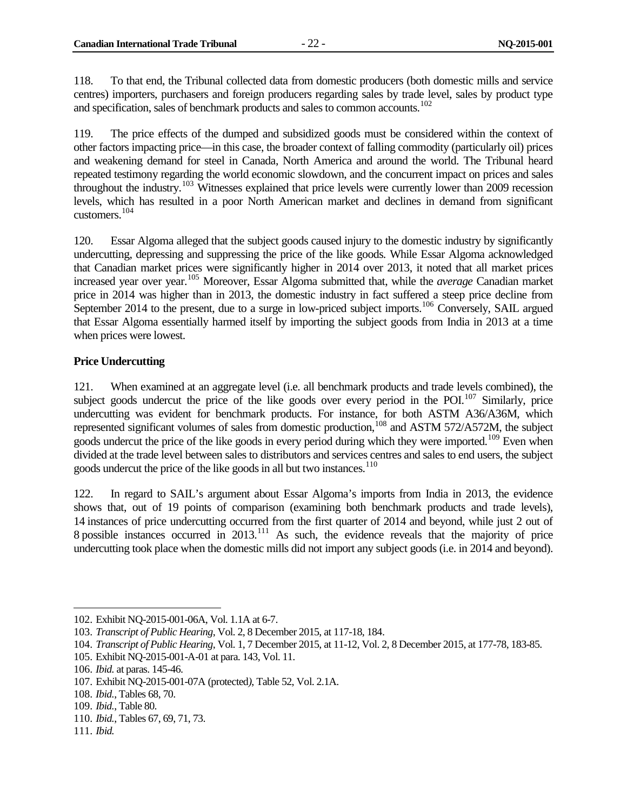118. To that end, the Tribunal collected data from domestic producers (both domestic mills and service centres) importers, purchasers and foreign producers regarding sales by trade level, sales by product type and specification, sales of benchmark products and sales to common accounts.<sup>[102](#page-29-1)</sup>

119. The price effects of the dumped and subsidized goods must be considered within the context of other factors impacting price—in this case, the broader context of falling commodity (particularly oil) prices and weakening demand for steel in Canada, North America and around the world. The Tribunal heard repeated testimony regarding the world economic slowdown, and the concurrent impact on prices and sales throughout the industry.<sup>[103](#page-29-2)</sup> Witnesses explained that price levels were currently lower than 2009 recession levels, which has resulted in a poor North American market and declines in demand from significant customers.[104](#page-29-3)

120. Essar Algoma alleged that the subject goods caused injury to the domestic industry by significantly undercutting, depressing and suppressing the price of the like goods. While Essar Algoma acknowledged that Canadian market prices were significantly higher in 2014 over 2013, it noted that all market prices increased year over year.[105](#page-29-4) Moreover, Essar Algoma submitted that, while the *average* Canadian market price in 2014 was higher than in 2013, the domestic industry in fact suffered a steep price decline from September 2014 to the present, due to a surge in low-priced subject imports.<sup>[106](#page-29-5)</sup> Conversely, SAIL argued that Essar Algoma essentially harmed itself by importing the subject goods from India in 2013 at a time when prices were lowest.

#### <span id="page-29-0"></span>**Price Undercutting**

121. When examined at an aggregate level (i.e. all benchmark products and trade levels combined), the subject goods undercut the price of the like goods over every period in the POI.<sup>[107](#page-29-6)</sup> Similarly, price undercutting was evident for benchmark products. For instance, for both ASTM A36/A36M, which represented significant volumes of sales from domestic production,<sup>[108](#page-29-7)</sup> and ASTM 572/A572M, the subject goods undercut the price of the like goods in every period during which they were imported.<sup>[109](#page-29-8)</sup> Even when divided at the trade level between sales to distributors and services centres and sales to end users, the subject goods undercut the price of the like goods in all but two instances.<sup>[110](#page-29-9)</sup>

122. In regard to SAIL's argument about Essar Algoma's imports from India in 2013, the evidence shows that, out of 19 points of comparison (examining both benchmark products and trade levels), 14 instances of price undercutting occurred from the first quarter of 2014 and beyond, while just 2 out of 8 possible instances occurred in  $2013$ .<sup>[111](#page-29-10)</sup> As such, the evidence reveals that the majority of price undercutting took place when the domestic mills did not import any subject goods (i.e. in 2014 and beyond).

<span id="page-29-1"></span><sup>102.</sup> Exhibit NQ-2015-001-06A, Vol. 1.1A at 6-7.

<span id="page-29-2"></span><sup>103.</sup> *Transcript of Public Hearing*, Vol. 2, 8 December 2015, at 117-18, 184.

<span id="page-29-3"></span><sup>104.</sup> *Transcript of Public Hearing*, Vol. 1, 7 December 2015, at 11-12, Vol. 2, 8 December 2015, at 177-78, 183-85.

<span id="page-29-4"></span><sup>105.</sup> Exhibit NQ-2015-001-A-01 at para. 143, Vol. 11.

<span id="page-29-5"></span><sup>106.</sup> *Ibid.* at paras. 145-46.

<span id="page-29-6"></span><sup>107.</sup> Exhibit NQ-2015-001-07A (protected*)*, Table 52, Vol. 2.1A.

<span id="page-29-7"></span><sup>108.</sup> *Ibid.*, Tables 68, 70.

<span id="page-29-8"></span><sup>109.</sup> *Ibid.*, Table 80.

<span id="page-29-9"></span><sup>110.</sup> *Ibid.*, Tables 67, 69, 71, 73.

<span id="page-29-10"></span><sup>111.</sup> *Ibid.*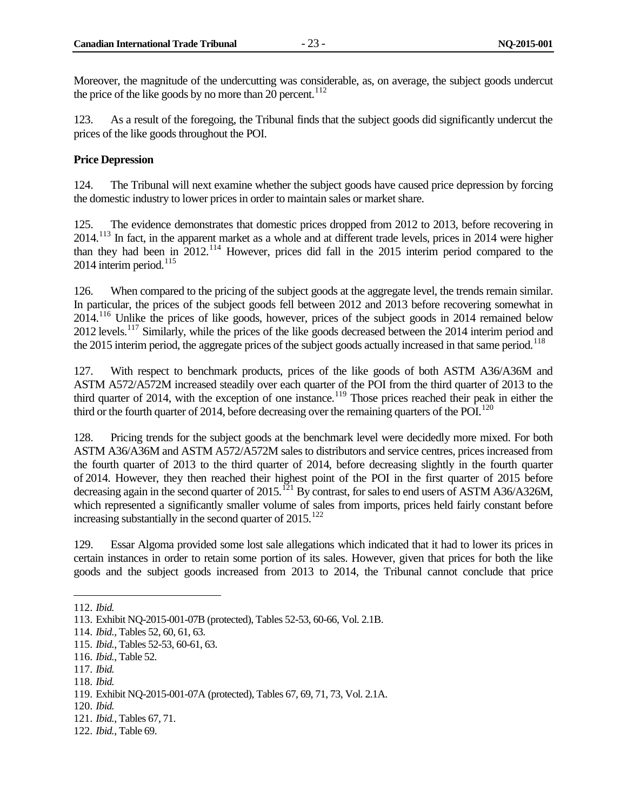Moreover, the magnitude of the undercutting was considerable, as, on average, the subject goods undercut the price of the like goods by no more than 20 percent.<sup>[112](#page-30-1)</sup>

123. As a result of the foregoing, the Tribunal finds that the subject goods did significantly undercut the prices of the like goods throughout the POI.

#### <span id="page-30-0"></span>**Price Depression**

124. The Tribunal will next examine whether the subject goods have caused price depression by forcing the domestic industry to lower prices in order to maintain sales or market share.

125. The evidence demonstrates that domestic prices dropped from 2012 to 2013, before recovering in 2014.<sup>[113](#page-30-2)</sup> In fact, in the apparent market as a whole and at different trade levels, prices in 2014 were higher than they had been in 2012.[114](#page-30-3) However, prices did fall in the 2015 interim period compared to the  $2014$  interim period.<sup>[115](#page-30-4)</sup>

126. When compared to the pricing of the subject goods at the aggregate level, the trends remain similar. In particular, the prices of the subject goods fell between 2012 and 2013 before recovering somewhat in 2014.<sup>[116](#page-30-5)</sup> Unlike the prices of like goods, however, prices of the subject goods in 2014 remained below 2012 levels.<sup>[117](#page-30-6)</sup> Similarly, while the prices of the like goods decreased between the 2014 interim period and the 2015 interim period, the aggregate prices of the subject goods actually increased in that same period.<sup>[118](#page-30-7)</sup>

127. With respect to benchmark products, prices of the like goods of both ASTM A36/A36M and ASTM A572/A572M increased steadily over each quarter of the POI from the third quarter of 2013 to the third quarter of 2014, with the exception of one instance.<sup>[119](#page-30-8)</sup> Those prices reached their peak in either the third or the fourth quarter of 2014, before decreasing over the remaining quarters of the POI.<sup>[120](#page-30-9)</sup>

128. Pricing trends for the subject goods at the benchmark level were decidedly more mixed. For both ASTM A36/A36M and ASTM A572/A572M sales to distributors and service centres, prices increased from the fourth quarter of 2013 to the third quarter of 2014, before decreasing slightly in the fourth quarter of 2014. However, they then reached their highest point of the POI in the first quarter of 2015 before decreasing again in the second quarter of 2015.<sup>[121](#page-30-10)</sup> By contrast, for sales to end users of ASTM A36/A326M, which represented a significantly smaller volume of sales from imports, prices held fairly constant before increasing substantially in the second quarter of  $2015$ <sup>[122](#page-30-11)</sup>

129. Essar Algoma provided some lost sale allegations which indicated that it had to lower its prices in certain instances in order to retain some portion of its sales. However, given that prices for both the like goods and the subject goods increased from 2013 to 2014, the Tribunal cannot conclude that price

<span id="page-30-7"></span>118. *Ibid.*

<sup>112.</sup> *Ibid.*  $\overline{a}$ 

<span id="page-30-2"></span><span id="page-30-1"></span><sup>113.</sup> Exhibit NQ-2015-001-07B (protected), Tables 52-53, 60-66, Vol. 2.1B.

<span id="page-30-3"></span><sup>114.</sup> *Ibid.*, Tables 52, 60, 61, 63.

<span id="page-30-4"></span><sup>115.</sup> *Ibid.*, Tables 52-53, 60-61, 63.

<span id="page-30-5"></span><sup>116.</sup> *Ibid.*, Table 52.

<span id="page-30-6"></span><sup>117.</sup> *Ibid.*

<span id="page-30-8"></span><sup>119.</sup> Exhibit NQ-2015-001-07A (protected), Tables 67, 69, 71, 73, Vol. 2.1A.

<span id="page-30-9"></span><sup>120.</sup> *Ibid.*

<span id="page-30-10"></span><sup>121.</sup> *Ibid.*, Tables 67, 71.

<span id="page-30-11"></span><sup>122.</sup> *Ibid.*, Table 69.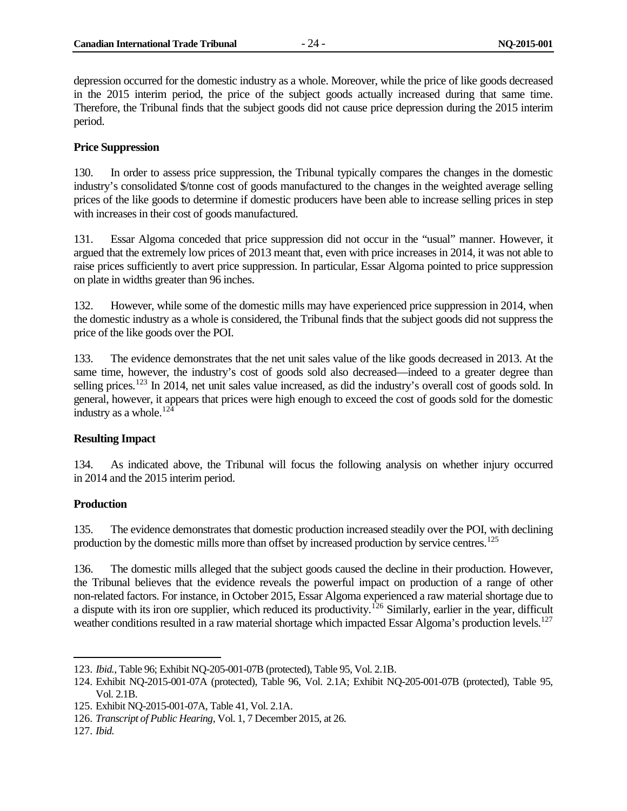depression occurred for the domestic industry as a whole. Moreover, while the price of like goods decreased in the 2015 interim period, the price of the subject goods actually increased during that same time. Therefore, the Tribunal finds that the subject goods did not cause price depression during the 2015 interim period.

#### <span id="page-31-0"></span>**Price Suppression**

130. In order to assess price suppression, the Tribunal typically compares the changes in the domestic industry's consolidated \$/tonne cost of goods manufactured to the changes in the weighted average selling prices of the like goods to determine if domestic producers have been able to increase selling prices in step with increases in their cost of goods manufactured.

131. Essar Algoma conceded that price suppression did not occur in the "usual" manner. However, it argued that the extremely low prices of 2013 meant that, even with price increases in 2014, it was not able to raise prices sufficiently to avert price suppression. In particular, Essar Algoma pointed to price suppression on plate in widths greater than 96 inches.

132. However, while some of the domestic mills may have experienced price suppression in 2014, when the domestic industry as a whole is considered, the Tribunal finds that the subject goods did not suppress the price of the like goods over the POI.

133. The evidence demonstrates that the net unit sales value of the like goods decreased in 2013. At the same time, however, the industry's cost of goods sold also decreased—indeed to a greater degree than selling prices.<sup>[123](#page-31-3)</sup> In 2014, net unit sales value increased, as did the industry's overall cost of goods sold. In general, however, it appears that prices were high enough to exceed the cost of goods sold for the domestic industry as a whole.<sup>[124](#page-31-4)</sup>

#### <span id="page-31-1"></span>**Resulting Impact**

134. As indicated above, the Tribunal will focus the following analysis on whether injury occurred in 2014 and the 2015 interim period.

#### <span id="page-31-2"></span>**Production**

135. The evidence demonstrates that domestic production increased steadily over the POI, with declining production by the domestic mills more than offset by increased production by service centres.<sup>[125](#page-31-5)</sup>

136. The domestic mills alleged that the subject goods caused the decline in their production. However, the Tribunal believes that the evidence reveals the powerful impact on production of a range of other non-related factors. For instance, in October 2015, Essar Algoma experienced a raw material shortage due to a dispute with its iron ore supplier, which reduced its productivity.<sup>[126](#page-31-6)</sup> Similarly, earlier in the year, difficult weather conditions resulted in a raw material shortage which impacted Essar Algoma's production levels.<sup>127</sup>

<span id="page-31-3"></span><sup>123.</sup> *Ibid.*, Table 96; Exhibit NQ-205-001-07B (protected), Table 95, Vol. 2.1B.

<span id="page-31-4"></span><sup>124.</sup> Exhibit NQ-2015-001-07A (protected), Table 96, Vol. 2.1A; Exhibit NQ-205-001-07B (protected), Table 95, Vol. 2.1B.

<span id="page-31-5"></span><sup>125.</sup> Exhibit NQ-2015-001-07A, Table 41, Vol. 2.1A.

<span id="page-31-6"></span><sup>126.</sup> *Transcript of Public Hearing*, Vol. 1, 7 December 2015, at 26.

<span id="page-31-7"></span><sup>127.</sup> *Ibid.*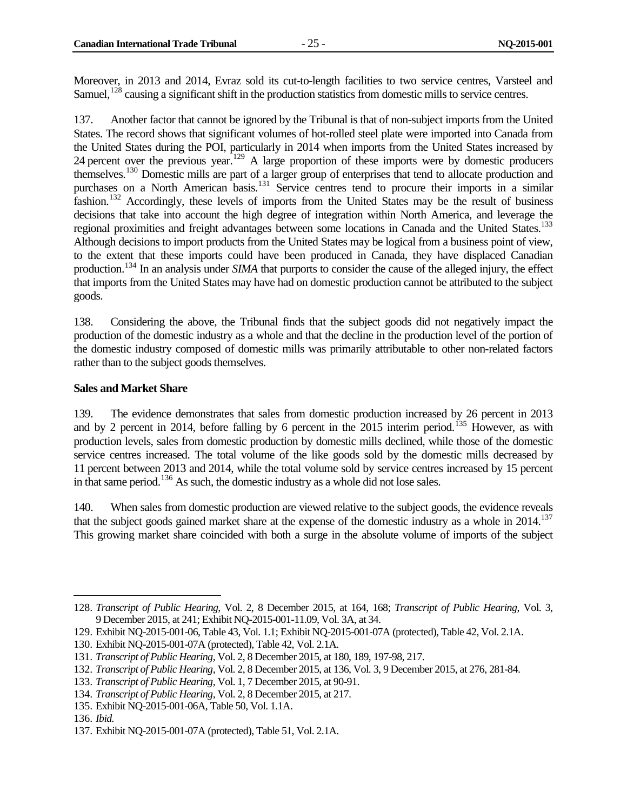Moreover, in 2013 and 2014, Evraz sold its cut-to-length facilities to two service centres, Varsteel and Samuel,<sup>[128](#page-32-1)</sup> causing a significant shift in the production statistics from domestic mills to service centres.

137. Another factor that cannot be ignored by the Tribunal is that of non-subject imports from the United States. The record shows that significant volumes of hot-rolled steel plate were imported into Canada from the United States during the POI, particularly in 2014 when imports from the United States increased by 24 percent over the previous year.<sup>[129](#page-32-2)</sup> A large proportion of these imports were by domestic producers themselves.[130](#page-32-3) Domestic mills are part of a larger group of enterprises that tend to allocate production and purchases on a North American basis.<sup>[131](#page-32-4)</sup> Service centres tend to procure their imports in a similar fashion.<sup>[132](#page-32-5)</sup> Accordingly, these levels of imports from the United States may be the result of business decisions that take into account the high degree of integration within North America, and leverage the regional proximities and freight advantages between some locations in Canada and the United States.<sup>133</sup> Although decisions to import products from the United States may be logical from a business point of view, to the extent that these imports could have been produced in Canada, they have displaced Canadian production.<sup>[134](#page-32-7)</sup> In an analysis under *SIMA* that purports to consider the cause of the alleged injury, the effect that imports from the United States may have had on domestic production cannot be attributed to the subject goods.

138. Considering the above, the Tribunal finds that the subject goods did not negatively impact the production of the domestic industry as a whole and that the decline in the production level of the portion of the domestic industry composed of domestic mills was primarily attributable to other non-related factors rather than to the subject goods themselves.

#### <span id="page-32-0"></span>**Sales and Market Share**

139. The evidence demonstrates that sales from domestic production increased by 26 percent in 2013 and by 2 percent in 2014, before falling by 6 percent in the 2015 interim period.<sup>[135](#page-32-8)</sup> However, as with production levels, sales from domestic production by domestic mills declined, while those of the domestic service centres increased. The total volume of the like goods sold by the domestic mills decreased by 11 percent between 2013 and 2014, while the total volume sold by service centres increased by 15 percent in that same period.<sup>[136](#page-32-9)</sup> As such, the domestic industry as a whole did not lose sales.

140. When sales from domestic production are viewed relative to the subject goods, the evidence reveals that the subject goods gained market share at the expense of the domestic industry as a whole in 2014.<sup>137</sup> This growing market share coincided with both a surge in the absolute volume of imports of the subject

<span id="page-32-1"></span><sup>128.</sup> *Transcript of Public Hearing*, Vol. 2, 8 December 2015, at 164, 168; *Transcript of Public Hearing*, Vol. 3, 9 December 2015, at 241; Exhibit NQ-2015-001-11.09, Vol. 3A, at 34.  $\overline{a}$ 

<span id="page-32-3"></span><span id="page-32-2"></span><sup>129.</sup> Exhibit NQ-2015-001-06, Table 43, Vol. 1.1; Exhibit NQ-2015-001-07A (protected), Table 42, Vol. 2.1A.

<span id="page-32-4"></span><sup>130.</sup> Exhibit NQ-2015-001-07A (protected), Table 42, Vol. 2.1A.

<span id="page-32-5"></span><sup>131.</sup> *Transcript of Public Hearing*, Vol. 2, 8 December 2015, at 180, 189, 197-98, 217.

<sup>132.</sup> *Transcript of Public Hearing*, Vol. 2, 8 December 2015, at 136, Vol. 3, 9 December 2015, at 276, 281-84.

<span id="page-32-6"></span><sup>133.</sup> *Transcript of Public Hearing*, Vol. 1, 7 December 2015, at 90-91.

<span id="page-32-7"></span><sup>134.</sup> *Transcript of Public Hearing*, Vol. 2, 8 December 2015, at 217.

<span id="page-32-8"></span><sup>135.</sup> Exhibit NQ-2015-001-06A, Table 50, Vol. 1.1A.

<span id="page-32-9"></span><sup>136.</sup> *Ibid.*

<span id="page-32-10"></span><sup>137.</sup> Exhibit NQ-2015-001-07A (protected), Table 51, Vol. 2.1A.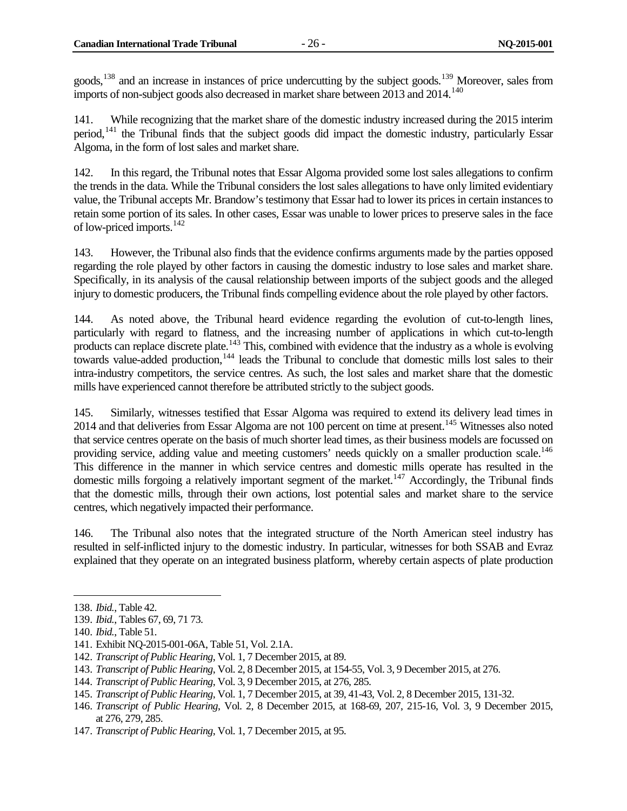goods,<sup>[138](#page-33-0)</sup> and an increase in instances of price undercutting by the subject goods.<sup>[139](#page-33-1)</sup> Moreover, sales from imports of non-subject goods also decreased in market share between 2013 and 2014.<sup>[140](#page-33-2)</sup>

141. While recognizing that the market share of the domestic industry increased during the 2015 interim period, $141$  the Tribunal finds that the subject goods did impact the domestic industry, particularly Essar Algoma, in the form of lost sales and market share.

142. In this regard, the Tribunal notes that Essar Algoma provided some lost sales allegations to confirm the trends in the data. While the Tribunal considers the lost sales allegations to have only limited evidentiary value, the Tribunal accepts Mr. Brandow's testimony that Essar had to lower its prices in certain instances to retain some portion of its sales. In other cases, Essar was unable to lower prices to preserve sales in the face of low-priced imports.[142](#page-33-4)

143. However, the Tribunal also finds that the evidence confirms arguments made by the parties opposed regarding the role played by other factors in causing the domestic industry to lose sales and market share. Specifically, in its analysis of the causal relationship between imports of the subject goods and the alleged injury to domestic producers, the Tribunal finds compelling evidence about the role played by other factors.

144. As noted above, the Tribunal heard evidence regarding the evolution of cut-to-length lines, particularly with regard to flatness, and the increasing number of applications in which cut-to-length products can replace discrete plate.<sup>[143](#page-33-5)</sup> This, combined with evidence that the industry as a whole is evolving towards value-added production,<sup>[144](#page-33-6)</sup> leads the Tribunal to conclude that domestic mills lost sales to their intra-industry competitors, the service centres. As such, the lost sales and market share that the domestic mills have experienced cannot therefore be attributed strictly to the subject goods.

145. Similarly, witnesses testified that Essar Algoma was required to extend its delivery lead times in 2014 and that deliveries from Essar Algoma are not 100 percent on time at present.<sup>[145](#page-33-7)</sup> Witnesses also noted that service centres operate on the basis of much shorter lead times, as their business models are focussed on providing service, adding value and meeting customers' needs quickly on a smaller production scale.<sup>146</sup> This difference in the manner in which service centres and domestic mills operate has resulted in the domestic mills forgoing a relatively important segment of the market.<sup>[147](#page-33-9)</sup> Accordingly, the Tribunal finds that the domestic mills, through their own actions, lost potential sales and market share to the service centres, which negatively impacted their performance.

146. The Tribunal also notes that the integrated structure of the North American steel industry has resulted in self-inflicted injury to the domestic industry. In particular, witnesses for both SSAB and Evraz explained that they operate on an integrated business platform, whereby certain aspects of plate production

<span id="page-33-0"></span><sup>138.</sup> *Ibid.*, Table 42.  $\overline{a}$ 

<span id="page-33-1"></span><sup>139.</sup> *Ibid.*, Tables 67, 69, 71 73.

<span id="page-33-2"></span><sup>140.</sup> *Ibid.*, Table 51.

<span id="page-33-3"></span><sup>141.</sup> Exhibit NQ-2015-001-06A, Table 51, Vol. 2.1A.

<span id="page-33-4"></span><sup>142.</sup> *Transcript of Public Hearing*, Vol. 1, 7 December 2015, at 89.

<span id="page-33-5"></span><sup>143.</sup> *Transcript of Public Hearing*, Vol. 2, 8 December 2015, at 154-55, Vol. 3, 9 December 2015, at 276.

<span id="page-33-6"></span><sup>144.</sup> *Transcript of Public Hearing*, Vol. 3, 9 December 2015, at 276, 285.

<span id="page-33-7"></span><sup>145.</sup> *Transcript of Public Hearing*, Vol. 1, 7 December 2015, at 39, 41-43, Vol. 2, 8 December 2015, 131-32.

<span id="page-33-8"></span><sup>146.</sup> *Transcript of Public Hearing*, Vol. 2, 8 December 2015, at 168-69, 207, 215-16, Vol. 3, 9 December 2015, at 276, 279, 285.

<span id="page-33-9"></span><sup>147.</sup> *Transcript of Public Hearing*, Vol. 1, 7 December 2015, at 95.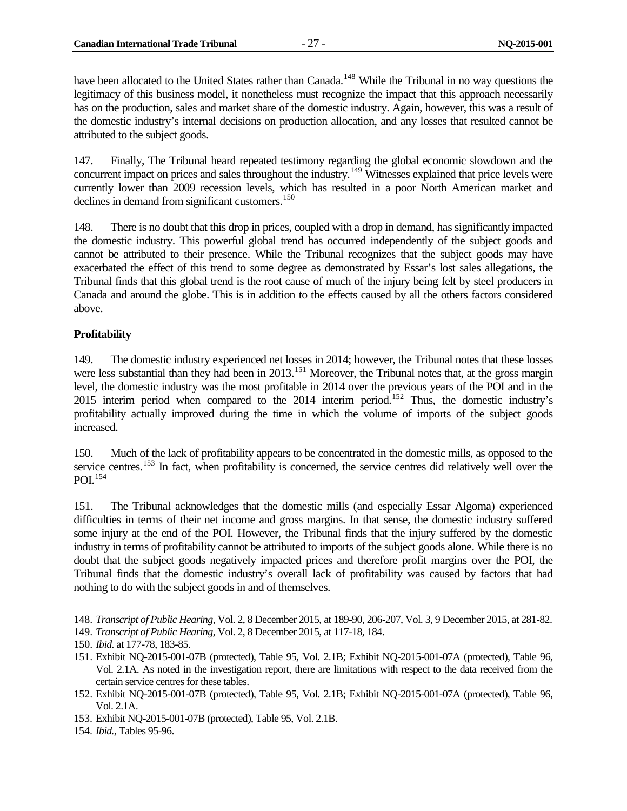have been allocated to the United States rather than Canada.<sup>[148](#page-34-1)</sup> While the Tribunal in no way questions the legitimacy of this business model, it nonetheless must recognize the impact that this approach necessarily has on the production, sales and market share of the domestic industry. Again, however, this was a result of the domestic industry's internal decisions on production allocation, and any losses that resulted cannot be attributed to the subject goods.

147. Finally, The Tribunal heard repeated testimony regarding the global economic slowdown and the concurrent impact on prices and sales throughout the industry.<sup>[149](#page-34-2)</sup> Witnesses explained that price levels were currently lower than 2009 recession levels, which has resulted in a poor North American market and declines in demand from significant customers.<sup>[150](#page-34-3)</sup>

148. There is no doubt that this drop in prices, coupled with a drop in demand, has significantly impacted the domestic industry. This powerful global trend has occurred independently of the subject goods and cannot be attributed to their presence. While the Tribunal recognizes that the subject goods may have exacerbated the effect of this trend to some degree as demonstrated by Essar's lost sales allegations, the Tribunal finds that this global trend is the root cause of much of the injury being felt by steel producers in Canada and around the globe. This is in addition to the effects caused by all the others factors considered above.

#### <span id="page-34-0"></span>**Profitability**

149. The domestic industry experienced net losses in 2014; however, the Tribunal notes that these losses were less substantial than they had been in 2013.<sup>[151](#page-34-4)</sup> Moreover, the Tribunal notes that, at the gross margin level, the domestic industry was the most profitable in 2014 over the previous years of the POI and in the 2015 interim period when compared to the 2014 interim period.<sup>[152](#page-34-5)</sup> Thus, the domestic industry's profitability actually improved during the time in which the volume of imports of the subject goods increased.

150. Much of the lack of profitability appears to be concentrated in the domestic mills, as opposed to the service centres.<sup>[153](#page-34-6)</sup> In fact, when profitability is concerned, the service centres did relatively well over the POI.[154](#page-34-7)

151. The Tribunal acknowledges that the domestic mills (and especially Essar Algoma) experienced difficulties in terms of their net income and gross margins. In that sense, the domestic industry suffered some injury at the end of the POI. However, the Tribunal finds that the injury suffered by the domestic industry in terms of profitability cannot be attributed to imports of the subject goods alone. While there is no doubt that the subject goods negatively impacted prices and therefore profit margins over the POI, the Tribunal finds that the domestic industry's overall lack of profitability was caused by factors that had nothing to do with the subject goods in and of themselves.

<span id="page-34-1"></span><sup>148.</sup> *Transcript of Public Hearing*, Vol. 2, 8 December 2015, at 189-90, 206-207, Vol. 3, 9 December 2015, at 281-82.

<span id="page-34-2"></span><sup>149.</sup> *Transcript of Public Hearing*, Vol. 2, 8 December 2015, at 117-18, 184.

<span id="page-34-3"></span><sup>150.</sup> *Ibid.* at 177-78, 183-85.

<span id="page-34-4"></span><sup>151.</sup> Exhibit NQ-2015-001-07B (protected), Table 95, Vol. 2.1B; Exhibit NQ-2015-001-07A (protected), Table 96, Vol. 2.1A. As noted in the investigation report, there are limitations with respect to the data received from the certain service centres for these tables.

<span id="page-34-5"></span><sup>152.</sup> Exhibit NQ-2015-001-07B (protected), Table 95, Vol. 2.1B; Exhibit NQ-2015-001-07A (protected), Table 96, Vol. 2.1A.

<span id="page-34-6"></span><sup>153.</sup> Exhibit NQ-2015-001-07B (protected), Table 95, Vol. 2.1B.

<span id="page-34-7"></span><sup>154.</sup> *Ibid.*, Tables 95-96.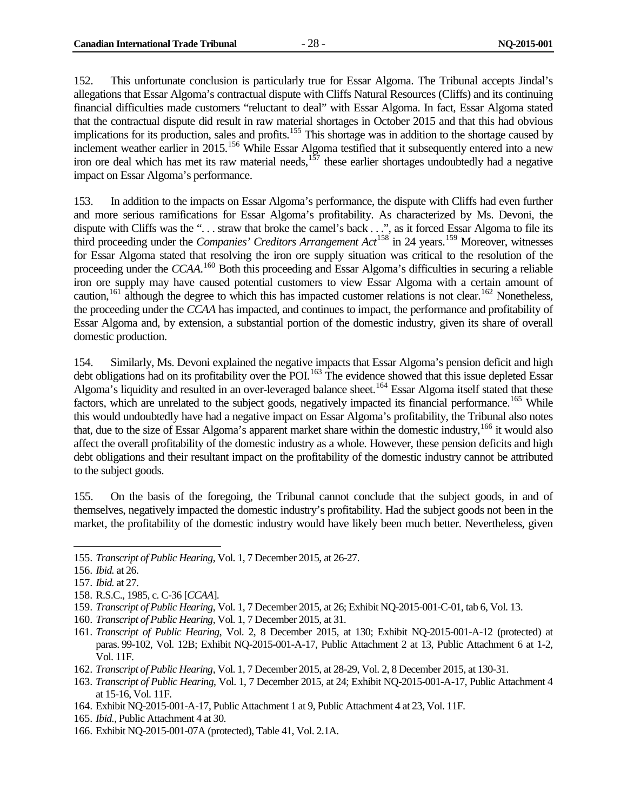152. This unfortunate conclusion is particularly true for Essar Algoma. The Tribunal accepts Jindal's allegations that Essar Algoma's contractual dispute with Cliffs Natural Resources (Cliffs) and its continuing financial difficulties made customers "reluctant to deal" with Essar Algoma. In fact, Essar Algoma stated that the contractual dispute did result in raw material shortages in October 2015 and that this had obvious implications for its production, sales and profits.<sup>[155](#page-35-0)</sup> This shortage was in addition to the shortage caused by inclement weather earlier in 2015.<sup>[156](#page-35-1)</sup> While Essar Algoma testified that it subsequently entered into a new iron ore deal which has met its raw material needs,  $157$  these earlier shortages undoubtedly had a negative impact on Essar Algoma's performance.

153. In addition to the impacts on Essar Algoma's performance, the dispute with Cliffs had even further and more serious ramifications for Essar Algoma's profitability. As characterized by Ms. Devoni, the dispute with Cliffs was the "... straw that broke the camel's back ...", as it forced Essar Algoma to file its third proceeding under the *Companies' Creditors Arrangement Act*<sup>[158](#page-35-3)</sup> in 24 years.<sup>[159](#page-35-4)</sup> Moreover, witnesses for Essar Algoma stated that resolving the iron ore supply situation was critical to the resolution of the proceeding under the *CCAA*. [160](#page-35-5) Both this proceeding and Essar Algoma's difficulties in securing a reliable iron ore supply may have caused potential customers to view Essar Algoma with a certain amount of caution,<sup>[161](#page-35-6)</sup> although the degree to which this has impacted customer relations is not clear.<sup>[162](#page-35-7)</sup> Nonetheless, the proceeding under the *CCAA* has impacted, and continues to impact, the performance and profitability of Essar Algoma and, by extension, a substantial portion of the domestic industry, given its share of overall domestic production.

154. Similarly, Ms. Devoni explained the negative impacts that Essar Algoma's pension deficit and high debt obligations had on its profitability over the POI.<sup>[163](#page-35-8)</sup> The evidence showed that this issue depleted Essar Algoma's liquidity and resulted in an over-leveraged balance sheet.<sup>[164](#page-35-9)</sup> Essar Algoma itself stated that these factors, which are unrelated to the subject goods, negatively impacted its financial performance.<sup>[165](#page-35-10)</sup> While this would undoubtedly have had a negative impact on Essar Algoma's profitability, the Tribunal also notes that, due to the size of Essar Algoma's apparent market share within the domestic industry,<sup>[166](#page-35-11)</sup> it would also affect the overall profitability of the domestic industry as a whole. However, these pension deficits and high debt obligations and their resultant impact on the profitability of the domestic industry cannot be attributed to the subject goods.

155. On the basis of the foregoing, the Tribunal cannot conclude that the subject goods, in and of themselves, negatively impacted the domestic industry's profitability. Had the subject goods not been in the market, the profitability of the domestic industry would have likely been much better. Nevertheless, given

<span id="page-35-3"></span>158. R.S.C., 1985, c. C-36 [*CCAA*].

- <span id="page-35-5"></span>160. *Transcript of Public Hearing*, Vol. 1, 7 December 2015, at 31.
- <span id="page-35-6"></span>161. *Transcript of Public Hearing*, Vol. 2, 8 December 2015, at 130; Exhibit NQ-2015-001-A-12 (protected) at paras. 99-102, Vol. 12B; Exhibit NQ-2015-001-A-17, Public Attachment 2 at 13, Public Attachment 6 at 1-2, Vol. 11F.
- <span id="page-35-7"></span>162. *Transcript of Public Hearing*, Vol. 1, 7 December 2015, at 28-29, Vol. 2, 8 December 2015, at 130-31.
- <span id="page-35-8"></span>163. *Transcript of Public Hearing*, Vol. 1, 7 December 2015, at 24; Exhibit NQ-2015-001-A-17, Public Attachment 4 at 15-16, Vol. 11F.
- <span id="page-35-9"></span>164. Exhibit NQ-2015-001-A-17, Public Attachment 1 at 9, Public Attachment 4 at 23, Vol. 11F.
- <span id="page-35-10"></span>165. *Ibid.*, Public Attachment 4 at 30.

<span id="page-35-0"></span><sup>155.</sup> *Transcript of Public Hearing*, Vol. 1, 7 December 2015, at 26-27.  $\overline{a}$ 

<span id="page-35-1"></span><sup>156.</sup> *Ibid.* at 26.

<span id="page-35-2"></span><sup>157.</sup> *Ibid.* at 27.

<span id="page-35-4"></span><sup>159.</sup> *Transcript of Public Hearing*, Vol. 1, 7 December 2015, at 26; Exhibit NQ-2015-001-C-01, tab 6, Vol. 13.

<span id="page-35-11"></span><sup>166.</sup> Exhibit NQ-2015-001-07A (protected), Table 41, Vol. 2.1A.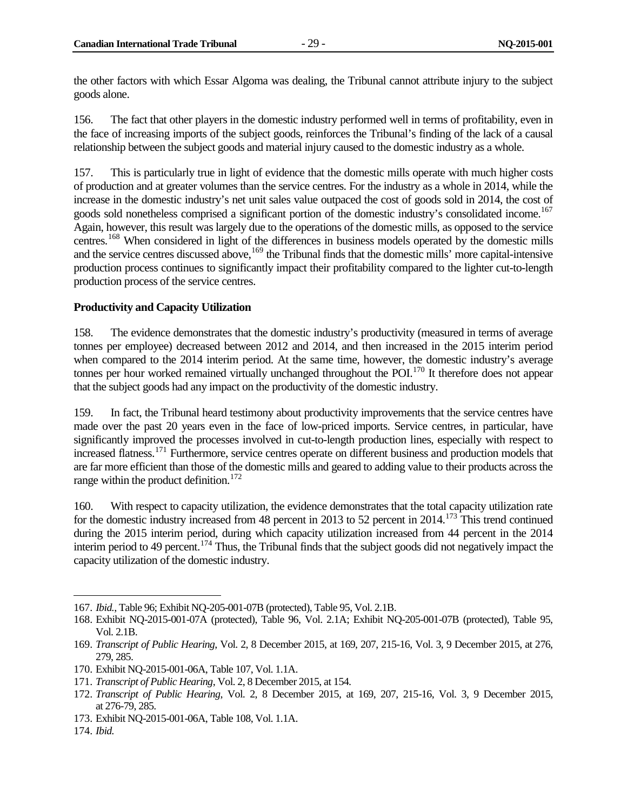the other factors with which Essar Algoma was dealing, the Tribunal cannot attribute injury to the subject goods alone.

156. The fact that other players in the domestic industry performed well in terms of profitability, even in the face of increasing imports of the subject goods, reinforces the Tribunal's finding of the lack of a causal relationship between the subject goods and material injury caused to the domestic industry as a whole.

157. This is particularly true in light of evidence that the domestic mills operate with much higher costs of production and at greater volumes than the service centres. For the industry as a whole in 2014, while the increase in the domestic industry's net unit sales value outpaced the cost of goods sold in 2014, the cost of goods sold nonetheless comprised a significant portion of the domestic industry's consolidated income.<sup>[167](#page-36-1)</sup> Again, however, this result was largely due to the operations of the domestic mills, as opposed to the service centres.<sup>[168](#page-36-2)</sup> When considered in light of the differences in business models operated by the domestic mills and the service centres discussed above,<sup>[169](#page-36-3)</sup> the Tribunal finds that the domestic mills' more capital-intensive production process continues to significantly impact their profitability compared to the lighter cut-to-length production process of the service centres.

#### <span id="page-36-0"></span>**Productivity and Capacity Utilization**

158. The evidence demonstrates that the domestic industry's productivity (measured in terms of average tonnes per employee) decreased between 2012 and 2014, and then increased in the 2015 interim period when compared to the 2014 interim period. At the same time, however, the domestic industry's average tonnes per hour worked remained virtually unchanged throughout the POI.<sup>[170](#page-36-4)</sup> It therefore does not appear that the subject goods had any impact on the productivity of the domestic industry.

159. In fact, the Tribunal heard testimony about productivity improvements that the service centres have made over the past 20 years even in the face of low-priced imports. Service centres, in particular, have significantly improved the processes involved in cut-to-length production lines, especially with respect to increased flatness.[171](#page-36-5) Furthermore, service centres operate on different business and production models that are far more efficient than those of the domestic mills and geared to adding value to their products across the range within the product definition.<sup>[172](#page-36-6)</sup>

160. With respect to capacity utilization, the evidence demonstrates that the total capacity utilization rate for the domestic industry increased from 48 percent in 2013 to 52 percent in 2014.<sup>[173](#page-36-7)</sup> This trend continued during the 2015 interim period, during which capacity utilization increased from 44 percent in the 2014 interim period to 49 percent.<sup>[174](#page-36-8)</sup> Thus, the Tribunal finds that the subject goods did not negatively impact the capacity utilization of the domestic industry.

<span id="page-36-1"></span><sup>167.</sup> *Ibid.*, Table 96; Exhibit NQ-205-001-07B (protected), Table 95, Vol. 2.1B.

<span id="page-36-2"></span><sup>168.</sup> Exhibit NQ-2015-001-07A (protected), Table 96, Vol. 2.1A; Exhibit NQ-205-001-07B (protected), Table 95, Vol. 2.1B.

<span id="page-36-3"></span><sup>169.</sup> *Transcript of Public Hearing*, Vol. 2, 8 December 2015, at 169, 207, 215-16, Vol. 3, 9 December 2015, at 276, 279, 285.

<span id="page-36-4"></span><sup>170.</sup> Exhibit NQ-2015-001-06A, Table 107, Vol. 1.1A.

<span id="page-36-5"></span><sup>171.</sup> *Transcript of Public Hearing*, Vol. 2, 8 December 2015, at 154.

<span id="page-36-6"></span><sup>172.</sup> *Transcript of Public Hearing*, Vol. 2, 8 December 2015, at 169, 207, 215-16, Vol. 3, 9 December 2015, at 276-79, 285.

<span id="page-36-7"></span><sup>173.</sup> Exhibit NQ-2015-001-06A, Table 108, Vol. 1.1A.

<span id="page-36-8"></span><sup>174.</sup> *Ibid.*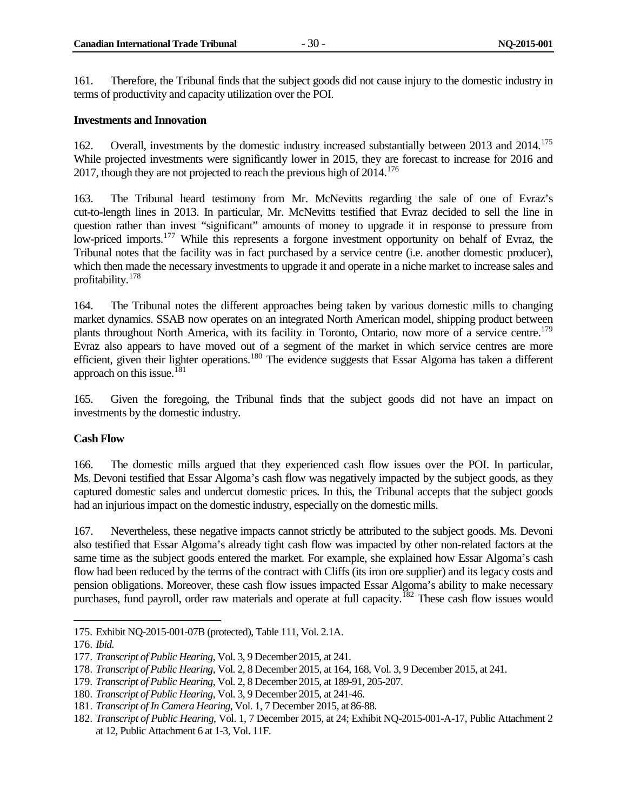161. Therefore, the Tribunal finds that the subject goods did not cause injury to the domestic industry in terms of productivity and capacity utilization over the POI.

#### <span id="page-37-0"></span>**Investments and Innovation**

162. Overall, investments by the domestic industry increased substantially between 2013 and 2014.<sup>175</sup> While projected investments were significantly lower in 2015, they are forecast to increase for 2016 and 2017, though they are not projected to reach the previous high of  $2014$ <sup> $176$ </sup>

163. The Tribunal heard testimony from Mr. McNevitts regarding the sale of one of Evraz's cut-to-length lines in 2013. In particular, Mr. McNevitts testified that Evraz decided to sell the line in question rather than invest "significant" amounts of money to upgrade it in response to pressure from low-priced imports.<sup>[177](#page-37-4)</sup> While this represents a forgone investment opportunity on behalf of Evraz, the Tribunal notes that the facility was in fact purchased by a service centre (i.e. another domestic producer), which then made the necessary investments to upgrade it and operate in a niche market to increase sales and profitability.[178](#page-37-5)

164. The Tribunal notes the different approaches being taken by various domestic mills to changing market dynamics. SSAB now operates on an integrated North American model, shipping product between plants throughout North America, with its facility in Toronto, Ontario, now more of a service centre.<sup>179</sup> Evraz also appears to have moved out of a segment of the market in which service centres are more efficient, given their lighter operations.[180](#page-37-7) The evidence suggests that Essar Algoma has taken a different approach on this issue.<sup>[181](#page-37-8)</sup>

165. Given the foregoing, the Tribunal finds that the subject goods did not have an impact on investments by the domestic industry.

#### <span id="page-37-1"></span>**Cash Flow**

166. The domestic mills argued that they experienced cash flow issues over the POI. In particular, Ms. Devoni testified that Essar Algoma's cash flow was negatively impacted by the subject goods, as they captured domestic sales and undercut domestic prices. In this, the Tribunal accepts that the subject goods had an injurious impact on the domestic industry, especially on the domestic mills.

167. Nevertheless, these negative impacts cannot strictly be attributed to the subject goods. Ms. Devoni also testified that Essar Algoma's already tight cash flow was impacted by other non-related factors at the same time as the subject goods entered the market. For example, she explained how Essar Algoma's cash flow had been reduced by the terms of the contract with Cliffs (its iron ore supplier) and its legacy costs and pension obligations. Moreover, these cash flow issues impacted Essar Algoma's ability to make necessary purchases, fund payroll, order raw materials and operate at full capacity.<sup>[182](#page-37-9)</sup> These cash flow issues would

<span id="page-37-2"></span><sup>175.</sup> Exhibit NQ-2015-001-07B (protected), Table 111, Vol. 2.1A.

<span id="page-37-3"></span><sup>176.</sup> *Ibid.*

<span id="page-37-4"></span><sup>177.</sup> *Transcript of Public Hearing*, Vol. 3, 9 December 2015, at 241.

<span id="page-37-5"></span><sup>178.</sup> *Transcript of Public Hearing*, Vol. 2, 8 December 2015, at 164, 168, Vol. 3, 9 December 2015, at 241.

<span id="page-37-6"></span><sup>179.</sup> *Transcript of Public Hearing*, Vol. 2, 8 December 2015, at 189-91, 205-207.

<span id="page-37-7"></span><sup>180.</sup> *Transcript of Public Hearing*, Vol. 3, 9 December 2015, at 241-46.

<span id="page-37-8"></span><sup>181.</sup> *Transcript of In Camera Hearing*, Vol. 1, 7 December 2015, at 86-88.

<span id="page-37-9"></span><sup>182.</sup> *Transcript of Public Hearing*, Vol. 1, 7 December 2015, at 24; Exhibit NQ-2015-001-A-17, Public Attachment 2 at 12, Public Attachment 6 at 1-3, Vol. 11F.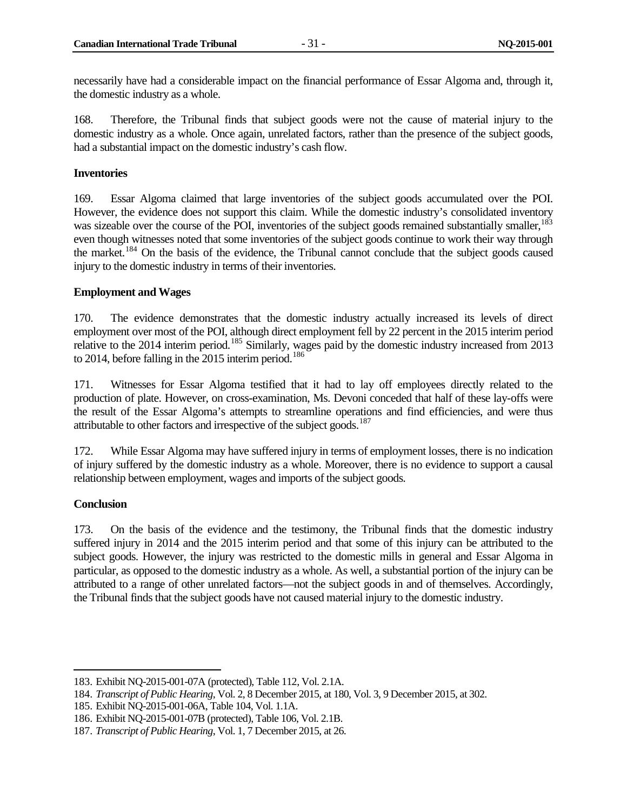necessarily have had a considerable impact on the financial performance of Essar Algoma and, through it, the domestic industry as a whole.

168. Therefore, the Tribunal finds that subject goods were not the cause of material injury to the domestic industry as a whole. Once again, unrelated factors, rather than the presence of the subject goods, had a substantial impact on the domestic industry's cash flow.

#### <span id="page-38-0"></span>**Inventories**

169. Essar Algoma claimed that large inventories of the subject goods accumulated over the POI. However, the evidence does not support this claim. While the domestic industry's consolidated inventory was sizeable over the course of the POI, inventories of the subject goods remained substantially smaller,<sup>[183](#page-38-3)</sup> even though witnesses noted that some inventories of the subject goods continue to work their way through the market.<sup>[184](#page-38-4)</sup> On the basis of the evidence, the Tribunal cannot conclude that the subject goods caused injury to the domestic industry in terms of their inventories.

#### <span id="page-38-1"></span>**Employment and Wages**

170. The evidence demonstrates that the domestic industry actually increased its levels of direct employment over most of the POI, although direct employment fell by 22 percent in the 2015 interim period relative to the 2014 interim period.<sup>[185](#page-38-5)</sup> Similarly, wages paid by the domestic industry increased from 2013 to 2014, before falling in the 2015 interim period.<sup>[186](#page-38-6)</sup>

171. Witnesses for Essar Algoma testified that it had to lay off employees directly related to the production of plate. However, on cross-examination, Ms. Devoni conceded that half of these lay-offs were the result of the Essar Algoma's attempts to streamline operations and find efficiencies, and were thus attributable to other factors and irrespective of the subject goods.<sup>[187](#page-38-7)</sup>

172. While Essar Algoma may have suffered injury in terms of employment losses, there is no indication of injury suffered by the domestic industry as a whole. Moreover, there is no evidence to support a causal relationship between employment, wages and imports of the subject goods.

#### <span id="page-38-2"></span>**Conclusion**

 $\overline{a}$ 

173. On the basis of the evidence and the testimony, the Tribunal finds that the domestic industry suffered injury in 2014 and the 2015 interim period and that some of this injury can be attributed to the subject goods. However, the injury was restricted to the domestic mills in general and Essar Algoma in particular, as opposed to the domestic industry as a whole. As well, a substantial portion of the injury can be attributed to a range of other unrelated factors—not the subject goods in and of themselves. Accordingly, the Tribunal finds that the subject goods have not caused material injury to the domestic industry.

<span id="page-38-3"></span><sup>183.</sup> Exhibit NQ-2015-001-07A (protected), Table 112, Vol. 2.1A.

<span id="page-38-4"></span><sup>184.</sup> *Transcript of Public Hearing*, Vol. 2, 8 December 2015, at 180, Vol. 3, 9 December 2015, at 302.

<span id="page-38-5"></span><sup>185.</sup> Exhibit NQ-2015-001-06A, Table 104, Vol. 1.1A.

<span id="page-38-6"></span><sup>186.</sup> Exhibit NQ-2015-001-07B (protected), Table 106, Vol. 2.1B.

<span id="page-38-7"></span><sup>187.</sup> *Transcript of Public Hearing*, Vol. 1, 7 December 2015, at 26.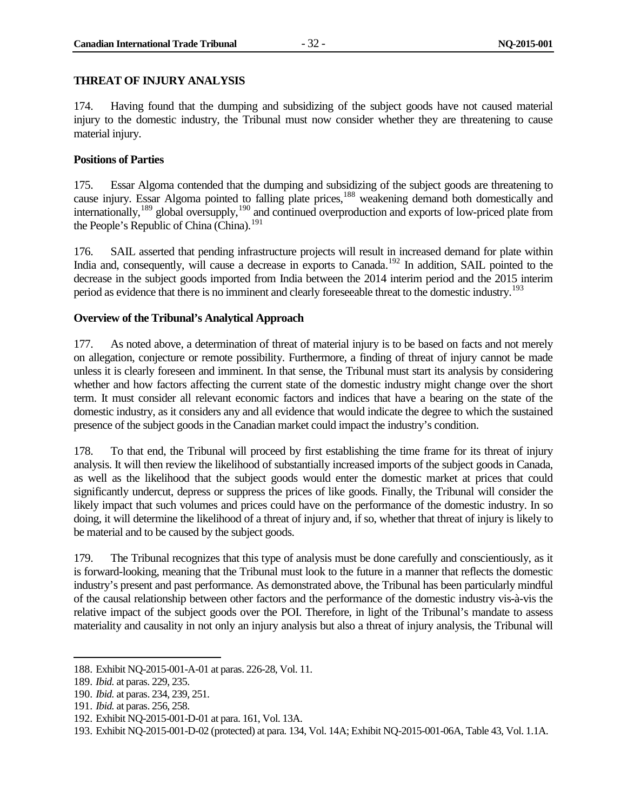#### <span id="page-39-0"></span>**THREAT OF INJURY ANALYSIS**

174. Having found that the dumping and subsidizing of the subject goods have not caused material injury to the domestic industry, the Tribunal must now consider whether they are threatening to cause material injury.

#### <span id="page-39-1"></span>**Positions of Parties**

175. Essar Algoma contended that the dumping and subsidizing of the subject goods are threatening to cause injury. Essar Algoma pointed to falling plate prices,<sup>[188](#page-39-3)</sup> weakening demand both domestically and internationally,[189](#page-39-4) global oversupply,[190](#page-39-5) and continued overproduction and exports of low-priced plate from the People's Republic of China (China).<sup>[191](#page-39-6)</sup>

176. SAIL asserted that pending infrastructure projects will result in increased demand for plate within India and, consequently, will cause a decrease in exports to Canada.<sup>[192](#page-39-7)</sup> In addition, SAIL pointed to the decrease in the subject goods imported from India between the 2014 interim period and the 2015 interim period as evidence that there is no imminent and clearly foreseeable threat to the domestic industry.<sup>[193](#page-39-8)</sup>

#### <span id="page-39-2"></span>**Overview of the Tribunal's Analytical Approach**

177. As noted above, a determination of threat of material injury is to be based on facts and not merely on allegation, conjecture or remote possibility. Furthermore, a finding of threat of injury cannot be made unless it is clearly foreseen and imminent. In that sense, the Tribunal must start its analysis by considering whether and how factors affecting the current state of the domestic industry might change over the short term. It must consider all relevant economic factors and indices that have a bearing on the state of the domestic industry, as it considers any and all evidence that would indicate the degree to which the sustained presence of the subject goods in the Canadian market could impact the industry's condition.

178. To that end, the Tribunal will proceed by first establishing the time frame for its threat of injury analysis. It will then review the likelihood of substantially increased imports of the subject goods in Canada, as well as the likelihood that the subject goods would enter the domestic market at prices that could significantly undercut, depress or suppress the prices of like goods. Finally, the Tribunal will consider the likely impact that such volumes and prices could have on the performance of the domestic industry. In so doing, it will determine the likelihood of a threat of injury and, if so, whether that threat of injury is likely to be material and to be caused by the subject goods.

179. The Tribunal recognizes that this type of analysis must be done carefully and conscientiously, as it is forward-looking, meaning that the Tribunal must look to the future in a manner that reflects the domestic industry's present and past performance. As demonstrated above, the Tribunal has been particularly mindful of the causal relationship between other factors and the performance of the domestic industry vis-à-vis the relative impact of the subject goods over the POI. Therefore, in light of the Tribunal's mandate to assess materiality and causality in not only an injury analysis but also a threat of injury analysis, the Tribunal will

<span id="page-39-3"></span><sup>188.</sup> Exhibit NQ-2015-001-A-01 at paras. 226-28, Vol. 11.

<span id="page-39-4"></span><sup>189.</sup> *Ibid.* at paras. 229, 235.

<span id="page-39-5"></span><sup>190.</sup> *Ibid.* at paras. 234, 239, 251.

<span id="page-39-6"></span><sup>191.</sup> *Ibid.* at paras. 256, 258.

<span id="page-39-7"></span><sup>192.</sup> Exhibit NQ-2015-001-D-01 at para. 161, Vol. 13A.

<span id="page-39-8"></span><sup>193.</sup> Exhibit NQ-2015-001-D-02 (protected) at para. 134, Vol. 14A; Exhibit NQ-2015-001-06A, Table 43, Vol. 1.1A.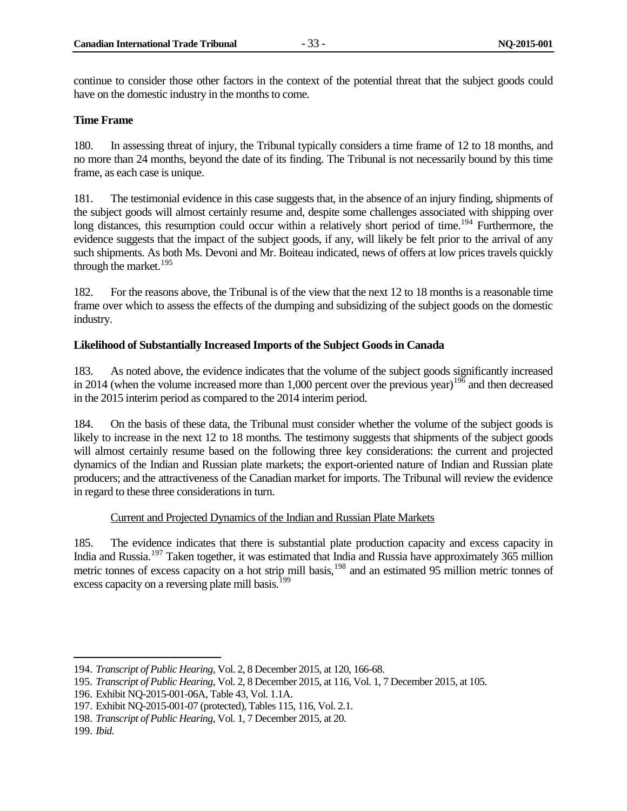continue to consider those other factors in the context of the potential threat that the subject goods could have on the domestic industry in the months to come.

#### <span id="page-40-0"></span>**Time Frame**

180. In assessing threat of injury, the Tribunal typically considers a time frame of 12 to 18 months, and no more than 24 months, beyond the date of its finding. The Tribunal is not necessarily bound by this time frame, as each case is unique.

181. The testimonial evidence in this case suggests that, in the absence of an injury finding, shipments of the subject goods will almost certainly resume and, despite some challenges associated with shipping over long distances, this resumption could occur within a relatively short period of time.<sup>[194](#page-40-2)</sup> Furthermore, the evidence suggests that the impact of the subject goods, if any, will likely be felt prior to the arrival of any such shipments. As both Ms. Devoni and Mr. Boiteau indicated, news of offers at low prices travels quickly through the market.<sup>[195](#page-40-3)</sup>

182. For the reasons above, the Tribunal is of the view that the next 12 to 18 months is a reasonable time frame over which to assess the effects of the dumping and subsidizing of the subject goods on the domestic industry.

#### <span id="page-40-1"></span>**Likelihood of Substantially Increased Imports of the Subject Goods in Canada**

183. As noted above, the evidence indicates that the volume of the subject goods significantly increased in 2014 (when the volume increased more than 1,000 percent over the previous year)<sup>[196](#page-40-4)</sup> and then decreased in the 2015 interim period as compared to the 2014 interim period.

184. On the basis of these data, the Tribunal must consider whether the volume of the subject goods is likely to increase in the next 12 to 18 months. The testimony suggests that shipments of the subject goods will almost certainly resume based on the following three key considerations: the current and projected dynamics of the Indian and Russian plate markets; the export-oriented nature of Indian and Russian plate producers; and the attractiveness of the Canadian market for imports. The Tribunal will review the evidence in regard to these three considerations in turn.

#### Current and Projected Dynamics of the Indian and Russian Plate Markets

185. The evidence indicates that there is substantial plate production capacity and excess capacity in India and Russia.[197](#page-40-5) Taken together, it was estimated that India and Russia have approximately 365 million metric tonnes of excess capacity on a hot strip mill basis,<sup>[198](#page-40-6)</sup> and an estimated 95 million metric tonnes of excess capacity on a reversing plate mill basis.<sup>[199](#page-40-7)</sup>

<span id="page-40-2"></span><sup>194.</sup> *Transcript of Public Hearing*, Vol. 2, 8 December 2015, at 120, 166-68.

<span id="page-40-3"></span><sup>195.</sup> *Transcript of Public Hearing*, Vol. 2, 8 December 2015, at 116, Vol. 1, 7 December 2015, at 105.

<span id="page-40-4"></span><sup>196.</sup> Exhibit NQ-2015-001-06A, Table 43, Vol. 1.1A.

<span id="page-40-5"></span><sup>197.</sup> Exhibit NQ-2015-001-07 (protected), Tables 115, 116, Vol. 2.1.

<span id="page-40-6"></span><sup>198.</sup> *Transcript of Public Hearing*, Vol. 1, 7 December 2015, at 20.

<span id="page-40-7"></span><sup>199.</sup> *Ibid.*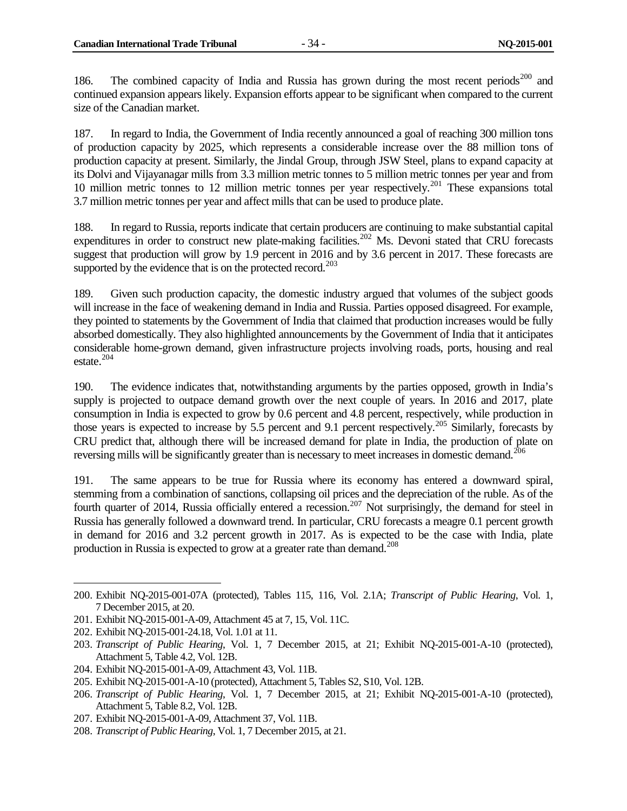186. The combined capacity of India and Russia has grown during the most recent periods<sup>[200](#page-41-0)</sup> and continued expansion appears likely. Expansion efforts appear to be significant when compared to the current size of the Canadian market.

187. In regard to India, the Government of India recently announced a goal of reaching 300 million tons of production capacity by 2025, which represents a considerable increase over the 88 million tons of production capacity at present. Similarly, the Jindal Group, through JSW Steel, plans to expand capacity at its Dolvi and Vijayanagar mills from 3.3 million metric tonnes to 5 million metric tonnes per year and from 10 million metric tonnes to 12 million metric tonnes per year respectively.<sup>[201](#page-41-1)</sup> These expansions total 3.7 million metric tonnes per year and affect mills that can be used to produce plate.

188. In regard to Russia, reports indicate that certain producers are continuing to make substantial capital expenditures in order to construct new plate-making facilities.<sup>[202](#page-41-2)</sup> Ms. Devoni stated that CRU forecasts suggest that production will grow by 1.9 percent in 2016 and by 3.6 percent in 2017. These forecasts are supported by the evidence that is on the protected record.<sup>[203](#page-41-3)</sup>

189. Given such production capacity, the domestic industry argued that volumes of the subject goods will increase in the face of weakening demand in India and Russia. Parties opposed disagreed. For example, they pointed to statements by the Government of India that claimed that production increases would be fully absorbed domestically. They also highlighted announcements by the Government of India that it anticipates considerable home-grown demand, given infrastructure projects involving roads, ports, housing and real estate. $204$ 

190. The evidence indicates that, notwithstanding arguments by the parties opposed, growth in India's supply is projected to outpace demand growth over the next couple of years. In 2016 and 2017, plate consumption in India is expected to grow by 0.6 percent and 4.8 percent, respectively, while production in those years is expected to increase by 5.5 percent and 9.1 percent respectively. [205](#page-41-5) Similarly, forecasts by CRU predict that, although there will be increased demand for plate in India, the production of plate on reversing mills will be significantly greater than is necessary to meet increases in domestic demand.<sup>[206](#page-41-6)</sup>

191. The same appears to be true for Russia where its economy has entered a downward spiral, stemming from a combination of sanctions, collapsing oil prices and the depreciation of the ruble. As of the fourth quarter of 2014, Russia officially entered a recession.<sup>[207](#page-41-7)</sup> Not surprisingly, the demand for steel in Russia has generally followed a downward trend. In particular, CRU forecasts a meagre 0.1 percent growth in demand for 2016 and 3.2 percent growth in 2017. As is expected to be the case with India, plate production in Russia is expected to grow at a greater rate than demand.<sup>[208](#page-41-8)</sup>

<span id="page-41-2"></span>202. Exhibit NQ-2015-001-24.18, Vol. 1.01 at 11.

<span id="page-41-0"></span><sup>200.</sup> Exhibit NQ-2015-001-07A (protected), Tables 115, 116, Vol. 2.1A; *Transcript of Public Hearing*, Vol. 1, 7 December 2015, at 20.

<span id="page-41-1"></span><sup>201.</sup> Exhibit NQ-2015-001-A-09, Attachment 45 at 7, 15, Vol. 11C.

<span id="page-41-3"></span><sup>203.</sup> *Transcript of Public Hearing*, Vol. 1, 7 December 2015, at 21; Exhibit NQ-2015-001-A-10 (protected), Attachment 5, Table 4.2, Vol. 12B.

<span id="page-41-4"></span><sup>204.</sup> Exhibit NQ-2015-001-A-09, Attachment 43, Vol. 11B.

<span id="page-41-5"></span><sup>205.</sup> Exhibit NQ-2015-001-A-10 (protected), Attachment 5, Tables S2, S10, Vol. 12B.

<span id="page-41-6"></span><sup>206.</sup> *Transcript of Public Hearing*, Vol. 1, 7 December 2015, at 21; Exhibit NQ-2015-001-A-10 (protected), Attachment 5, Table 8.2, Vol. 12B.

<span id="page-41-7"></span><sup>207.</sup> Exhibit NQ-2015-001-A-09, Attachment 37, Vol. 11B.

<span id="page-41-8"></span><sup>208.</sup> *Transcript of Public Hearing*, Vol. 1, 7 December 2015, at 21.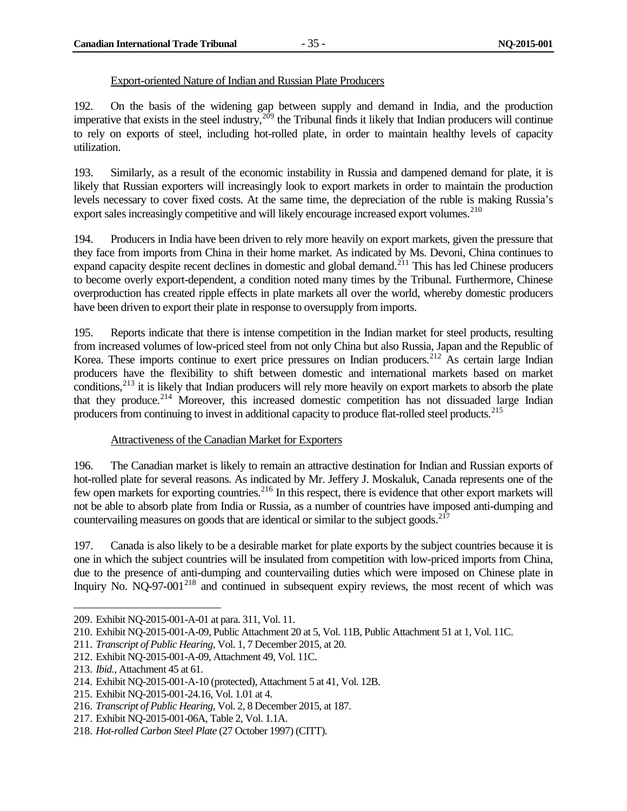#### Export-oriented Nature of Indian and Russian Plate Producers

192. On the basis of the widening gap between supply and demand in India, and the production imperative that exists in the steel industry,  $2^{09}$  the Tribunal finds it likely that Indian producers will continue to rely on exports of steel, including hot-rolled plate, in order to maintain healthy levels of capacity utilization.

193. Similarly, as a result of the economic instability in Russia and dampened demand for plate, it is likely that Russian exporters will increasingly look to export markets in order to maintain the production levels necessary to cover fixed costs. At the same time, the depreciation of the ruble is making Russia's export sales increasingly competitive and will likely encourage increased export volumes.<sup>[210](#page-42-1)</sup>

194. Producers in India have been driven to rely more heavily on export markets, given the pressure that they face from imports from China in their home market. As indicated by Ms. Devoni, China continues to expand capacity despite recent declines in domestic and global demand.<sup>[211](#page-42-2)</sup> This has led Chinese producers to become overly export-dependent, a condition noted many times by the Tribunal. Furthermore, Chinese overproduction has created ripple effects in plate markets all over the world, whereby domestic producers have been driven to export their plate in response to oversupply from imports.

195. Reports indicate that there is intense competition in the Indian market for steel products, resulting from increased volumes of low-priced steel from not only China but also Russia, Japan and the Republic of Korea. These imports continue to exert price pressures on Indian producers.<sup>[212](#page-42-3)</sup> As certain large Indian producers have the flexibility to shift between domestic and international markets based on market conditions,<sup>[213](#page-42-4)</sup> it is likely that Indian producers will rely more heavily on export markets to absorb the plate that they produce.<sup>[214](#page-42-5)</sup> Moreover, this increased domestic competition has not dissuaded large Indian producers from continuing to invest in additional capacity to produce flat-rolled steel products.<sup>[215](#page-42-6)</sup>

#### Attractiveness of the Canadian Market for Exporters

196. The Canadian market is likely to remain an attractive destination for Indian and Russian exports of hot-rolled plate for several reasons. As indicated by Mr. Jeffery J. Moskaluk, Canada represents one of the few open markets for exporting countries.<sup>[216](#page-42-7)</sup> In this respect, there is evidence that other export markets will not be able to absorb plate from India or Russia, as a number of countries have imposed anti-dumping and countervailing measures on goods that are identical or similar to the subject goods.<sup>[217](#page-42-8)</sup>

197. Canada is also likely to be a desirable market for plate exports by the subject countries because it is one in which the subject countries will be insulated from competition with low-priced imports from China, due to the presence of anti-dumping and countervailing duties which were imposed on Chinese plate in Inquiry No. NQ-97-001<sup>[218](#page-42-9)</sup> and continued in subsequent expiry reviews, the most recent of which was

<span id="page-42-0"></span><sup>209.</sup> Exhibit NQ-2015-001-A-01 at para. 311, Vol. 11.

<span id="page-42-1"></span><sup>210.</sup> Exhibit NQ-2015-001-A-09, Public Attachment 20 at 5, Vol. 11B, Public Attachment 51 at 1, Vol. 11C.

<span id="page-42-2"></span><sup>211.</sup> *Transcript of Public Hearing*, Vol. 1, 7 December 2015, at 20.

<span id="page-42-3"></span><sup>212.</sup> Exhibit NQ-2015-001-A-09, Attachment 49, Vol. 11C.

<span id="page-42-4"></span><sup>213.</sup> *Ibid.*, Attachment 45 at 61.

<span id="page-42-5"></span><sup>214.</sup> Exhibit NQ-2015-001-A-10 (protected), Attachment 5 at 41, Vol. 12B.

<span id="page-42-6"></span><sup>215.</sup> Exhibit NQ-2015-001-24.16, Vol. 1.01 at 4.

<span id="page-42-7"></span><sup>216.</sup> *Transcript of Public Hearing*, Vol. 2, 8 December 2015, at 187.

<span id="page-42-8"></span><sup>217.</sup> Exhibit NQ-2015-001-06A, Table 2, Vol. 1.1A.

<span id="page-42-9"></span><sup>218.</sup> *Hot-rolled Carbon Steel Plate* (27 October 1997) (CITT).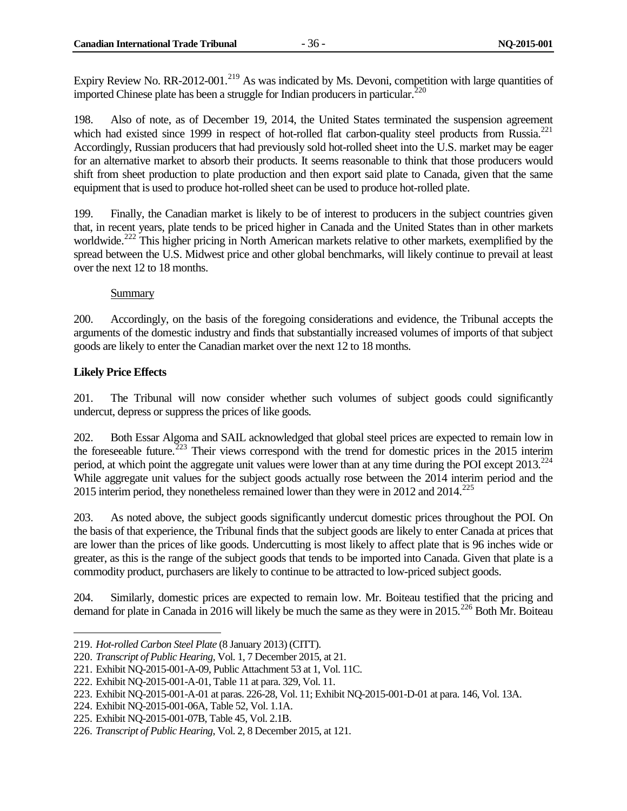Expiry Review No. RR-2012-001.<sup>[219](#page-43-1)</sup> As was indicated by Ms. Devoni, competition with large quantities of imported Chinese plate has been a struggle for Indian producers in particular.<sup>[220](#page-43-2)</sup>

198. Also of note, as of December 19, 2014, the United States terminated the suspension agreement which had existed since 1999 in respect of hot-rolled flat carbon-quality steel products from Russia.<sup>[221](#page-43-3)</sup> Accordingly, Russian producers that had previously sold hot-rolled sheet into the U.S. market may be eager for an alternative market to absorb their products. It seems reasonable to think that those producers would shift from sheet production to plate production and then export said plate to Canada, given that the same equipment that is used to produce hot-rolled sheet can be used to produce hot-rolled plate.

199. Finally, the Canadian market is likely to be of interest to producers in the subject countries given that, in recent years, plate tends to be priced higher in Canada and the United States than in other markets worldwide.<sup>[222](#page-43-4)</sup> This higher pricing in North American markets relative to other markets, exemplified by the spread between the U.S. Midwest price and other global benchmarks, will likely continue to prevail at least over the next 12 to 18 months.

#### **Summary**

200. Accordingly, on the basis of the foregoing considerations and evidence, the Tribunal accepts the arguments of the domestic industry and finds that substantially increased volumes of imports of that subject goods are likely to enter the Canadian market over the next 12 to 18 months.

#### <span id="page-43-0"></span>**Likely Price Effects**

 $\overline{a}$ 

201. The Tribunal will now consider whether such volumes of subject goods could significantly undercut, depress or suppress the prices of like goods.

202. Both Essar Algoma and SAIL acknowledged that global steel prices are expected to remain low in the foreseeable future.<sup>[223](#page-43-5)</sup> Their views correspond with the trend for domestic prices in the 2015 interim period, at which point the aggregate unit values were lower than at any time during the POI except  $2013.^{224}$  $2013.^{224}$  $2013.^{224}$ While aggregate unit values for the subject goods actually rose between the 2014 interim period and the 2015 interim period, they nonetheless remained lower than they were in 2012 and  $2014$ <sup>[225](#page-43-7)</sup>

203. As noted above, the subject goods significantly undercut domestic prices throughout the POI. On the basis of that experience, the Tribunal finds that the subject goods are likely to enter Canada at prices that are lower than the prices of like goods. Undercutting is most likely to affect plate that is 96 inches wide or greater, as this is the range of the subject goods that tends to be imported into Canada. Given that plate is a commodity product, purchasers are likely to continue to be attracted to low-priced subject goods.

204. Similarly, domestic prices are expected to remain low. Mr. Boiteau testified that the pricing and demand for plate in Canada in 2016 will likely be much the same as they were in 2015.<sup>[226](#page-43-8)</sup> Both Mr. Boiteau

<span id="page-43-1"></span><sup>219.</sup> *Hot-rolled Carbon Steel Plate* (8 January 2013) (CITT).

<span id="page-43-2"></span><sup>220.</sup> *Transcript of Public Hearing*, Vol. 1, 7 December 2015, at 21.

<span id="page-43-3"></span><sup>221.</sup> Exhibit NQ-2015-001-A-09, Public Attachment 53 at 1, Vol. 11C.

<span id="page-43-4"></span><sup>222.</sup> Exhibit NQ-2015-001-A-01, Table 11 at para. 329, Vol. 11.

<span id="page-43-5"></span><sup>223.</sup> Exhibit NQ-2015-001-A-01 at paras. 226-28, Vol. 11; Exhibit NQ-2015-001-D-01 at para. 146, Vol. 13A.

<span id="page-43-6"></span><sup>224.</sup> Exhibit NQ-2015-001-06A, Table 52, Vol. 1.1A.

<span id="page-43-7"></span><sup>225.</sup> Exhibit NQ-2015-001-07B, Table 45, Vol. 2.1B.

<span id="page-43-8"></span><sup>226.</sup> *Transcript of Public Hearing*, Vol. 2, 8 December 2015, at 121.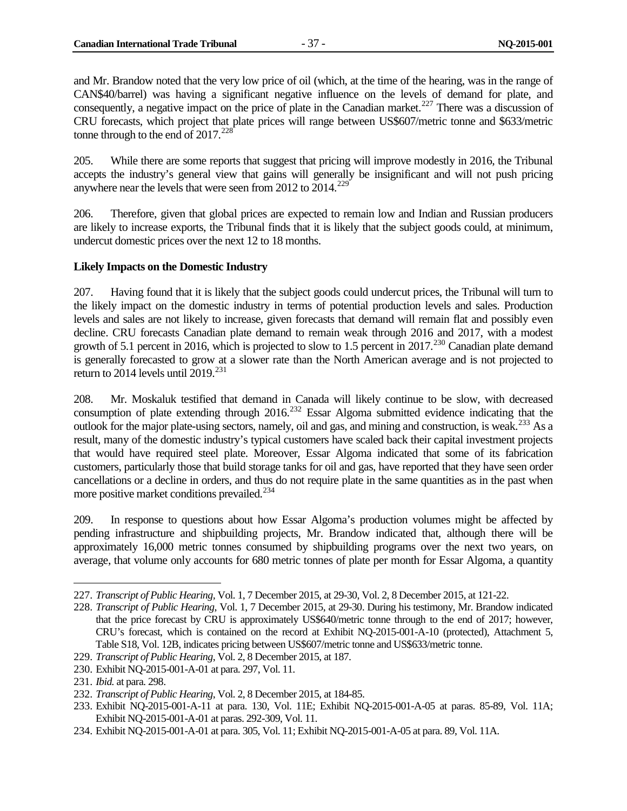and Mr. Brandow noted that the very low price of oil (which, at the time of the hearing, was in the range of CAN\$40/barrel) was having a significant negative influence on the levels of demand for plate, and consequently, a negative impact on the price of plate in the Canadian market.<sup>[227](#page-44-1)</sup> There was a discussion of CRU forecasts, which project that plate prices will range between US\$607/metric tonne and \$633/metric tonne through to the end of  $2017<sup>228</sup>$  $2017<sup>228</sup>$  $2017<sup>228</sup>$ 

205. While there are some reports that suggest that pricing will improve modestly in 2016, the Tribunal accepts the industry's general view that gains will generally be insignificant and will not push pricing anywhere near the levels that were seen from 2012 to  $2014$ <sup>[229](#page-44-3)</sup>

206. Therefore, given that global prices are expected to remain low and Indian and Russian producers are likely to increase exports, the Tribunal finds that it is likely that the subject goods could, at minimum, undercut domestic prices over the next 12 to 18 months.

#### <span id="page-44-0"></span>**Likely Impacts on the Domestic Industry**

207. Having found that it is likely that the subject goods could undercut prices, the Tribunal will turn to the likely impact on the domestic industry in terms of potential production levels and sales. Production levels and sales are not likely to increase, given forecasts that demand will remain flat and possibly even decline. CRU forecasts Canadian plate demand to remain weak through 2016 and 2017, with a modest growth of 5.1 percent in 2016, which is projected to slow to 1.5 percent in 2017.<sup>[230](#page-44-4)</sup> Canadian plate demand is generally forecasted to grow at a slower rate than the North American average and is not projected to return to 2014 levels until 2019.<sup>[231](#page-44-5)</sup>

208. Mr. Moskaluk testified that demand in Canada will likely continue to be slow, with decreased consumption of plate extending through  $2016$ <sup>[232](#page-44-6)</sup> Essar Algoma submitted evidence indicating that the outlook for the major plate-using sectors, namely, oil and gas, and mining and construction, is weak.<sup>[233](#page-44-7)</sup> As a result, many of the domestic industry's typical customers have scaled back their capital investment projects that would have required steel plate. Moreover, Essar Algoma indicated that some of its fabrication customers, particularly those that build storage tanks for oil and gas, have reported that they have seen order cancellations or a decline in orders, and thus do not require plate in the same quantities as in the past when more positive market conditions prevailed.<sup>[234](#page-44-8)</sup>

209. In response to questions about how Essar Algoma's production volumes might be affected by pending infrastructure and shipbuilding projects, Mr. Brandow indicated that, although there will be approximately 16,000 metric tonnes consumed by shipbuilding programs over the next two years, on average, that volume only accounts for 680 metric tonnes of plate per month for Essar Algoma, a quantity

<span id="page-44-1"></span><sup>227.</sup> *Transcript of Public Hearing,* Vol. 1, 7 December 2015, at 29-30, Vol. 2, 8 December 2015, at 121-22.

<span id="page-44-2"></span><sup>228.</sup> *Transcript of Public Hearing*, Vol. 1, 7 December 2015, at 29-30. During his testimony, Mr. Brandow indicated that the price forecast by CRU is approximately US\$640/metric tonne through to the end of 2017; however, CRU's forecast, which is contained on the record at Exhibit NQ-2015-001-A-10 (protected), Attachment 5, Table S18, Vol. 12B, indicates pricing between US\$607/metric tonne and US\$633/metric tonne.

<span id="page-44-3"></span><sup>229.</sup> *Transcript of Public Hearing*, Vol. 2, 8 December 2015, at 187.

<span id="page-44-4"></span><sup>230.</sup> Exhibit NQ-2015-001-A-01 at para. 297, Vol. 11.

<span id="page-44-5"></span><sup>231.</sup> *Ibid.* at para. 298.

<span id="page-44-6"></span><sup>232.</sup> *Transcript of Public Hearing*, Vol. 2, 8 December 2015, at 184-85.

<span id="page-44-7"></span><sup>233.</sup> Exhibit NQ-2015-001-A-11 at para. 130, Vol. 11E; Exhibit NQ-2015-001-A-05 at paras. 85-89, Vol. 11A; Exhibit NQ-2015-001-A-01 at paras. 292-309, Vol. 11.

<span id="page-44-8"></span><sup>234.</sup> Exhibit NQ-2015-001-A-01 at para. 305, Vol. 11; Exhibit NQ-2015-001-A-05 at para. 89, Vol. 11A.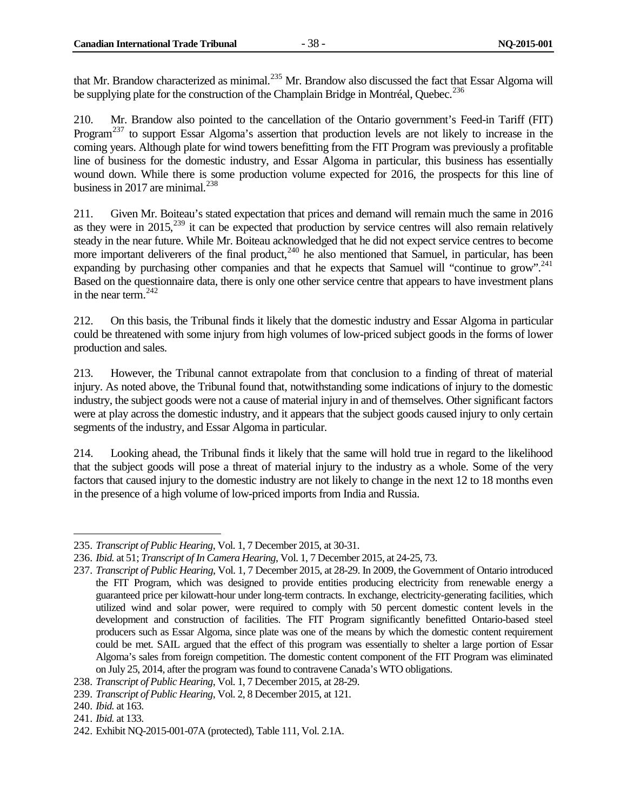that Mr. Brandow characterized as minimal.<sup>[235](#page-45-0)</sup> Mr. Brandow also discussed the fact that Essar Algoma will be supplying plate for the construction of the Champlain Bridge in Montréal, Quebec.<sup>[236](#page-45-1)</sup>

210. Mr. Brandow also pointed to the cancellation of the Ontario government's Feed-in Tariff (FIT) Program<sup>[237](#page-45-2)</sup> to support Essar Algoma's assertion that production levels are not likely to increase in the coming years. Although plate for wind towers benefitting from the FIT Program was previously a profitable line of business for the domestic industry, and Essar Algoma in particular, this business has essentially wound down. While there is some production volume expected for 2016, the prospects for this line of business in 2017 are minimal. $^{238}$  $^{238}$  $^{238}$ 

211. Given Mr. Boiteau's stated expectation that prices and demand will remain much the same in 2016 as they were in  $2015$ ,  $239$  it can be expected that production by service centres will also remain relatively steady in the near future. While Mr. Boiteau acknowledged that he did not expect service centres to become more important deliverers of the final product, $240$  he also mentioned that Samuel, in particular, has been expanding by purchasing other companies and that he expects that Samuel will "continue to grow".<sup>241</sup> Based on the questionnaire data, there is only one other service centre that appears to have investment plans in the near term.  $242$ 

212. On this basis, the Tribunal finds it likely that the domestic industry and Essar Algoma in particular could be threatened with some injury from high volumes of low-priced subject goods in the forms of lower production and sales.

213. However, the Tribunal cannot extrapolate from that conclusion to a finding of threat of material injury. As noted above, the Tribunal found that, notwithstanding some indications of injury to the domestic industry, the subject goods were not a cause of material injury in and of themselves. Other significant factors were at play across the domestic industry, and it appears that the subject goods caused injury to only certain segments of the industry, and Essar Algoma in particular.

214. Looking ahead, the Tribunal finds it likely that the same will hold true in regard to the likelihood that the subject goods will pose a threat of material injury to the industry as a whole. Some of the very factors that caused injury to the domestic industry are not likely to change in the next 12 to 18 months even in the presence of a high volume of low-priced imports from India and Russia.

<span id="page-45-0"></span><sup>235.</sup> *Transcript of Public Hearing*, Vol. 1, 7 December 2015, at 30-31.  $\overline{a}$ 

<span id="page-45-1"></span><sup>236.</sup> *Ibid.* at 51; *Transcript of In Camera Hearing*, Vol. 1, 7 December 2015, at 24-25, 73.

<span id="page-45-2"></span><sup>237.</sup> *Transcript of Public Hearing*, Vol. 1, 7 December 2015, at 28-29. In 2009, the Government of Ontario introduced the FIT Program, which was designed to provide entities producing electricity from renewable energy a guaranteed price per kilowatt-hour under long-term contracts. In exchange, electricity-generating facilities, which utilized wind and solar power, were required to comply with 50 percent domestic content levels in the development and construction of facilities. The FIT Program significantly benefitted Ontario-based steel producers such as Essar Algoma, since plate was one of the means by which the domestic content requirement could be met. SAIL argued that the effect of this program was essentially to shelter a large portion of Essar Algoma's sales from foreign competition. The domestic content component of the FIT Program was eliminated on July 25, 2014, after the program was found to contravene Canada's WTO obligations.

<span id="page-45-3"></span><sup>238.</sup> *Transcript of Public Hearing*, Vol. 1, 7 December 2015, at 28-29.

<span id="page-45-4"></span><sup>239.</sup> *Transcript of Public Hearing*, Vol. 2, 8 December 2015, at 121.

<span id="page-45-5"></span><sup>240.</sup> *Ibid.* at 163.

<span id="page-45-6"></span><sup>241.</sup> *Ibid.* at 133.

<span id="page-45-7"></span><sup>242.</sup> Exhibit NQ-2015-001-07A (protected), Table 111, Vol. 2.1A.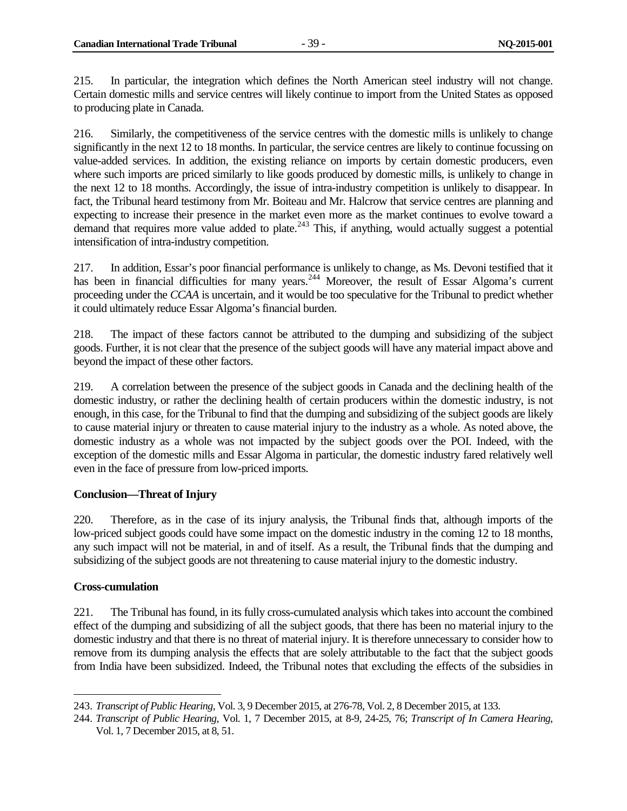215. In particular, the integration which defines the North American steel industry will not change. Certain domestic mills and service centres will likely continue to import from the United States as opposed to producing plate in Canada.

216. Similarly, the competitiveness of the service centres with the domestic mills is unlikely to change significantly in the next 12 to 18 months. In particular, the service centres are likely to continue focussing on value-added services. In addition, the existing reliance on imports by certain domestic producers, even where such imports are priced similarly to like goods produced by domestic mills, is unlikely to change in the next 12 to 18 months. Accordingly, the issue of intra-industry competition is unlikely to disappear. In fact, the Tribunal heard testimony from Mr. Boiteau and Mr. Halcrow that service centres are planning and expecting to increase their presence in the market even more as the market continues to evolve toward a demand that requires more value added to plate.<sup>[243](#page-46-2)</sup> This, if anything, would actually suggest a potential intensification of intra-industry competition.

217. In addition, Essar's poor financial performance is unlikely to change, as Ms. Devoni testified that it has been in financial difficulties for many years.<sup>[244](#page-46-3)</sup> Moreover, the result of Essar Algoma's current proceeding under the *CCAA* is uncertain, and it would be too speculative for the Tribunal to predict whether it could ultimately reduce Essar Algoma's financial burden.

218. The impact of these factors cannot be attributed to the dumping and subsidizing of the subject goods. Further, it is not clear that the presence of the subject goods will have any material impact above and beyond the impact of these other factors.

219. A correlation between the presence of the subject goods in Canada and the declining health of the domestic industry, or rather the declining health of certain producers within the domestic industry, is not enough, in this case, for the Tribunal to find that the dumping and subsidizing of the subject goods are likely to cause material injury or threaten to cause material injury to the industry as a whole. As noted above, the domestic industry as a whole was not impacted by the subject goods over the POI. Indeed, with the exception of the domestic mills and Essar Algoma in particular, the domestic industry fared relatively well even in the face of pressure from low-priced imports.

#### <span id="page-46-0"></span>**Conclusion—Threat of Injury**

220. Therefore, as in the case of its injury analysis, the Tribunal finds that, although imports of the low-priced subject goods could have some impact on the domestic industry in the coming 12 to 18 months, any such impact will not be material, in and of itself. As a result, the Tribunal finds that the dumping and subsidizing of the subject goods are not threatening to cause material injury to the domestic industry.

#### <span id="page-46-1"></span>**Cross-cumulation**

221. The Tribunal has found, in its fully cross-cumulated analysis which takes into account the combined effect of the dumping and subsidizing of all the subject goods, that there has been no material injury to the domestic industry and that there is no threat of material injury. It is therefore unnecessary to consider how to remove from its dumping analysis the effects that are solely attributable to the fact that the subject goods from India have been subsidized. Indeed, the Tribunal notes that excluding the effects of the subsidies in

<span id="page-46-2"></span><sup>243.</sup> *Transcript of Public Hearing*, Vol. 3, 9 December 2015, at 276-78, Vol. 2, 8 December 2015, at 133.  $\overline{a}$ 

<span id="page-46-3"></span><sup>244.</sup> *Transcript of Public Hearing*, Vol. 1, 7 December 2015, at 8-9, 24-25, 76; *Transcript of In Camera Hearing*, Vol. 1, 7 December 2015, at 8, 51.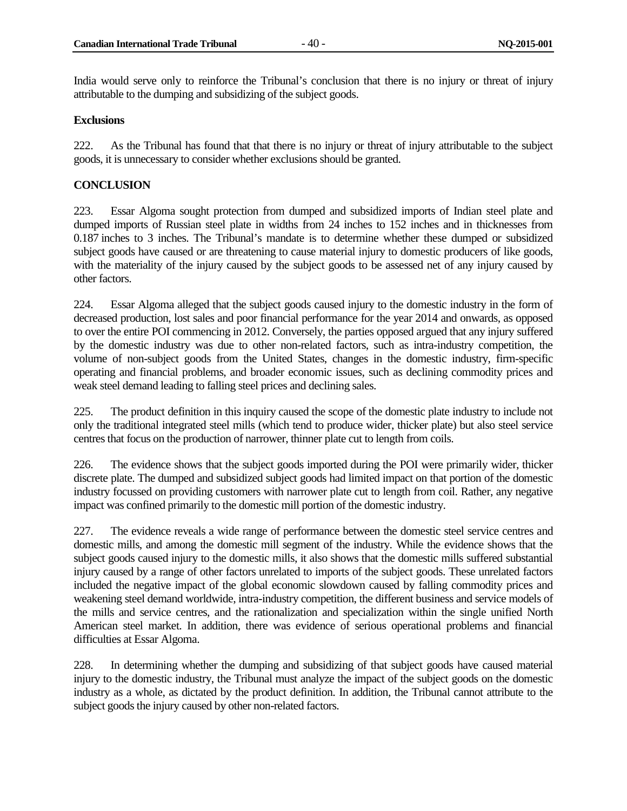India would serve only to reinforce the Tribunal's conclusion that there is no injury or threat of injury attributable to the dumping and subsidizing of the subject goods.

#### <span id="page-47-0"></span>**Exclusions**

222. As the Tribunal has found that that there is no injury or threat of injury attributable to the subject goods, it is unnecessary to consider whether exclusions should be granted.

#### <span id="page-47-1"></span>**CONCLUSION**

223. Essar Algoma sought protection from dumped and subsidized imports of Indian steel plate and dumped imports of Russian steel plate in widths from 24 inches to 152 inches and in thicknesses from 0.187 inches to 3 inches. The Tribunal's mandate is to determine whether these dumped or subsidized subject goods have caused or are threatening to cause material injury to domestic producers of like goods, with the materiality of the injury caused by the subject goods to be assessed net of any injury caused by other factors.

224. Essar Algoma alleged that the subject goods caused injury to the domestic industry in the form of decreased production, lost sales and poor financial performance for the year 2014 and onwards, as opposed to over the entire POI commencing in 2012. Conversely, the parties opposed argued that any injury suffered by the domestic industry was due to other non-related factors, such as intra-industry competition, the volume of non-subject goods from the United States, changes in the domestic industry, firm-specific operating and financial problems, and broader economic issues, such as declining commodity prices and weak steel demand leading to falling steel prices and declining sales.

225. The product definition in this inquiry caused the scope of the domestic plate industry to include not only the traditional integrated steel mills (which tend to produce wider, thicker plate) but also steel service centres that focus on the production of narrower, thinner plate cut to length from coils.

226. The evidence shows that the subject goods imported during the POI were primarily wider, thicker discrete plate. The dumped and subsidized subject goods had limited impact on that portion of the domestic industry focussed on providing customers with narrower plate cut to length from coil. Rather, any negative impact was confined primarily to the domestic mill portion of the domestic industry.

227. The evidence reveals a wide range of performance between the domestic steel service centres and domestic mills, and among the domestic mill segment of the industry. While the evidence shows that the subject goods caused injury to the domestic mills, it also shows that the domestic mills suffered substantial injury caused by a range of other factors unrelated to imports of the subject goods. These unrelated factors included the negative impact of the global economic slowdown caused by falling commodity prices and weakening steel demand worldwide, intra-industry competition, the different business and service models of the mills and service centres, and the rationalization and specialization within the single unified North American steel market. In addition, there was evidence of serious operational problems and financial difficulties at Essar Algoma.

228. In determining whether the dumping and subsidizing of that subject goods have caused material injury to the domestic industry, the Tribunal must analyze the impact of the subject goods on the domestic industry as a whole, as dictated by the product definition. In addition, the Tribunal cannot attribute to the subject goods the injury caused by other non-related factors.